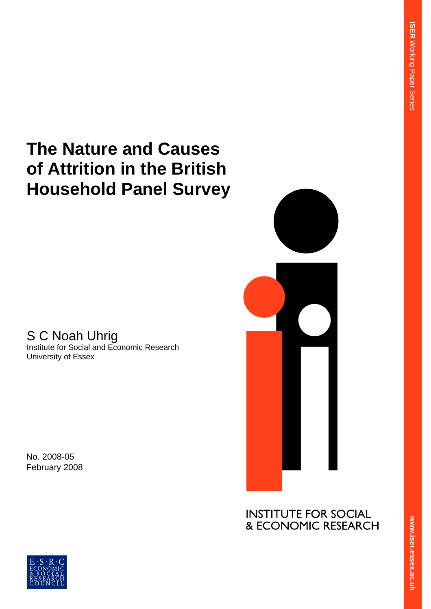# **The Nature and Causes of Attrition in the British Household Panel Survey**

# S C Noah Uhrig

Institute for Social and Economic Research University of Essex

No. 2008-05 February 2008



**INSTITUTE FOR SOCIAL** & ECONOMIC RESEARCH

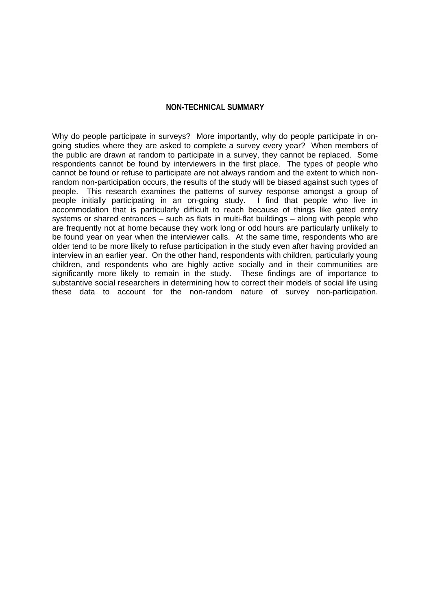#### **NON-TECHNICAL SUMMARY**

Why do people participate in surveys? More importantly, why do people participate in ongoing studies where they are asked to complete a survey every year? When members of the public are drawn at random to participate in a survey, they cannot be replaced. Some respondents cannot be found by interviewers in the first place. The types of people who cannot be found or refuse to participate are not always random and the extent to which nonrandom non-participation occurs, the results of the study will be biased against such types of people. This research examines the patterns of survey response amongst a group of people initially participating in an on-going study. I find that people who live in accommodation that is particularly difficult to reach because of things like gated entry systems or shared entrances – such as flats in multi-flat buildings – along with people who are frequently not at home because they work long or odd hours are particularly unlikely to be found year on year when the interviewer calls. At the same time, respondents who are older tend to be more likely to refuse participation in the study even after having provided an interview in an earlier year. On the other hand, respondents with children, particularly young children, and respondents who are highly active socially and in their communities are significantly more likely to remain in the study. These findings are of importance to substantive social researchers in determining how to correct their models of social life using these data to account for the non-random nature of survey non-participation.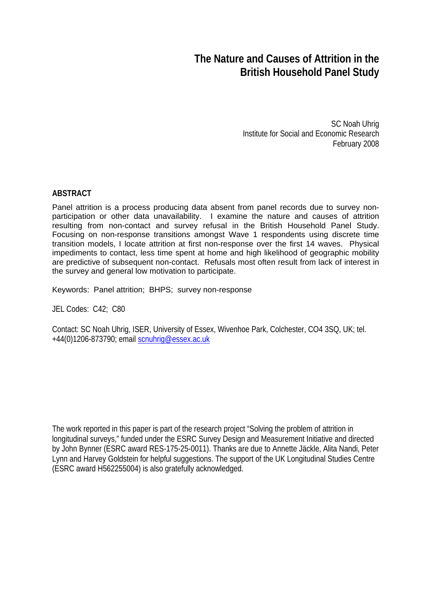# **The Nature and Causes of Attrition in the British Household Panel Study**

SC Noah Uhrig Institute for Social and Economic Research February 2008

#### **ABSTRACT**

Panel attrition is a process producing data absent from panel records due to survey nonparticipation or other data unavailability. I examine the nature and causes of attrition resulting from non-contact and survey refusal in the British Household Panel Study. Focusing on non-response transitions amongst Wave 1 respondents using discrete time transition models, I locate attrition at first non-response over the first 14 waves. Physical impediments to contact, less time spent at home and high likelihood of geographic mobility are predictive of subsequent non-contact. Refusals most often result from lack of interest in the survey and general low motivation to participate.

Keywords: Panel attrition; BHPS; survey non-response

JEL Codes: C42; C80

Contact: SC Noah Uhrig, ISER, University of Essex, Wivenhoe Park, Colchester, CO4 3SQ, UK; tel. +44(0)1206-873790; email [scnuhrig@essex.ac.uk](mailto:scnuhrig@essex.ac.uk)

The work reported in this paper is part of the research project "Solving the problem of attrition in longitudinal surveys," funded under the ESRC Survey Design and Measurement Initiative and directed by John Bynner (ESRC award RES-175-25-0011). Thanks are due to Annette Jäckle, Alita Nandi, Peter Lynn and Harvey Goldstein for helpful suggestions. The support of the UK Longitudinal Studies Centre (ESRC award H562255004) is also gratefully acknowledged.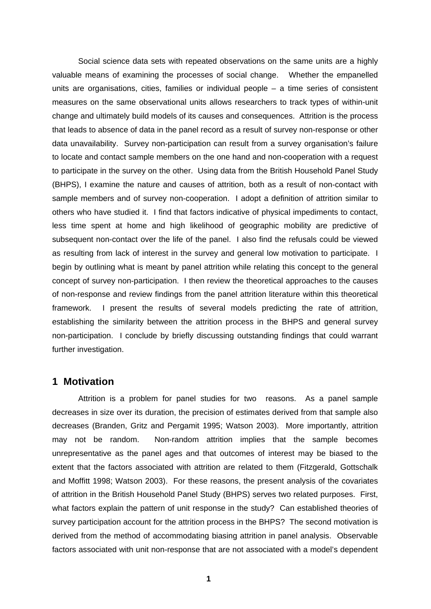Social science data sets with repeated observations on the same units are a highly valuable means of examining the processes of social change. Whether the empanelled units are organisations, cities, families or individual people – a time series of consistent measures on the same observational units allows researchers to track types of within-unit change and ultimately build models of its causes and consequences. Attrition is the process that leads to absence of data in the panel record as a result of survey non-response or other data unavailability. Survey non-participation can result from a survey organisation's failure to locate and contact sample members on the one hand and non-cooperation with a request to participate in the survey on the other. Using data from the British Household Panel Study (BHPS), I examine the nature and causes of attrition, both as a result of non-contact with sample members and of survey non-cooperation. I adopt a definition of attrition similar to others who have studied it. I find that factors indicative of physical impediments to contact, less time spent at home and high likelihood of geographic mobility are predictive of subsequent non-contact over the life of the panel. I also find the refusals could be viewed as resulting from lack of interest in the survey and general low motivation to participate. I begin by outlining what is meant by panel attrition while relating this concept to the general concept of survey non-participation. I then review the theoretical approaches to the causes of non-response and review findings from the panel attrition literature within this theoretical framework. I present the results of several models predicting the rate of attrition, establishing the similarity between the attrition process in the BHPS and general survey non-participation. I conclude by briefly discussing outstanding findings that could warrant further investigation.

#### **1 Motivation**

Attrition is a problem for panel studies for two reasons. As a panel sample decreases in size over its duration, the precision of estimates derived from that sample also decreases (Branden, Gritz and Pergamit 1995; Watson 2003). More importantly, attrition may not be random. Non-random attrition implies that the sample becomes unrepresentative as the panel ages and that outcomes of interest may be biased to the extent that the factors associated with attrition are related to them (Fitzgerald, Gottschalk and Moffitt 1998; Watson 2003). For these reasons, the present analysis of the covariates of attrition in the British Household Panel Study (BHPS) serves two related purposes. First, what factors explain the pattern of unit response in the study? Can established theories of survey participation account for the attrition process in the BHPS? The second motivation is derived from the method of accommodating biasing attrition in panel analysis. Observable factors associated with unit non-response that are not associated with a model's dependent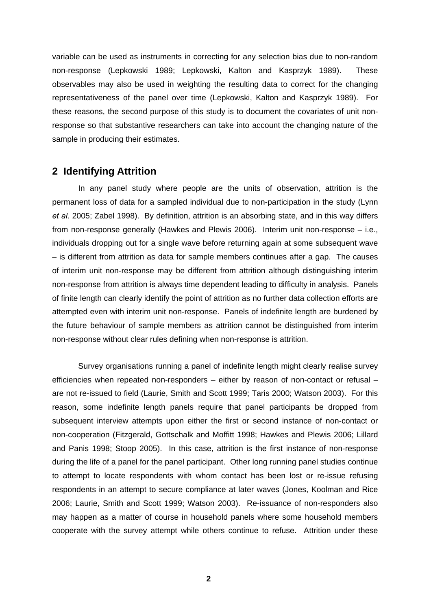variable can be used as instruments in correcting for any selection bias due to non-random non-response (Lepkowski 1989; Lepkowski, Kalton and Kasprzyk 1989). These observables may also be used in weighting the resulting data to correct for the changing representativeness of the panel over time (Lepkowski, Kalton and Kasprzyk 1989). For these reasons, the second purpose of this study is to document the covariates of unit nonresponse so that substantive researchers can take into account the changing nature of the sample in producing their estimates.

## **2 Identifying Attrition**

In any panel study where people are the units of observation, attrition is the permanent loss of data for a sampled individual due to non-participation in the study (Lynn *et al*. 2005; Zabel 1998). By definition, attrition is an absorbing state, and in this way differs from non-response generally (Hawkes and Plewis 2006). Interim unit non-response – i.e., individuals dropping out for a single wave before returning again at some subsequent wave – is different from attrition as data for sample members continues after a gap. The causes of interim unit non-response may be different from attrition although distinguishing interim non-response from attrition is always time dependent leading to difficulty in analysis. Panels of finite length can clearly identify the point of attrition as no further data collection efforts are attempted even with interim unit non-response. Panels of indefinite length are burdened by the future behaviour of sample members as attrition cannot be distinguished from interim non-response without clear rules defining when non-response is attrition.

Survey organisations running a panel of indefinite length might clearly realise survey efficiencies when repeated non-responders – either by reason of non-contact or refusal – are not re-issued to field (Laurie, Smith and Scott 1999; Taris 2000; Watson 2003). For this reason, some indefinite length panels require that panel participants be dropped from subsequent interview attempts upon either the first or second instance of non-contact or non-cooperation (Fitzgerald, Gottschalk and Moffitt 1998; Hawkes and Plewis 2006; Lillard and Panis 1998; Stoop 2005). In this case, attrition is the first instance of non-response during the life of a panel for the panel participant. Other long running panel studies continue to attempt to locate respondents with whom contact has been lost or re-issue refusing respondents in an attempt to secure compliance at later waves (Jones, Koolman and Rice 2006; Laurie, Smith and Scott 1999; Watson 2003). Re-issuance of non-responders also may happen as a matter of course in household panels where some household members cooperate with the survey attempt while others continue to refuse. Attrition under these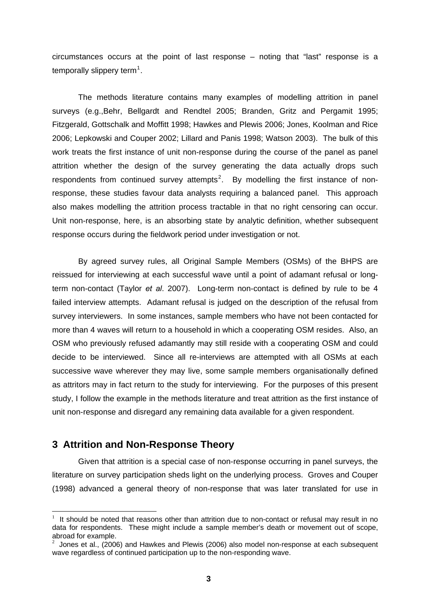circumstances occurs at the point of last response – noting that "last" response is a temporally slippery term<sup>[1](#page-5-0)</sup>.

The methods literature contains many examples of modelling attrition in panel surveys (e.g.,Behr, Bellgardt and Rendtel 2005; Branden, Gritz and Pergamit 1995; Fitzgerald, Gottschalk and Moffitt 1998; Hawkes and Plewis 2006; Jones, Koolman and Rice 2006; Lepkowski and Couper 2002; Lillard and Panis 1998; Watson 2003). The bulk of this work treats the first instance of unit non-response during the course of the panel as panel attrition whether the design of the survey generating the data actually drops such respondents from continued survey attempts<sup>[2](#page-5-1)</sup>. By modelling the first instance of nonresponse, these studies favour data analysts requiring a balanced panel. This approach also makes modelling the attrition process tractable in that no right censoring can occur. Unit non-response, here, is an absorbing state by analytic definition, whether subsequent response occurs during the fieldwork period under investigation or not.

By agreed survey rules, all Original Sample Members (OSMs) of the BHPS are reissued for interviewing at each successful wave until a point of adamant refusal or longterm non-contact (Taylor *et al*. 2007). Long-term non-contact is defined by rule to be 4 failed interview attempts. Adamant refusal is judged on the description of the refusal from survey interviewers. In some instances, sample members who have not been contacted for more than 4 waves will return to a household in which a cooperating OSM resides. Also, an OSM who previously refused adamantly may still reside with a cooperating OSM and could decide to be interviewed. Since all re-interviews are attempted with all OSMs at each successive wave wherever they may live, some sample members organisationally defined as attritors may in fact return to the study for interviewing. For the purposes of this present study, I follow the example in the methods literature and treat attrition as the first instance of unit non-response and disregard any remaining data available for a given respondent.

### **3 Attrition and Non-Response Theory**

 $\overline{a}$ 

Given that attrition is a special case of non-response occurring in panel surveys, the literature on survey participation sheds light on the underlying process. Groves and Couper (1998) advanced a general theory of non-response that was later translated for use in

<span id="page-5-0"></span>It should be noted that reasons other than attrition due to non-contact or refusal may result in no data for respondents. These might include a sample member's death or movement out of scope, abroad for example.

<span id="page-5-1"></span><sup>2</sup> Jones et al., (2006) and Hawkes and Plewis (2006) also model non-response at each subsequent wave regardless of continued participation up to the non-responding wave.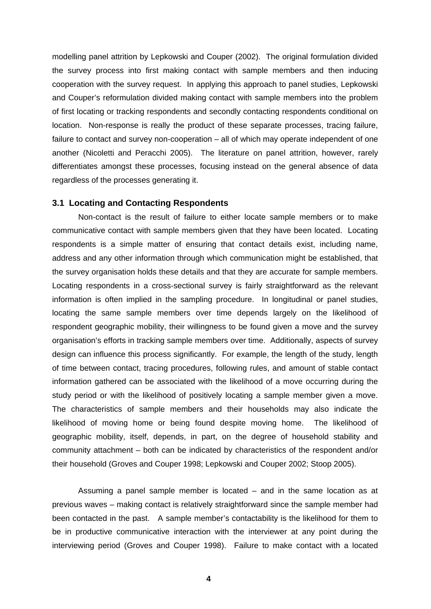modelling panel attrition by Lepkowski and Couper (2002). The original formulation divided the survey process into first making contact with sample members and then inducing cooperation with the survey request. In applying this approach to panel studies, Lepkowski and Couper's reformulation divided making contact with sample members into the problem of first locating or tracking respondents and secondly contacting respondents conditional on location. Non-response is really the product of these separate processes, tracing failure, failure to contact and survey non-cooperation – all of which may operate independent of one another (Nicoletti and Peracchi 2005). The literature on panel attrition, however, rarely differentiates amongst these processes, focusing instead on the general absence of data regardless of the processes generating it.

#### **3.1 Locating and Contacting Respondents**

Non-contact is the result of failure to either locate sample members or to make communicative contact with sample members given that they have been located. Locating respondents is a simple matter of ensuring that contact details exist, including name, address and any other information through which communication might be established, that the survey organisation holds these details and that they are accurate for sample members. Locating respondents in a cross-sectional survey is fairly straightforward as the relevant information is often implied in the sampling procedure. In longitudinal or panel studies, locating the same sample members over time depends largely on the likelihood of respondent geographic mobility, their willingness to be found given a move and the survey organisation's efforts in tracking sample members over time. Additionally, aspects of survey design can influence this process significantly. For example, the length of the study, length of time between contact, tracing procedures, following rules, and amount of stable contact information gathered can be associated with the likelihood of a move occurring during the study period or with the likelihood of positively locating a sample member given a move. The characteristics of sample members and their households may also indicate the likelihood of moving home or being found despite moving home. The likelihood of geographic mobility, itself, depends, in part, on the degree of household stability and community attachment – both can be indicated by characteristics of the respondent and/or their household (Groves and Couper 1998; Lepkowski and Couper 2002; Stoop 2005).

Assuming a panel sample member is located – and in the same location as at previous waves – making contact is relatively straightforward since the sample member had been contacted in the past. A sample member's contactability is the likelihood for them to be in productive communicative interaction with the interviewer at any point during the interviewing period (Groves and Couper 1998). Failure to make contact with a located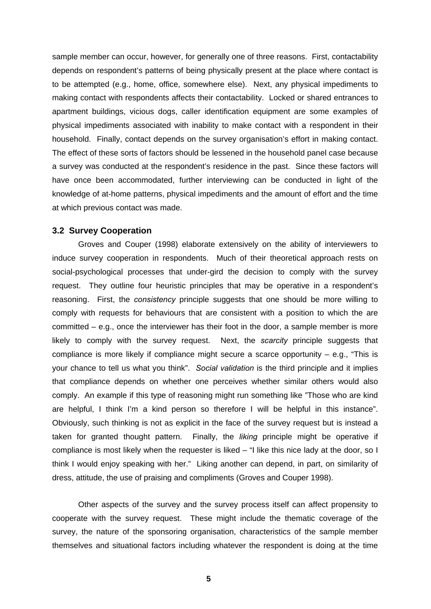sample member can occur, however, for generally one of three reasons. First, contactability depends on respondent's patterns of being physically present at the place where contact is to be attempted (e.g., home, office, somewhere else). Next, any physical impediments to making contact with respondents affects their contactability. Locked or shared entrances to apartment buildings, vicious dogs, caller identification equipment are some examples of physical impediments associated with inability to make contact with a respondent in their household. Finally, contact depends on the survey organisation's effort in making contact. The effect of these sorts of factors should be lessened in the household panel case because a survey was conducted at the respondent's residence in the past. Since these factors will have once been accommodated, further interviewing can be conducted in light of the knowledge of at-home patterns, physical impediments and the amount of effort and the time at which previous contact was made.

#### **3.2 Survey Cooperation**

Groves and Couper (1998) elaborate extensively on the ability of interviewers to induce survey cooperation in respondents. Much of their theoretical approach rests on social-psychological processes that under-gird the decision to comply with the survey request. They outline four heuristic principles that may be operative in a respondent's reasoning. First, the *consistency* principle suggests that one should be more willing to comply with requests for behaviours that are consistent with a position to which the are committed – e.g., once the interviewer has their foot in the door, a sample member is more likely to comply with the survey request. Next, the *scarcity* principle suggests that compliance is more likely if compliance might secure a scarce opportunity  $-$  e.g., "This is your chance to tell us what you think". *Social validation* is the third principle and it implies that compliance depends on whether one perceives whether similar others would also comply. An example if this type of reasoning might run something like "Those who are kind are helpful, I think I'm a kind person so therefore I will be helpful in this instance". Obviously, such thinking is not as explicit in the face of the survey request but is instead a taken for granted thought pattern. Finally, the *liking* principle might be operative if compliance is most likely when the requester is liked – "I like this nice lady at the door, so I think I would enjoy speaking with her." Liking another can depend, in part, on similarity of dress, attitude, the use of praising and compliments (Groves and Couper 1998).

Other aspects of the survey and the survey process itself can affect propensity to cooperate with the survey request. These might include the thematic coverage of the survey, the nature of the sponsoring organisation, characteristics of the sample member themselves and situational factors including whatever the respondent is doing at the time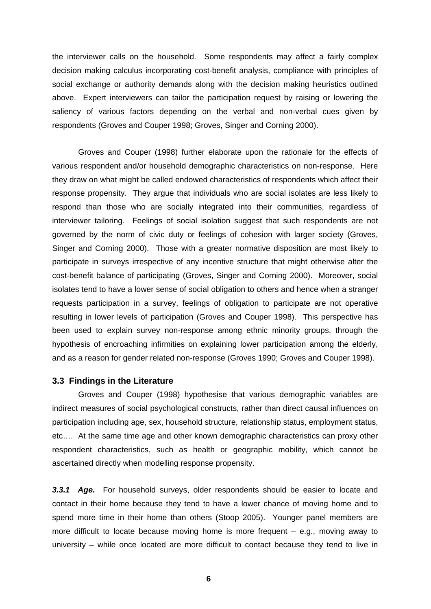the interviewer calls on the household. Some respondents may affect a fairly complex decision making calculus incorporating cost-benefit analysis, compliance with principles of social exchange or authority demands along with the decision making heuristics outlined above. Expert interviewers can tailor the participation request by raising or lowering the saliency of various factors depending on the verbal and non-verbal cues given by respondents (Groves and Couper 1998; Groves, Singer and Corning 2000).

Groves and Couper (1998) further elaborate upon the rationale for the effects of various respondent and/or household demographic characteristics on non-response. Here they draw on what might be called endowed characteristics of respondents which affect their response propensity. They argue that individuals who are social isolates are less likely to respond than those who are socially integrated into their communities, regardless of interviewer tailoring. Feelings of social isolation suggest that such respondents are not governed by the norm of civic duty or feelings of cohesion with larger society (Groves, Singer and Corning 2000). Those with a greater normative disposition are most likely to participate in surveys irrespective of any incentive structure that might otherwise alter the cost-benefit balance of participating (Groves, Singer and Corning 2000). Moreover, social isolates tend to have a lower sense of social obligation to others and hence when a stranger requests participation in a survey, feelings of obligation to participate are not operative resulting in lower levels of participation (Groves and Couper 1998). This perspective has been used to explain survey non-response among ethnic minority groups, through the hypothesis of encroaching infirmities on explaining lower participation among the elderly, and as a reason for gender related non-response (Groves 1990; Groves and Couper 1998).

#### **3.3 Findings in the Literature**

Groves and Couper (1998) hypothesise that various demographic variables are indirect measures of social psychological constructs, rather than direct causal influences on participation including age, sex, household structure, relationship status, employment status, etc…. At the same time age and other known demographic characteristics can proxy other respondent characteristics, such as health or geographic mobility, which cannot be ascertained directly when modelling response propensity.

*3.3.1 Age.* For household surveys, older respondents should be easier to locate and contact in their home because they tend to have a lower chance of moving home and to spend more time in their home than others (Stoop 2005). Younger panel members are more difficult to locate because moving home is more frequent  $-$  e.g., moving away to university – while once located are more difficult to contact because they tend to live in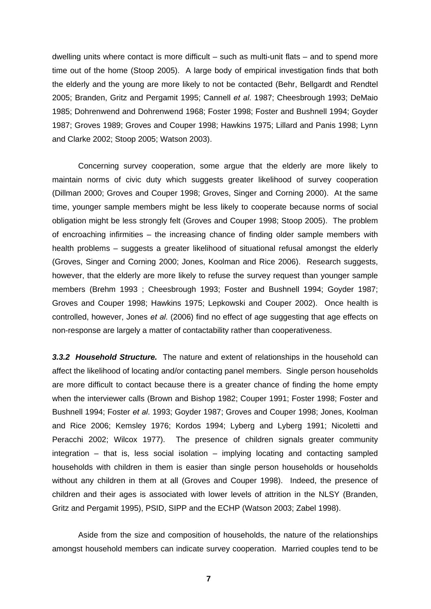dwelling units where contact is more difficult – such as multi-unit flats – and to spend more time out of the home (Stoop 2005). A large body of empirical investigation finds that both the elderly and the young are more likely to not be contacted (Behr, Bellgardt and Rendtel 2005; Branden, Gritz and Pergamit 1995; Cannell *et al*. 1987; Cheesbrough 1993; DeMaio 1985; Dohrenwend and Dohrenwend 1968; Foster 1998; Foster and Bushnell 1994; Goyder 1987; Groves 1989; Groves and Couper 1998; Hawkins 1975; Lillard and Panis 1998; Lynn and Clarke 2002; Stoop 2005; Watson 2003).

Concerning survey cooperation, some argue that the elderly are more likely to maintain norms of civic duty which suggests greater likelihood of survey cooperation (Dillman 2000; Groves and Couper 1998; Groves, Singer and Corning 2000). At the same time, younger sample members might be less likely to cooperate because norms of social obligation might be less strongly felt (Groves and Couper 1998; Stoop 2005). The problem of encroaching infirmities – the increasing chance of finding older sample members with health problems – suggests a greater likelihood of situational refusal amongst the elderly (Groves, Singer and Corning 2000; Jones, Koolman and Rice 2006). Research suggests, however, that the elderly are more likely to refuse the survey request than younger sample members (Brehm 1993 ; Cheesbrough 1993; Foster and Bushnell 1994; Goyder 1987; Groves and Couper 1998; Hawkins 1975; Lepkowski and Couper 2002). Once health is controlled, however, Jones *et al.* (2006) find no effect of age suggesting that age effects on non-response are largely a matter of contactability rather than cooperativeness.

*3.3.2 Household Structure.* The nature and extent of relationships in the household can affect the likelihood of locating and/or contacting panel members. Single person households are more difficult to contact because there is a greater chance of finding the home empty when the interviewer calls (Brown and Bishop 1982; Couper 1991; Foster 1998; Foster and Bushnell 1994; Foster *et al*. 1993; Goyder 1987; Groves and Couper 1998; Jones, Koolman and Rice 2006; Kemsley 1976; Kordos 1994; Lyberg and Lyberg 1991; Nicoletti and Peracchi 2002; Wilcox 1977). The presence of children signals greater community integration – that is, less social isolation – implying locating and contacting sampled households with children in them is easier than single person households or households without any children in them at all (Groves and Couper 1998). Indeed, the presence of children and their ages is associated with lower levels of attrition in the NLSY (Branden, Gritz and Pergamit 1995), PSID, SIPP and the ECHP (Watson 2003; Zabel 1998).

Aside from the size and composition of households, the nature of the relationships amongst household members can indicate survey cooperation. Married couples tend to be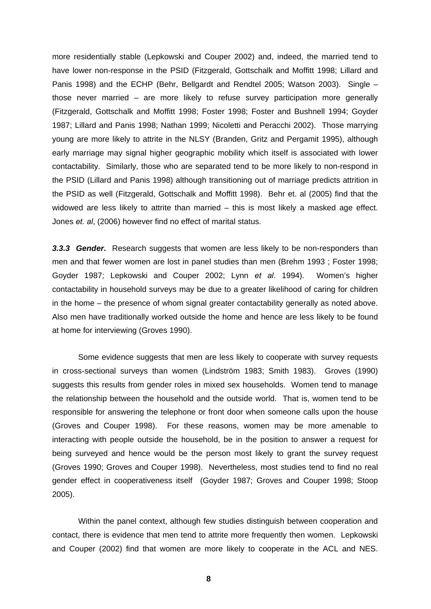more residentially stable (Lepkowski and Couper 2002) and, indeed, the married tend to have lower non-response in the PSID (Fitzgerald, Gottschalk and Moffitt 1998; Lillard and Panis 1998) and the ECHP (Behr, Bellgardt and Rendtel 2005; Watson 2003). Single – those never married – are more likely to refuse survey participation more generally (Fitzgerald, Gottschalk and Moffitt 1998; Foster 1998; Foster and Bushnell 1994; Goyder 1987; Lillard and Panis 1998; Nathan 1999; Nicoletti and Peracchi 2002). Those marrying young are more likely to attrite in the NLSY (Branden, Gritz and Pergamit 1995), although early marriage may signal higher geographic mobility which itself is associated with lower contactability. Similarly, those who are separated tend to be more likely to non-respond in the PSID (Lillard and Panis 1998) although transitioning out of marriage predicts attrition in the PSID as well (Fitzgerald, Gottschalk and Moffitt 1998). Behr et. al (2005) find that the widowed are less likely to attrite than married – this is most likely a masked age effect. Jones *et. al*, (2006) however find no effect of marital status.

*3.3.3 Gender***.** Research suggests that women are less likely to be non-responders than men and that fewer women are lost in panel studies than men (Brehm 1993 ; Foster 1998; Goyder 1987; Lepkowski and Couper 2002; Lynn *et al*. 1994). Women's higher contactability in household surveys may be due to a greater likelihood of caring for children in the home – the presence of whom signal greater contactability generally as noted above. Also men have traditionally worked outside the home and hence are less likely to be found at home for interviewing (Groves 1990).

Some evidence suggests that men are less likely to cooperate with survey requests in cross-sectional surveys than women (Lindström 1983; Smith 1983). Groves (1990) suggests this results from gender roles in mixed sex households. Women tend to manage the relationship between the household and the outside world. That is, women tend to be responsible for answering the telephone or front door when someone calls upon the house (Groves and Couper 1998). For these reasons, women may be more amenable to interacting with people outside the household, be in the position to answer a request for being surveyed and hence would be the person most likely to grant the survey request (Groves 1990; Groves and Couper 1998). Nevertheless, most studies tend to find no real gender effect in cooperativeness itself (Goyder 1987; Groves and Couper 1998; Stoop 2005).

Within the panel context, although few studies distinguish between cooperation and contact, there is evidence that men tend to attrite more frequently then women. Lepkowski and Couper (2002) find that women are more likely to cooperate in the ACL and NES.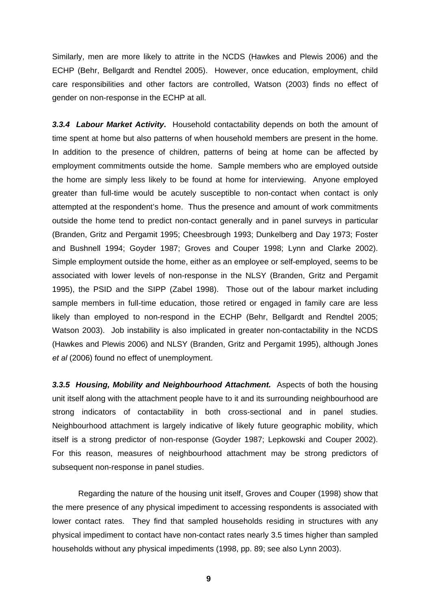Similarly, men are more likely to attrite in the NCDS (Hawkes and Plewis 2006) and the ECHP (Behr, Bellgardt and Rendtel 2005). However, once education, employment, child care responsibilities and other factors are controlled, Watson (2003) finds no effect of gender on non-response in the ECHP at all.

*3.3.4 Labour Market Activity***.** Household contactability depends on both the amount of time spent at home but also patterns of when household members are present in the home. In addition to the presence of children, patterns of being at home can be affected by employment commitments outside the home. Sample members who are employed outside the home are simply less likely to be found at home for interviewing. Anyone employed greater than full-time would be acutely susceptible to non-contact when contact is only attempted at the respondent's home. Thus the presence and amount of work commitments outside the home tend to predict non-contact generally and in panel surveys in particular (Branden, Gritz and Pergamit 1995; Cheesbrough 1993; Dunkelberg and Day 1973; Foster and Bushnell 1994; Goyder 1987; Groves and Couper 1998; Lynn and Clarke 2002). Simple employment outside the home, either as an employee or self-employed, seems to be associated with lower levels of non-response in the NLSY (Branden, Gritz and Pergamit 1995), the PSID and the SIPP (Zabel 1998). Those out of the labour market including sample members in full-time education, those retired or engaged in family care are less likely than employed to non-respond in the ECHP (Behr, Bellgardt and Rendtel 2005; Watson 2003). Job instability is also implicated in greater non-contactability in the NCDS (Hawkes and Plewis 2006) and NLSY (Branden, Gritz and Pergamit 1995), although Jones *et al* (2006) found no effect of unemployment.

*3.3.5 Housing, Mobility and Neighbourhood Attachment.* Aspects of both the housing unit itself along with the attachment people have to it and its surrounding neighbourhood are strong indicators of contactability in both cross-sectional and in panel studies. Neighbourhood attachment is largely indicative of likely future geographic mobility, which itself is a strong predictor of non-response (Goyder 1987; Lepkowski and Couper 2002). For this reason, measures of neighbourhood attachment may be strong predictors of subsequent non-response in panel studies.

Regarding the nature of the housing unit itself, Groves and Couper (1998) show that the mere presence of any physical impediment to accessing respondents is associated with lower contact rates. They find that sampled households residing in structures with any physical impediment to contact have non-contact rates nearly 3.5 times higher than sampled households without any physical impediments (1998, pp. 89; see also Lynn 2003).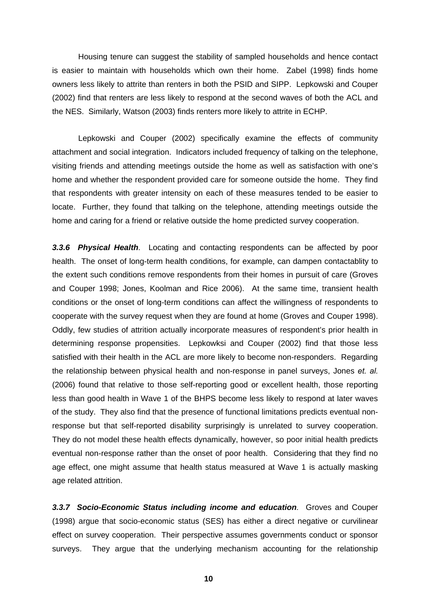Housing tenure can suggest the stability of sampled households and hence contact is easier to maintain with households which own their home. Zabel (1998) finds home owners less likely to attrite than renters in both the PSID and SIPP. Lepkowski and Couper (2002) find that renters are less likely to respond at the second waves of both the ACL and the NES. Similarly, Watson (2003) finds renters more likely to attrite in ECHP.

Lepkowski and Couper (2002) specifically examine the effects of community attachment and social integration. Indicators included frequency of talking on the telephone, visiting friends and attending meetings outside the home as well as satisfaction with one's home and whether the respondent provided care for someone outside the home. They find that respondents with greater intensity on each of these measures tended to be easier to locate. Further, they found that talking on the telephone, attending meetings outside the home and caring for a friend or relative outside the home predicted survey cooperation.

*3.3.6 Physical Health.* Locating and contacting respondents can be affected by poor health. The onset of long-term health conditions, for example, can dampen contactablity to the extent such conditions remove respondents from their homes in pursuit of care (Groves and Couper 1998; Jones, Koolman and Rice 2006). At the same time, transient health conditions or the onset of long-term conditions can affect the willingness of respondents to cooperate with the survey request when they are found at home (Groves and Couper 1998). Oddly, few studies of attrition actually incorporate measures of respondent's prior health in determining response propensities. Lepkowksi and Couper (2002) find that those less satisfied with their health in the ACL are more likely to become non-responders. Regarding the relationship between physical health and non-response in panel surveys, Jones *et. al.* (2006) found that relative to those self-reporting good or excellent health, those reporting less than good health in Wave 1 of the BHPS become less likely to respond at later waves of the study. They also find that the presence of functional limitations predicts eventual nonresponse but that self-reported disability surprisingly is unrelated to survey cooperation. They do not model these health effects dynamically, however, so poor initial health predicts eventual non-response rather than the onset of poor health. Considering that they find no age effect, one might assume that health status measured at Wave 1 is actually masking age related attrition.

*3.3.7 Socio-Economic Status including income and education.* Groves and Couper (1998) argue that socio-economic status (SES) has either a direct negative or curvilinear effect on survey cooperation. Their perspective assumes governments conduct or sponsor surveys. They argue that the underlying mechanism accounting for the relationship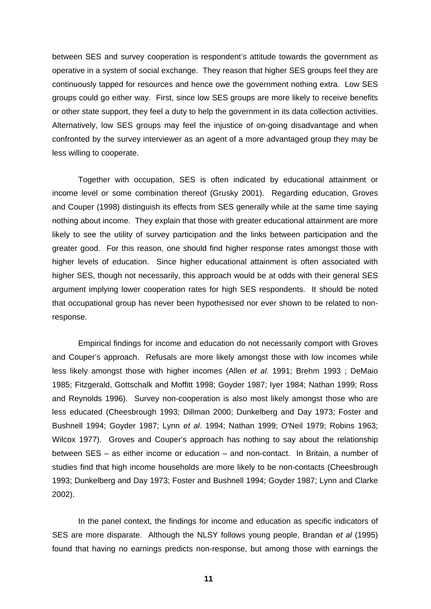between SES and survey cooperation is respondent's attitude towards the government as operative in a system of social exchange. They reason that higher SES groups feel they are continuously tapped for resources and hence owe the government nothing extra. Low SES groups could go either way. First, since low SES groups are more likely to receive benefits or other state support, they feel a duty to help the government in its data collection activities. Alternatively, low SES groups may feel the injustice of on-going disadvantage and when confronted by the survey interviewer as an agent of a more advantaged group they may be less willing to cooperate.

Together with occupation, SES is often indicated by educational attainment or income level or some combination thereof (Grusky 2001). Regarding education, Groves and Couper (1998) distinguish its effects from SES generally while at the same time saying nothing about income. They explain that those with greater educational attainment are more likely to see the utility of survey participation and the links between participation and the greater good. For this reason, one should find higher response rates amongst those with higher levels of education. Since higher educational attainment is often associated with higher SES, though not necessarily, this approach would be at odds with their general SES argument implying lower cooperation rates for high SES respondents. It should be noted that occupational group has never been hypothesised nor ever shown to be related to nonresponse.

Empirical findings for income and education do not necessarily comport with Groves and Couper's approach. Refusals are more likely amongst those with low incomes while less likely amongst those with higher incomes (Allen *et al*. 1991; Brehm 1993 ; DeMaio 1985; Fitzgerald, Gottschalk and Moffitt 1998; Goyder 1987; Iyer 1984; Nathan 1999; Ross and Reynolds 1996). Survey non-cooperation is also most likely amongst those who are less educated (Cheesbrough 1993; Dillman 2000; Dunkelberg and Day 1973; Foster and Bushnell 1994; Goyder 1987; Lynn *et al*. 1994; Nathan 1999; O'Neil 1979; Robins 1963; Wilcox 1977). Groves and Couper's approach has nothing to say about the relationship between SES – as either income or education – and non-contact. In Britain, a number of studies find that high income households are more likely to be non-contacts (Cheesbrough 1993; Dunkelberg and Day 1973; Foster and Bushnell 1994; Goyder 1987; Lynn and Clarke 2002).

In the panel context, the findings for income and education as specific indicators of SES are more disparate. Although the NLSY follows young people, Brandan *et al* (1995) found that having no earnings predicts non-response, but among those with earnings the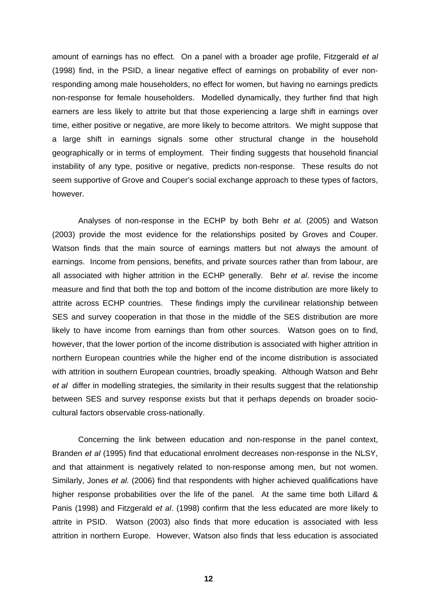amount of earnings has no effect. On a panel with a broader age profile, Fitzgerald *et al* (1998) find, in the PSID, a linear negative effect of earnings on probability of ever nonresponding among male householders, no effect for women, but having no earnings predicts non-response for female householders. Modelled dynamically, they further find that high earners are less likely to attrite but that those experiencing a large shift in earnings over time, either positive or negative, are more likely to become attritors. We might suppose that a large shift in earnings signals some other structural change in the household geographically or in terms of employment. Their finding suggests that household financial instability of any type, positive or negative, predicts non-response. These results do not seem supportive of Grove and Couper's social exchange approach to these types of factors, however.

Analyses of non-response in the ECHP by both Behr *et al.* (2005) and Watson (2003) provide the most evidence for the relationships posited by Groves and Couper. Watson finds that the main source of earnings matters but not always the amount of earnings. Income from pensions, benefits, and private sources rather than from labour, are all associated with higher attrition in the ECHP generally. Behr *et al*. revise the income measure and find that both the top and bottom of the income distribution are more likely to attrite across ECHP countries. These findings imply the curvilinear relationship between SES and survey cooperation in that those in the middle of the SES distribution are more likely to have income from earnings than from other sources. Watson goes on to find, however, that the lower portion of the income distribution is associated with higher attrition in northern European countries while the higher end of the income distribution is associated with attrition in southern European countries, broadly speaking. Although Watson and Behr *et al* differ in modelling strategies, the similarity in their results suggest that the relationship between SES and survey response exists but that it perhaps depends on broader sociocultural factors observable cross-nationally.

Concerning the link between education and non-response in the panel context, Branden *et al* (1995) find that educational enrolment decreases non-response in the NLSY, and that attainment is negatively related to non-response among men, but not women. Similarly, Jones *et al.* (2006) find that respondents with higher achieved qualifications have higher response probabilities over the life of the panel. At the same time both Lillard & Panis (1998) and Fitzgerald *et al*. (1998) confirm that the less educated are more likely to attrite in PSID. Watson (2003) also finds that more education is associated with less attrition in northern Europe. However, Watson also finds that less education is associated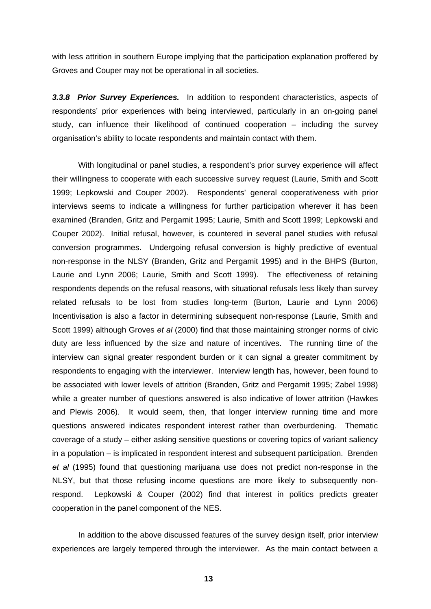with less attrition in southern Europe implying that the participation explanation proffered by Groves and Couper may not be operational in all societies.

*3.3.8 Prior Survey Experiences.* In addition to respondent characteristics, aspects of respondents' prior experiences with being interviewed, particularly in an on-going panel study, can influence their likelihood of continued cooperation – including the survey organisation's ability to locate respondents and maintain contact with them.

With longitudinal or panel studies, a respondent's prior survey experience will affect their willingness to cooperate with each successive survey request (Laurie, Smith and Scott 1999; Lepkowski and Couper 2002). Respondents' general cooperativeness with prior interviews seems to indicate a willingness for further participation wherever it has been examined (Branden, Gritz and Pergamit 1995; Laurie, Smith and Scott 1999; Lepkowski and Couper 2002). Initial refusal, however, is countered in several panel studies with refusal conversion programmes. Undergoing refusal conversion is highly predictive of eventual non-response in the NLSY (Branden, Gritz and Pergamit 1995) and in the BHPS (Burton, Laurie and Lynn 2006; Laurie, Smith and Scott 1999). The effectiveness of retaining respondents depends on the refusal reasons, with situational refusals less likely than survey related refusals to be lost from studies long-term (Burton, Laurie and Lynn 2006) Incentivisation is also a factor in determining subsequent non-response (Laurie, Smith and Scott 1999) although Groves *et al* (2000) find that those maintaining stronger norms of civic duty are less influenced by the size and nature of incentives. The running time of the interview can signal greater respondent burden or it can signal a greater commitment by respondents to engaging with the interviewer. Interview length has, however, been found to be associated with lower levels of attrition (Branden, Gritz and Pergamit 1995; Zabel 1998) while a greater number of questions answered is also indicative of lower attrition (Hawkes and Plewis 2006). It would seem, then, that longer interview running time and more questions answered indicates respondent interest rather than overburdening. Thematic coverage of a study – either asking sensitive questions or covering topics of variant saliency in a population – is implicated in respondent interest and subsequent participation. Brenden *et al* (1995) found that questioning marijuana use does not predict non-response in the NLSY, but that those refusing income questions are more likely to subsequently nonrespond. Lepkowski & Couper (2002) find that interest in politics predicts greater cooperation in the panel component of the NES.

In addition to the above discussed features of the survey design itself, prior interview experiences are largely tempered through the interviewer. As the main contact between a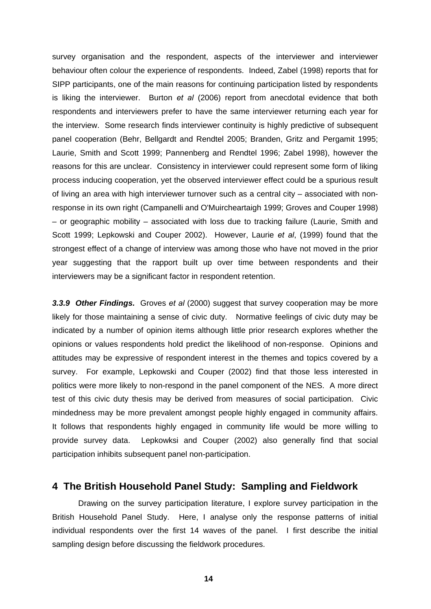survey organisation and the respondent, aspects of the interviewer and interviewer behaviour often colour the experience of respondents. Indeed, Zabel (1998) reports that for SIPP participants, one of the main reasons for continuing participation listed by respondents is liking the interviewer. Burton *et al* (2006) report from anecdotal evidence that both respondents and interviewers prefer to have the same interviewer returning each year for the interview. Some research finds interviewer continuity is highly predictive of subsequent panel cooperation (Behr, Bellgardt and Rendtel 2005; Branden, Gritz and Pergamit 1995; Laurie, Smith and Scott 1999; Pannenberg and Rendtel 1996; Zabel 1998), however the reasons for this are unclear. Consistency in interviewer could represent some form of liking process inducing cooperation, yet the observed interviewer effect could be a spurious result of living an area with high interviewer turnover such as a central city – associated with nonresponse in its own right (Campanelli and O'Muircheartaigh 1999; Groves and Couper 1998) – or geographic mobility – associated with loss due to tracking failure (Laurie, Smith and Scott 1999; Lepkowski and Couper 2002). However, Laurie *et al*, (1999) found that the strongest effect of a change of interview was among those who have not moved in the prior year suggesting that the rapport built up over time between respondents and their interviewers may be a significant factor in respondent retention.

*3.3.9 Other Findings.* Groves *et al* (2000) suggest that survey cooperation may be more likely for those maintaining a sense of civic duty. Normative feelings of civic duty may be indicated by a number of opinion items although little prior research explores whether the opinions or values respondents hold predict the likelihood of non-response. Opinions and attitudes may be expressive of respondent interest in the themes and topics covered by a survey. For example, Lepkowski and Couper (2002) find that those less interested in politics were more likely to non-respond in the panel component of the NES. A more direct test of this civic duty thesis may be derived from measures of social participation. Civic mindedness may be more prevalent amongst people highly engaged in community affairs. It follows that respondents highly engaged in community life would be more willing to provide survey data. Lepkowksi and Couper (2002) also generally find that social participation inhibits subsequent panel non-participation.

### **4 The British Household Panel Study: Sampling and Fieldwork**

Drawing on the survey participation literature, I explore survey participation in the British Household Panel Study. Here, I analyse only the response patterns of initial individual respondents over the first 14 waves of the panel. I first describe the initial sampling design before discussing the fieldwork procedures.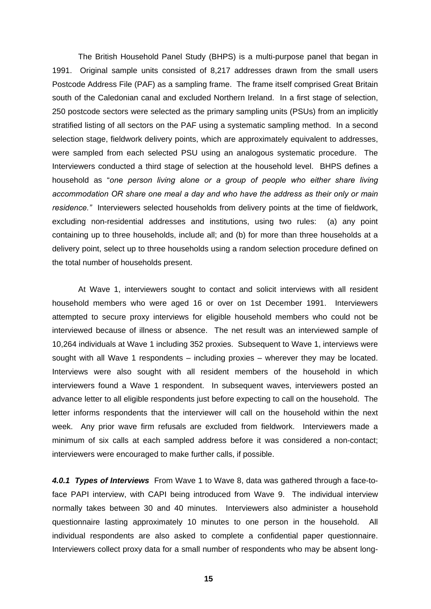The British Household Panel Study (BHPS) is a multi-purpose panel that began in 1991. Original sample units consisted of 8,217 addresses drawn from the small users Postcode Address File (PAF) as a sampling frame. The frame itself comprised Great Britain south of the Caledonian canal and excluded Northern Ireland. In a first stage of selection, 250 postcode sectors were selected as the primary sampling units (PSUs) from an implicitly stratified listing of all sectors on the PAF using a systematic sampling method. In a second selection stage, fieldwork delivery points, which are approximately equivalent to addresses, were sampled from each selected PSU using an analogous systematic procedure. The Interviewers conducted a third stage of selection at the household level. BHPS defines a household as "*one person living alone or a group of people who either share living accommodation OR share one meal a day and who have the address as their only or main residence."* Interviewers selected households from delivery points at the time of fieldwork, excluding non-residential addresses and institutions, using two rules: (a) any point containing up to three households, include all; and (b) for more than three households at a delivery point, select up to three households using a random selection procedure defined on the total number of households present.

At Wave 1, interviewers sought to contact and solicit interviews with all resident household members who were aged 16 or over on 1st December 1991. Interviewers attempted to secure proxy interviews for eligible household members who could not be interviewed because of illness or absence. The net result was an interviewed sample of 10,264 individuals at Wave 1 including 352 proxies. Subsequent to Wave 1, interviews were sought with all Wave 1 respondents – including proxies – wherever they may be located. Interviews were also sought with all resident members of the household in which interviewers found a Wave 1 respondent. In subsequent waves, interviewers posted an advance letter to all eligible respondents just before expecting to call on the household. The letter informs respondents that the interviewer will call on the household within the next week. Any prior wave firm refusals are excluded from fieldwork. Interviewers made a minimum of six calls at each sampled address before it was considered a non-contact; interviewers were encouraged to make further calls, if possible.

*4.0.1 Types of Interviews* From Wave 1 to Wave 8, data was gathered through a face-toface PAPI interview, with CAPI being introduced from Wave 9. The individual interview normally takes between 30 and 40 minutes. Interviewers also administer a household questionnaire lasting approximately 10 minutes to one person in the household. All individual respondents are also asked to complete a confidential paper questionnaire. Interviewers collect proxy data for a small number of respondents who may be absent long-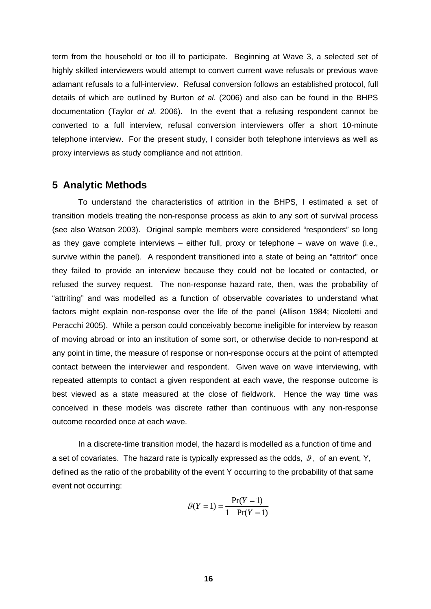term from the household or too ill to participate. Beginning at Wave 3, a selected set of highly skilled interviewers would attempt to convert current wave refusals or previous wave adamant refusals to a full-interview. Refusal conversion follows an established protocol, full details of which are outlined by Burton *et al*. (2006) and also can be found in the BHPS documentation (Taylor *et al*. 2006). In the event that a refusing respondent cannot be converted to a full interview, refusal conversion interviewers offer a short 10-minute telephone interview. For the present study, I consider both telephone interviews as well as proxy interviews as study compliance and not attrition.

#### **5 Analytic Methods**

To understand the characteristics of attrition in the BHPS, I estimated a set of transition models treating the non-response process as akin to any sort of survival process (see also Watson 2003). Original sample members were considered "responders" so long as they gave complete interviews – either full, proxy or telephone – wave on wave (i.e., survive within the panel). A respondent transitioned into a state of being an "attritor" once they failed to provide an interview because they could not be located or contacted, or refused the survey request. The non-response hazard rate, then, was the probability of "attriting" and was modelled as a function of observable covariates to understand what factors might explain non-response over the life of the panel (Allison 1984; Nicoletti and Peracchi 2005). While a person could conceivably become ineligible for interview by reason of moving abroad or into an institution of some sort, or otherwise decide to non-respond at any point in time, the measure of response or non-response occurs at the point of attempted contact between the interviewer and respondent. Given wave on wave interviewing, with repeated attempts to contact a given respondent at each wave, the response outcome is best viewed as a state measured at the close of fieldwork. Hence the way time was conceived in these models was discrete rather than continuous with any non-response outcome recorded once at each wave.

In a discrete-time transition model, the hazard is modelled as a function of time and a set of covariates. The hazard rate is typically expressed as the odds,  $\theta$ , of an event, Y, defined as the ratio of the probability of the event Y occurring to the probability of that same event not occurring:

$$
\mathcal{G}(Y = 1) = \frac{\Pr(Y = 1)}{1 - \Pr(Y = 1)}
$$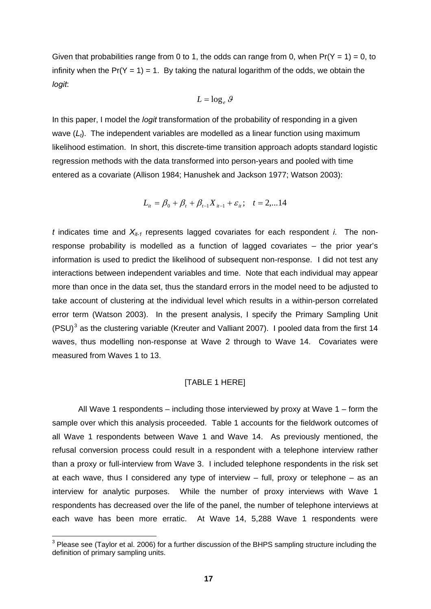<span id="page-19-0"></span>Given that probabilities range from 0 to 1, the odds can range from 0, when  $Pr(Y = 1) = 0$ , to infinity when the  $Pr(Y = 1) = 1$ . By taking the natural logarithm of the odds, we obtain the *logit*:

$$
L = \log_e g
$$

In this paper, I model the *logit* transformation of the probability of responding in a given wave (*L<sub>t</sub>*). The independent variables are modelled as a linear function using maximum likelihood estimation. In short, this discrete-time transition approach adopts standard logistic regression methods with the data transformed into person-years and pooled with time entered as a covariate (Allison 1984; Hanushek and Jackson 1977; Watson 2003):

$$
L_{it} = \beta_0 + \beta_t + \beta_{t-1} X_{it-1} + \varepsilon_{it}; \quad t = 2,...14
$$

 $t$  indicates time and  $X_{it-1}$  represents lagged covariates for each respondent *i*. The nonresponse probability is modelled as a function of lagged covariates – the prior year's information is used to predict the likelihood of subsequent non-response. I did not test any interactions between independent variables and time. Note that each individual may appear more than once in the data set, thus the standard errors in the model need to be adjusted to take account of clustering at the individual level which results in a within-person correlated error term (Watson 2003). In the present analysis, I specify the Primary Sampling Unit (PSU)<sup>[3](#page-19-0)</sup> as the clustering variable (Kreuter and Valliant 2007). I pooled data from the first 14 waves, thus modelling non-response at Wave 2 through to Wave 14. Covariates were measured from Waves 1 to 13.

#### [TABLE 1 HERE]

All Wave 1 respondents – including those interviewed by proxy at Wave 1 – form the sample over which this analysis proceeded. Table 1 accounts for the fieldwork outcomes of all Wave 1 respondents between Wave 1 and Wave 14. As previously mentioned, the refusal conversion process could result in a respondent with a telephone interview rather than a proxy or full-interview from Wave 3. I included telephone respondents in the risk set at each wave, thus I considered any type of interview – full, proxy or telephone – as an interview for analytic purposes. While the number of proxy interviews with Wave 1 respondents has decreased over the life of the panel, the number of telephone interviews at each wave has been more erratic. At Wave 14, 5,288 Wave 1 respondents were

 3 Please see (Taylor et al. 2006) for a further discussion of the BHPS sampling structure including the definition of primary sampling units.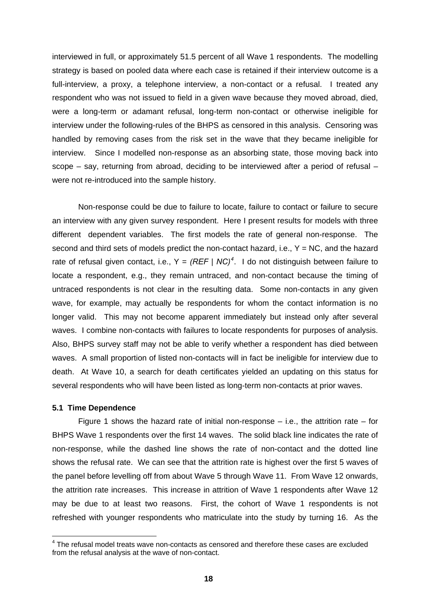<span id="page-20-0"></span>interviewed in full, or approximately 51.5 percent of all Wave 1 respondents. The modelling strategy is based on pooled data where each case is retained if their interview outcome is a full-interview, a proxy, a telephone interview, a non-contact or a refusal. I treated any respondent who was not issued to field in a given wave because they moved abroad, died, were a long-term or adamant refusal, long-term non-contact or otherwise ineligible for interview under the following-rules of the BHPS as censored in this analysis. Censoring was handled by removing cases from the risk set in the wave that they became ineligible for interview. Since I modelled non-response as an absorbing state, those moving back into scope – say, returning from abroad, deciding to be interviewed after a period of refusal – were not re-introduced into the sample history.

Non-response could be due to failure to locate, failure to contact or failure to secure an interview with any given survey respondent. Here I present results for models with three different dependent variables. The first models the rate of general non-response. The second and third sets of models predict the non-contact hazard, i.e.,  $Y = NC$ , and the hazard rate of refusal given contact, i.e.,  $Y = (REF \,|\, NC)^4$  $Y = (REF \,|\, NC)^4$ . I do not distinguish between failure to locate a respondent, e.g., they remain untraced, and non-contact because the timing of untraced respondents is not clear in the resulting data. Some non-contacts in any given wave, for example, may actually be respondents for whom the contact information is no longer valid. This may not become apparent immediately but instead only after several waves. I combine non-contacts with failures to locate respondents for purposes of analysis. Also, BHPS survey staff may not be able to verify whether a respondent has died between waves. A small proportion of listed non-contacts will in fact be ineligible for interview due to death. At Wave 10, a search for death certificates yielded an updating on this status for several respondents who will have been listed as long-term non-contacts at prior waves.

#### **5.1 Time Dependence**

 $\overline{a}$ 

Figure 1 shows the hazard rate of initial non-response  $-$  i.e., the attrition rate  $-$  for BHPS Wave 1 respondents over the first 14 waves. The solid black line indicates the rate of non-response, while the dashed line shows the rate of non-contact and the dotted line shows the refusal rate. We can see that the attrition rate is highest over the first 5 waves of the panel before levelling off from about Wave 5 through Wave 11. From Wave 12 onwards, the attrition rate increases. This increase in attrition of Wave 1 respondents after Wave 12 may be due to at least two reasons. First, the cohort of Wave 1 respondents is not refreshed with younger respondents who matriculate into the study by turning 16. As the

 $4$  The refusal model treats wave non-contacts as censored and therefore these cases are excluded from the refusal analysis at the wave of non-contact.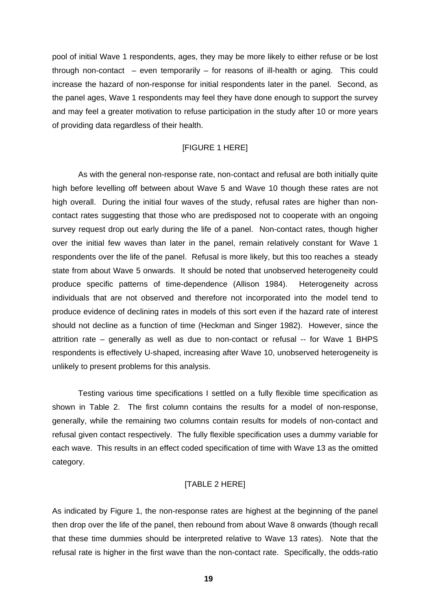pool of initial Wave 1 respondents, ages, they may be more likely to either refuse or be lost through non-contact – even temporarily – for reasons of ill-health or aging. This could increase the hazard of non-response for initial respondents later in the panel. Second, as the panel ages, Wave 1 respondents may feel they have done enough to support the survey and may feel a greater motivation to refuse participation in the study after 10 or more years of providing data regardless of their health.

#### [FIGURE 1 HERE]

As with the general non-response rate, non-contact and refusal are both initially quite high before levelling off between about Wave 5 and Wave 10 though these rates are not high overall. During the initial four waves of the study, refusal rates are higher than noncontact rates suggesting that those who are predisposed not to cooperate with an ongoing survey request drop out early during the life of a panel. Non-contact rates, though higher over the initial few waves than later in the panel, remain relatively constant for Wave 1 respondents over the life of the panel. Refusal is more likely, but this too reaches a steady state from about Wave 5 onwards. It should be noted that unobserved heterogeneity could produce specific patterns of time-dependence (Allison 1984). Heterogeneity across individuals that are not observed and therefore not incorporated into the model tend to produce evidence of declining rates in models of this sort even if the hazard rate of interest should not decline as a function of time (Heckman and Singer 1982). However, since the attrition rate – generally as well as due to non-contact or refusal -- for Wave 1 BHPS respondents is effectively U-shaped, increasing after Wave 10, unobserved heterogeneity is unlikely to present problems for this analysis.

Testing various time specifications I settled on a fully flexible time specification as shown in Table 2. The first column contains the results for a model of non-response, generally, while the remaining two columns contain results for models of non-contact and refusal given contact respectively. The fully flexible specification uses a dummy variable for each wave. This results in an effect coded specification of time with Wave 13 as the omitted category.

#### [TABLE 2 HERE]

As indicated by Figure 1, the non-response rates are highest at the beginning of the panel then drop over the life of the panel, then rebound from about Wave 8 onwards (though recall that these time dummies should be interpreted relative to Wave 13 rates). Note that the refusal rate is higher in the first wave than the non-contact rate. Specifically, the odds-ratio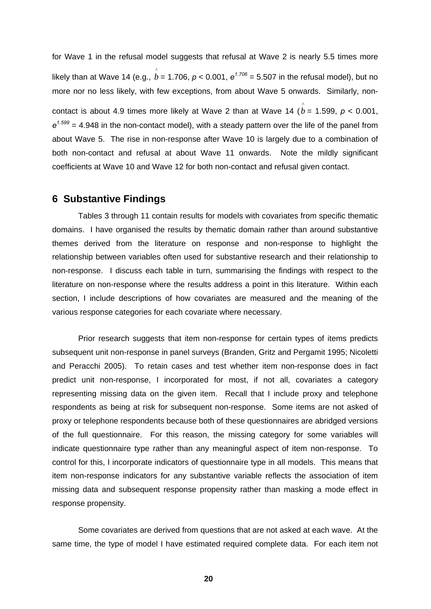for Wave 1 in the refusal model suggests that refusal at Wave 2 is nearly 5.5 times more likely than at Wave 14 (e.g.,  $\stackrel{\circ}{b}$  = 1.706, *p* < 0.001, e<sup>1.706</sup> = 5.507 in the refusal model), but no more nor no less likely, with few exceptions, from about Wave 5 onwards. Similarly, noncontact is about 4.9 times more likely at Wave 2 than at Wave 14  $(\stackrel{\wedge}{b}=$  1.599,  $p < 0.001,$ *e 1.599* = 4.948 in the non-contact model), with a steady pattern over the life of the panel from about Wave 5. The rise in non-response after Wave 10 is largely due to a combination of both non-contact and refusal at about Wave 11 onwards. Note the mildly significant coefficients at Wave 10 and Wave 12 for both non-contact and refusal given contact.

#### **6 Substantive Findings**

Tables 3 through 11 contain results for models with covariates from specific thematic domains. I have organised the results by thematic domain rather than around substantive themes derived from the literature on response and non-response to highlight the relationship between variables often used for substantive research and their relationship to non-response. I discuss each table in turn, summarising the findings with respect to the literature on non-response where the results address a point in this literature. Within each section, I include descriptions of how covariates are measured and the meaning of the various response categories for each covariate where necessary.

Prior research suggests that item non-response for certain types of items predicts subsequent unit non-response in panel surveys (Branden, Gritz and Pergamit 1995; Nicoletti and Peracchi 2005). To retain cases and test whether item non-response does in fact predict unit non-response, I incorporated for most, if not all, covariates a category representing missing data on the given item. Recall that I include proxy and telephone respondents as being at risk for subsequent non-response. Some items are not asked of proxy or telephone respondents because both of these questionnaires are abridged versions of the full questionnaire. For this reason, the missing category for some variables will indicate questionnaire type rather than any meaningful aspect of item non-response. To control for this, I incorporate indicators of questionnaire type in all models. This means that item non-response indicators for any substantive variable reflects the association of item missing data and subsequent response propensity rather than masking a mode effect in response propensity.

Some covariates are derived from questions that are not asked at each wave. At the same time, the type of model I have estimated required complete data. For each item not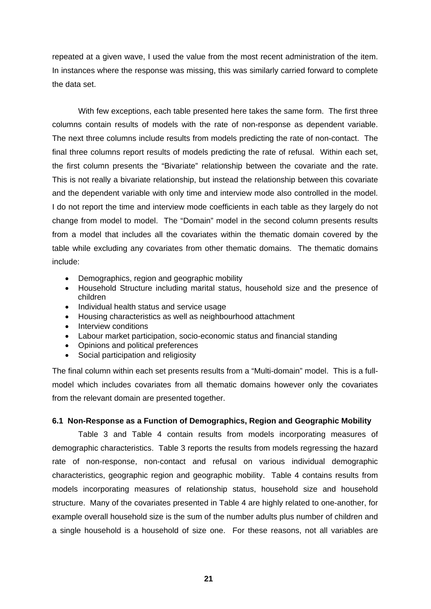repeated at a given wave, I used the value from the most recent administration of the item. In instances where the response was missing, this was similarly carried forward to complete the data set.

With few exceptions, each table presented here takes the same form. The first three columns contain results of models with the rate of non-response as dependent variable. The next three columns include results from models predicting the rate of non-contact. The final three columns report results of models predicting the rate of refusal. Within each set, the first column presents the "Bivariate" relationship between the covariate and the rate. This is not really a bivariate relationship, but instead the relationship between this covariate and the dependent variable with only time and interview mode also controlled in the model. I do not report the time and interview mode coefficients in each table as they largely do not change from model to model. The "Domain" model in the second column presents results from a model that includes all the covariates within the thematic domain covered by the table while excluding any covariates from other thematic domains. The thematic domains include:

- Demographics, region and geographic mobility
- Household Structure including marital status, household size and the presence of children
- Individual health status and service usage
- Housing characteristics as well as neighbourhood attachment
- Interview conditions
- Labour market participation, socio-economic status and financial standing
- Opinions and political preferences
- Social participation and religiosity

The final column within each set presents results from a "Multi-domain" model. This is a fullmodel which includes covariates from all thematic domains however only the covariates from the relevant domain are presented together.

#### **6.1 Non-Response as a Function of Demographics, Region and Geographic Mobility**

Table 3 and Table 4 contain results from models incorporating measures of demographic characteristics. Table 3 reports the results from models regressing the hazard rate of non-response, non-contact and refusal on various individual demographic characteristics, geographic region and geographic mobility. Table 4 contains results from models incorporating measures of relationship status, household size and household structure. Many of the covariates presented in Table 4 are highly related to one-another, for example overall household size is the sum of the number adults plus number of children and a single household is a household of size one. For these reasons, not all variables are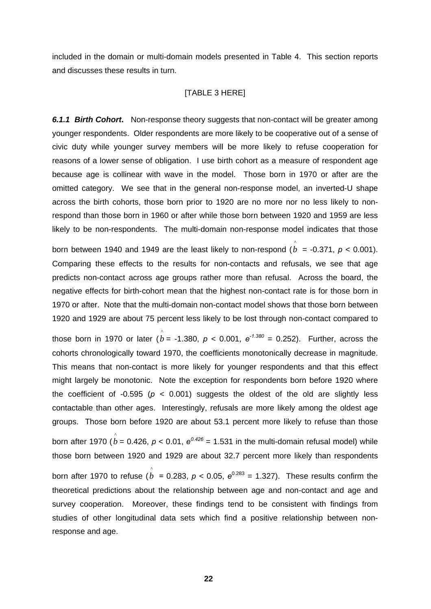included in the domain or multi-domain models presented in Table 4. This section reports and discusses these results in turn.

#### [TABLE 3 HERE]

*6.1.1 Birth Cohort***.** Non-response theory suggests that non-contact will be greater among younger respondents. Older respondents are more likely to be cooperative out of a sense of civic duty while younger survey members will be more likely to refuse cooperation for reasons of a lower sense of obligation. I use birth cohort as a measure of respondent age because age is collinear with wave in the model. Those born in 1970 or after are the omitted category. We see that in the general non-response model, an inverted-U shape across the birth cohorts, those born prior to 1920 are no more nor no less likely to nonrespond than those born in 1960 or after while those born between 1920 and 1959 are less likely to be non-respondents. The multi-domain non-response model indicates that those

born between 1940 and 1949 are the least likely to non-respond ( $\stackrel{\frown}{b}$  = -0.371, *p* < 0.001). Comparing these effects to the results for non-contacts and refusals, we see that age predicts non-contact across age groups rather more than refusal. Across the board, the negative effects for birth-cohort mean that the highest non-contact rate is for those born in 1970 or after. Note that the multi-domain non-contact model shows that those born between 1920 and 1929 are about 75 percent less likely to be lost through non-contact compared to

those born in 1970 or later ( $\hat{b}$  = -1.380,  $p$  < 0.001,  $e^{-.1.380}$  = 0.252). Further, across the cohorts chronologically toward 1970, the coefficients monotonically decrease in magnitude. This means that non-contact is more likely for younger respondents and that this effect might largely be monotonic. Note the exception for respondents born before 1920 where the coefficient of -0.595 ( $p < 0.001$ ) suggests the oldest of the old are slightly less contactable than other ages. Interestingly, refusals are more likely among the oldest age groups. Those born before 1920 are about 53.1 percent more likely to refuse than those born after 1970 ( $\rho = 0.426$ ,  $p < 0.01$ ,  $e^{0.426} = 1.531$  in the multi-domain refusal model) while those born between 1920 and 1929 are about 32.7 percent more likely than respondents born after 1970 to refuse  $(\stackrel{\circ}{b}=0.283,\, p< 0.05,\, e^{0.283}=1.327).$  These results confirm the theoretical predictions about the relationship between age and non-contact and age and survey cooperation. Moreover, these findings tend to be consistent with findings from studies of other longitudinal data sets which find a positive relationship between nonresponse and age.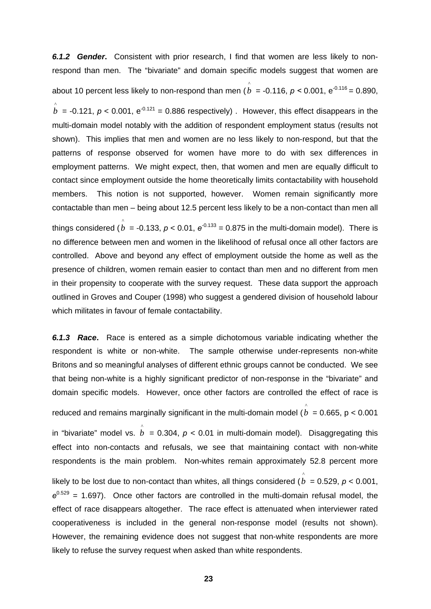*6.1.2 Gender***.** Consistent with prior research, I find that women are less likely to nonrespond than men. The "bivariate" and domain specific models suggest that women are about 10 percent less likely to non-respond than men ( $\stackrel{\circ}{b}$  = -0.116, *p* < 0.001, e<sup>-0.116</sup> = 0.890,  $\hat{b}$  = -0.121,  $p < 0.001$ ,  $e^{-0.121}$  = 0.886 respectively) . However, this effect disappears in the multi-domain model notably with the addition of respondent employment status (results not shown). This implies that men and women are no less likely to non-respond, but that the patterns of response observed for women have more to do with sex differences in employment patterns. We might expect, then, that women and men are equally difficult to contact since employment outside the home theoretically limits contactability with household members. This notion is not supported, however. Women remain significantly more contactable than men – being about 12.5 percent less likely to be a non-contact than men all things considered ( $\stackrel{\circ}{b}$  = -0.133, *p* < 0.01,  $e^{\text{-}0.133}$  = 0.875 in the multi-domain model). There is no difference between men and women in the likelihood of refusal once all other factors are controlled. Above and beyond any effect of employment outside the home as well as the presence of children, women remain easier to contact than men and no different from men in their propensity to cooperate with the survey request. These data support the approach outlined in Groves and Couper (1998) who suggest a gendered division of household labour which militates in favour of female contactability.

*6.1.3 Race***.** Race is entered as a simple dichotomous variable indicating whether the respondent is white or non-white. The sample otherwise under-represents non-white Britons and so meaningful analyses of different ethnic groups cannot be conducted. We see that being non-white is a highly significant predictor of non-response in the "bivariate" and domain specific models. However, once other factors are controlled the effect of race is

reduced and remains marginally significant in the multi-domain model  $(\stackrel{\wedge}{b}=0.665,\, {\rm p} < 0.001$ 

in "bivariate" model vs.  $\stackrel{\wedge}{b}$  = 0.304,  $p$  < 0.01 in multi-domain model). Disaggregating this effect into non-contacts and refusals, we see that maintaining contact with non-white respondents is the main problem. Non-whites remain approximately 52.8 percent more likely to be lost due to non-contact than whites, all things considered (  $\stackrel{\wedge}{b}=$  0.529, *p* < 0.001,  $e^{0.529}$  = 1.697). Once other factors are controlled in the multi-domain refusal model, the effect of race disappears altogether. The race effect is attenuated when interviewer rated cooperativeness is included in the general non-response model (results not shown). However, the remaining evidence does not suggest that non-white respondents are more likely to refuse the survey request when asked than white respondents.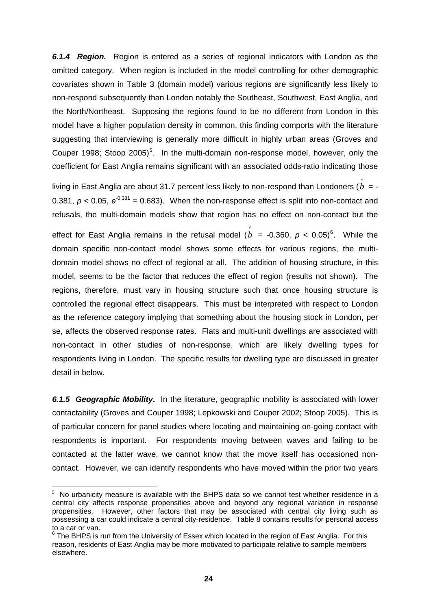<span id="page-26-0"></span>*6.1.4 Region.* Region is entered as a series of regional indicators with London as the omitted category. When region is included in the model controlling for other demographic covariates shown in Table 3 (domain model) various regions are significantly less likely to non-respond subsequently than London notably the Southeast, Southwest, East Anglia, and the North/Northeast. Supposing the regions found to be no different from London in this model have a higher population density in common, this finding comports with the literature suggesting that interviewing is generally more difficult in highly urban areas (Groves and Couper 1998; Stoop 200[5](#page-26-0))<sup>5</sup>. In the multi-domain non-response model, however, only the coefficient for East Anglia remains significant with an associated odds-ratio indicating those

living in East Anglia are about 31.7 percent less likely to non-respond than Londoners ( $\stackrel{\wedge}{b}=$  -0.381,  $p < 0.05$ ,  $e^{-0.381} = 0.683$ ). When the non-response effect is split into non-contact and refusals, the multi-domain models show that region has no effect on non-contact but the

effect for East Anglia remains in the refusal model  $(\stackrel{\circ}{b}=$  -0.3[6](#page-26-0)0,  $p <$  0.05)<sup>6</sup>. While the domain specific non-contact model shows some effects for various regions, the multidomain model shows no effect of regional at all. The addition of housing structure, in this model, seems to be the factor that reduces the effect of region (results not shown). The regions, therefore, must vary in housing structure such that once housing structure is controlled the regional effect disappears. This must be interpreted with respect to London as the reference category implying that something about the housing stock in London, per se, affects the observed response rates. Flats and multi-unit dwellings are associated with non-contact in other studies of non-response, which are likely dwelling types for respondents living in London. The specific results for dwelling type are discussed in greater detail in below.

*6.1.5 Geographic Mobility***.** In the literature, geographic mobility is associated with lower contactability (Groves and Couper 1998; Lepkowski and Couper 2002; Stoop 2005). This is of particular concern for panel studies where locating and maintaining on-going contact with respondents is important. For respondents moving between waves and failing to be contacted at the latter wave, we cannot know that the move itself has occasioned noncontact. However, we can identify respondents who have moved within the prior two years

 $\overline{a}$ 

 $5$  No urbanicity measure is available with the BHPS data so we cannot test whether residence in a central city affects response propensities above and beyond any regional variation in response propensities. However, other factors that may be associated with central city living such as possessing a car could indicate a central city-residence. Table 8 contains results for personal access to a car or van.

 $^6$  The BHPS is run from the University of Essex which located in the region of East Anglia. For this reason, residents of East Anglia may be more motivated to participate relative to sample members elsewhere.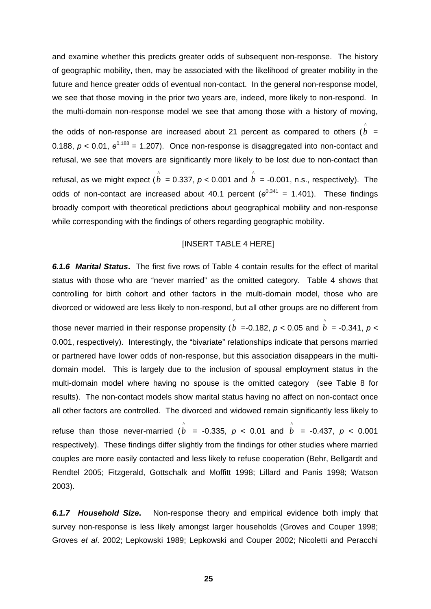and examine whether this predicts greater odds of subsequent non-response. The history of geographic mobility, then, may be associated with the likelihood of greater mobility in the future and hence greater odds of eventual non-contact. In the general non-response model, we see that those moving in the prior two years are, indeed, more likely to non-respond. In the multi-domain non-response model we see that among those with a history of moving,

the odds of non-response are increased about 21 percent as compared to others  $(\stackrel{\rightharpoonup}{b}=$ 0.188,  $p < 0.01$ ,  $e^{0.188} = 1.207$ ). Once non-response is disaggregated into non-contact and refusal, we see that movers are significantly more likely to be lost due to non-contact than refusal, as we might expect ( $\stackrel{\wedge}{b}$  = 0.337,  $p$  < 0.001 and  $\stackrel{\wedge}{b}$  = -0.001, n.s., respectively). The odds of non-contact are increased about 40.1 percent ( $e^{0.341}$  = 1.401). These findings broadly comport with theoretical predictions about geographical mobility and non-response while corresponding with the findings of others regarding geographic mobility.

#### [INSERT TABLE 4 HERE]

*6.1.6 Marital Status***.** The first five rows of Table 4 contain results for the effect of marital status with those who are "never married" as the omitted category. Table 4 shows that controlling for birth cohort and other factors in the multi-domain model, those who are divorced or widowed are less likely to non-respond, but all other groups are no different from

those never married in their response propensity ( $\stackrel{\wedge}{b}$  =-0.182,  $p$  < 0.05 and  $\stackrel{\wedge}{b}$  = -0.341,  $p$  < 0.001, respectively). Interestingly, the "bivariate" relationships indicate that persons married or partnered have lower odds of non-response, but this association disappears in the multidomain model. This is largely due to the inclusion of spousal employment status in the multi-domain model where having no spouse is the omitted category (see Table 8 for results). The non-contact models show marital status having no affect on non-contact once all other factors are controlled. The divorced and widowed remain significantly less likely to refuse than those never-married ( $\hat{b}$  = -0.335,  $p$  < 0.01 and  $\hat{b}$  = -0.437,  $p$  < 0.001 respectively). These findings differ slightly from the findings for other studies where married couples are more easily contacted and less likely to refuse cooperation (Behr, Bellgardt and Rendtel 2005; Fitzgerald, Gottschalk and Moffitt 1998; Lillard and Panis 1998; Watson 2003). ^ ^

*6.1.7 Household Size***.** Non-response theory and empirical evidence both imply that survey non-response is less likely amongst larger households (Groves and Couper 1998; Groves *et al*. 2002; Lepkowski 1989; Lepkowski and Couper 2002; Nicoletti and Peracchi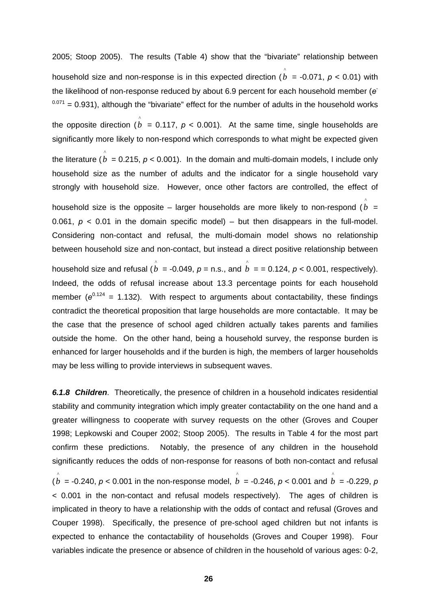2005; Stoop 2005). The results (Table 4) show that the "bivariate" relationship between household size and non-response is in this expected direction (  $\stackrel{\wedge}{b}$  = -0.071, *p* < 0.01) with the likelihood of non-response reduced by about 6.9 percent for each household member (*e* -  $0.071$  = 0.931), although the "bivariate" effect for the number of adults in the household works the opposite direction  $(\stackrel{\frown}{b} = 0.117, p < 0.001)$ . At the same time, single households are significantly more likely to non-respond which corresponds to what might be expected given the literature ( $\rho \over \hat{b}$  = 0.215,  $p$  < 0.001). In the domain and multi-domain models, I include only household size as the number of adults and the indicator for a single household vary strongly with household size. However, once other factors are controlled, the effect of household size is the opposite  $-$  larger households are more likely to non-respond ( $b =$ 0.061,  $p < 0.01$  in the domain specific model) – but then disappears in the full-model. Considering non-contact and refusal, the multi-domain model shows no relationship between household size and non-contact, but instead a direct positive relationship between household size and refusal ( $\stackrel{\wedge}{b}$  = -0.049,  $p$  = n.s., and  $\stackrel{\wedge}{b}$  = = 0.124,  $p$  < 0.001, respectively). Indeed, the odds of refusal increase about 13.3 percentage points for each household member  $(e^{0.124} = 1.132)$ . With respect to arguments about contactability, these findings ^ ^ contradict the theoretical proposition that large households are more contactable. It may be

the case that the presence of school aged children actually takes parents and families outside the home. On the other hand, being a household survey, the response burden is enhanced for larger households and if the burden is high, the members of larger households may be less willing to provide interviews in subsequent waves.

*6.1.8 Children.* Theoretically, the presence of children in a household indicates residential stability and community integration which imply greater contactability on the one hand and a greater willingness to cooperate with survey requests on the other (Groves and Couper 1998; Lepkowski and Couper 2002; Stoop 2005). The results in Table 4 for the most part confirm these predictions. Notably, the presence of any children in the household significantly reduces the odds of non-response for reasons of both non-contact and refusal  $(\stackrel{\wedge}{b}$  = -0.240,  $p$  < 0.001 in the non-response model,  $\stackrel{\wedge}{b}$  = -0.246,  $p$  < 0.001 and  $\stackrel{\wedge}{b}$  = -0.229,  $p$ < 0.001 in the non-contact and refusal models respectively). The ages of children is implicated in theory to have a relationship with the odds of contact and refusal (Groves and Couper 1998). Specifically, the presence of pre-school aged children but not infants is expected to enhance the contactability of households (Groves and Couper 1998). Four variables indicate the presence or absence of children in the household of various ages: 0-2, ^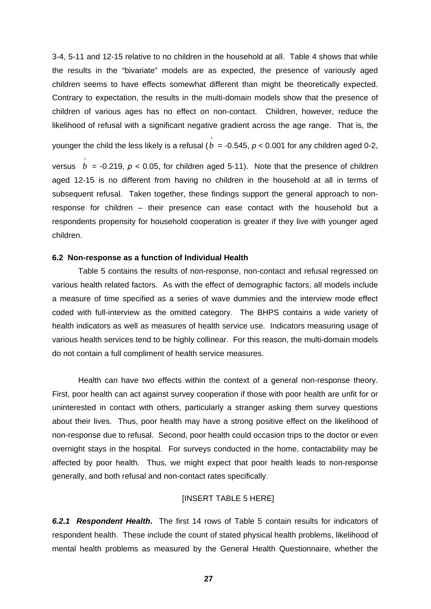3-4, 5-11 and 12-15 relative to no children in the household at all. Table 4 shows that while the results in the "bivariate" models are as expected, the presence of variously aged children seems to have effects somewhat different than might be theoretically expected. Contrary to expectation, the results in the multi-domain models show that the presence of children of various ages has no effect on non-contact. Children, however, reduce the likelihood of refusal with a significant negative gradient across the age range. That is, the

younger the child the less likely is a refusal ( $\stackrel{\wedge}{b}=$  -0.545,  $p$  < 0.001 for any children aged 0-2,

versus  $b = -0.219$ ,  $p < 0.05$ , for children aged 5-11). Note that the presence of children aged 12-15 is no different from having no children in the household at all in terms of subsequent refusal. Taken together, these findings support the general approach to nonresponse for children – their presence can ease contact with the household but a respondents propensity for household cooperation is greater if they live with younger aged children. ^

#### **6.2 Non-response as a function of Individual Health**

Table 5 contains the results of non-response, non-contact and refusal regressed on various health related factors. As with the effect of demographic factors, all models include a measure of time specified as a series of wave dummies and the interview mode effect coded with full-interview as the omitted category. The BHPS contains a wide variety of health indicators as well as measures of health service use. Indicators measuring usage of various health services tend to be highly collinear. For this reason, the multi-domain models do not contain a full compliment of health service measures.

Health can have two effects within the context of a general non-response theory. First, poor health can act against survey cooperation if those with poor health are unfit for or uninterested in contact with others, particularly a stranger asking them survey questions about their lives. Thus, poor health may have a strong positive effect on the likelihood of non-response due to refusal. Second, poor health could occasion trips to the doctor or even overnight stays in the hospital. For surveys conducted in the home, contactability may be affected by poor health. Thus, we might expect that poor health leads to non-response generally, and both refusal and non-contact rates specifically.

#### [INSERT TABLE 5 HERE]

*6.2.1 Respondent Health***.** The first 14 rows of Table 5 contain results for indicators of respondent health. These include the count of stated physical health problems, likelihood of mental health problems as measured by the General Health Questionnaire, whether the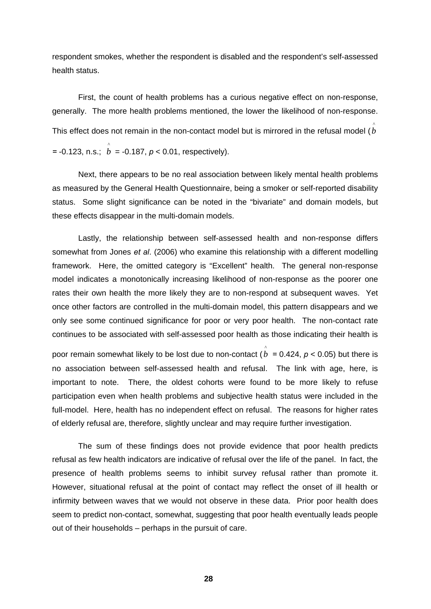respondent smokes, whether the respondent is disabled and the respondent's self-assessed health status.

First, the count of health problems has a curious negative effect on non-response, generally. The more health problems mentioned, the lower the likelihood of non-response. This effect does not remain in the non-contact model but is mirrored in the refusal model (  $\stackrel{\wedge}{b}$  $=$  -0.123, n.s.;  $\hat{b} =$  -0.187,  $p < 0.01$ , respectively).

Next, there appears to be no real association between likely mental health problems as measured by the General Health Questionnaire, being a smoker or self-reported disability status. Some slight significance can be noted in the "bivariate" and domain models, but these effects disappear in the multi-domain models.

Lastly, the relationship between self-assessed health and non-response differs somewhat from Jones *et al*. (2006) who examine this relationship with a different modelling framework. Here, the omitted category is "Excellent" health. The general non-response model indicates a monotonically increasing likelihood of non-response as the poorer one rates their own health the more likely they are to non-respond at subsequent waves. Yet once other factors are controlled in the multi-domain model, this pattern disappears and we only see some continued significance for poor or very poor health. The non-contact rate continues to be associated with self-assessed poor health as those indicating their health is

poor remain somewhat likely to be lost due to non-contact ( $b = 0.424$ ,  $p < 0.05$ ) but there is no association between self-assessed health and refusal. The link with age, here, is important to note. There, the oldest cohorts were found to be more likely to refuse participation even when health problems and subjective health status were included in the full-model. Here, health has no independent effect on refusal. The reasons for higher rates of elderly refusal are, therefore, slightly unclear and may require further investigation. ^

The sum of these findings does not provide evidence that poor health predicts refusal as few health indicators are indicative of refusal over the life of the panel. In fact, the presence of health problems seems to inhibit survey refusal rather than promote it. However, situational refusal at the point of contact may reflect the onset of ill health or infirmity between waves that we would not observe in these data. Prior poor health does seem to predict non-contact, somewhat, suggesting that poor health eventually leads people out of their households – perhaps in the pursuit of care.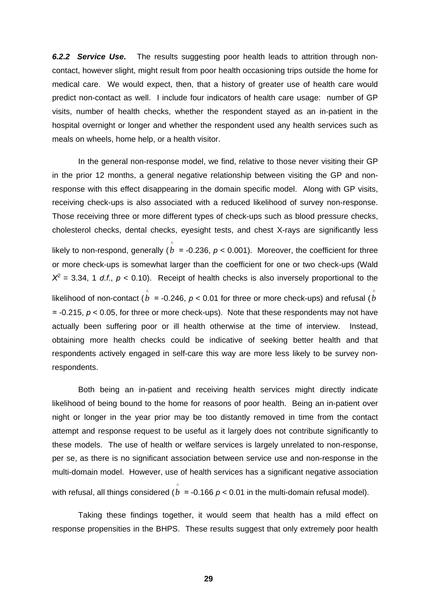*6.2.2 Service Use***.** The results suggesting poor health leads to attrition through noncontact, however slight, might result from poor health occasioning trips outside the home for medical care. We would expect, then, that a history of greater use of health care would predict non-contact as well. I include four indicators of health care usage: number of GP visits, number of health checks, whether the respondent stayed as an in-patient in the hospital overnight or longer and whether the respondent used any health services such as meals on wheels, home help, or a health visitor.

In the general non-response model, we find, relative to those never visiting their GP in the prior 12 months, a general negative relationship between visiting the GP and nonresponse with this effect disappearing in the domain specific model. Along with GP visits, receiving check-ups is also associated with a reduced likelihood of survey non-response. Those receiving three or more different types of check-ups such as blood pressure checks, cholesterol checks, dental checks, eyesight tests, and chest X-rays are significantly less likely to non-respond, generally ( $\stackrel{\wedge}{b}$  = -0.236,  $p$  < 0.001). Moreover, the coefficient for three or more check-ups is somewhat larger than the coefficient for one or two check-ups (Wald  $X^2$  = 3.34, 1 *d.f.*,  $p$  < 0.10). Receipt of health checks is also inversely proportional to the likelihood of non-contact ( $\overset{\wedge}{b}$  = -0.246,  $p$  < 0.01 for three or more check-ups) and refusal ( $\overset{\wedge}{b}$ *=* -0.215, *p* < 0.05, for three or more check-ups). Note that these respondents may not have actually been suffering poor or ill health otherwise at the time of interview. Instead, obtaining more health checks could be indicative of seeking better health and that respondents actively engaged in self-care this way are more less likely to be survey nonrespondents.

Both being an in-patient and receiving health services might directly indicate likelihood of being bound to the home for reasons of poor health. Being an in-patient over night or longer in the year prior may be too distantly removed in time from the contact attempt and response request to be useful as it largely does not contribute significantly to these models. The use of health or welfare services is largely unrelated to non-response, per se, as there is no significant association between service use and non-response in the multi-domain model. However, use of health services has a significant negative association with refusal, all things considered ( $\overset{\circ}{b}$  = -0.166 *p* < 0.01 in the multi-domain refusal model).

Taking these findings together, it would seem that health has a mild effect on response propensities in the BHPS. These results suggest that only extremely poor health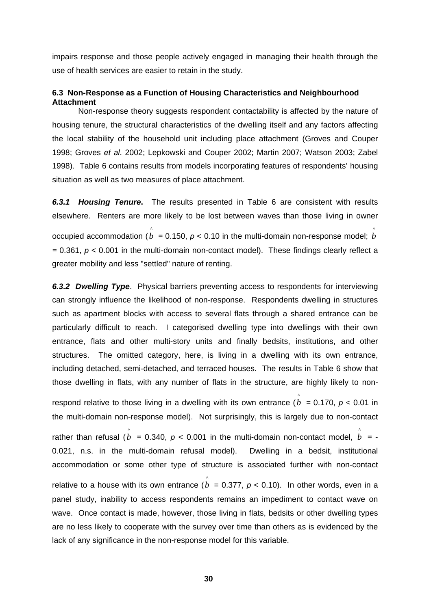impairs response and those people actively engaged in managing their health through the use of health services are easier to retain in the study.

#### **6.3 Non-Response as a Function of Housing Characteristics and Neighbourhood Attachment**

Non-response theory suggests respondent contactability is affected by the nature of housing tenure, the structural characteristics of the dwelling itself and any factors affecting the local stability of the household unit including place attachment (Groves and Couper 1998; Groves *et al*. 2002; Lepkowski and Couper 2002; Martin 2007; Watson 2003; Zabel 1998). Table 6 contains results from models incorporating features of respondents' housing situation as well as two measures of place attachment.

*6.3.1 Housing Tenure***.** The results presented in Table 6 are consistent with results elsewhere. Renters are more likely to be lost between waves than those living in owner occupied accommodation (  $\stackrel{\wedge}{b}$  = 0.150,  $p$  < 0.10 in the multi-domain non-response model;  $\stackrel{\wedge}{b}$ *=* 0.361, *p* < 0.001 in the multi-domain non-contact model). These findings clearly reflect a greater mobility and less "settled" nature of renting.

*6.3.2 Dwelling Type*. Physical barriers preventing access to respondents for interviewing can strongly influence the likelihood of non-response. Respondents dwelling in structures such as apartment blocks with access to several flats through a shared entrance can be particularly difficult to reach. I categorised dwelling type into dwellings with their own entrance, flats and other multi-story units and finally bedsits, institutions, and other structures. The omitted category, here, is living in a dwelling with its own entrance, including detached, semi-detached, and terraced houses. The results in Table 6 show that those dwelling in flats, with any number of flats in the structure, are highly likely to non-

^

respond relative to those living in a dwelling with its own entrance ( $b = 0.170$ ,  $p < 0.01$  in the multi-domain non-response model). Not surprisingly, this is largely due to non-contact rather than refusal  $(\stackrel{\wedge}{b} = 0.340, p < 0.001$  in the multi-domain non-contact model,  $\stackrel{\wedge}{b} = -1$ 0.021, n.s. in the multi-domain refusal model). Dwelling in a bedsit, institutional accommodation or some other type of structure is associated further with non-contact relative to a house with its own entrance ( $b = 0.377$ ,  $p < 0.10$ ). In other words, even in a panel study, inability to access respondents remains an impediment to contact wave on wave. Once contact is made, however, those living in flats, bedsits or other dwelling types are no less likely to cooperate with the survey over time than others as is evidenced by the lack of any significance in the non-response model for this variable. ^ ^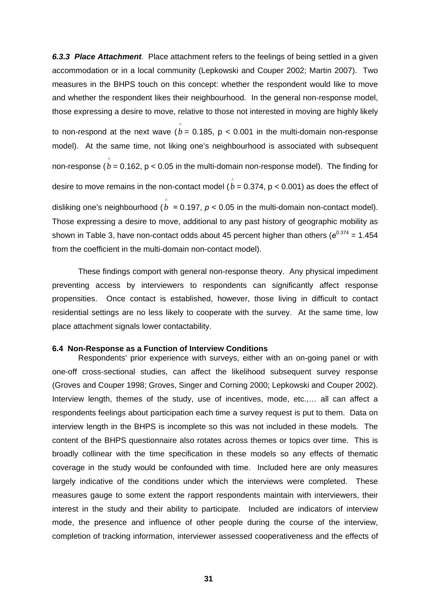*6.3.3 Place Attachment*. Place attachment refers to the feelings of being settled in a given accommodation or in a local community (Lepkowski and Couper 2002; Martin 2007). Two measures in the BHPS touch on this concept: whether the respondent would like to move and whether the respondent likes their neighbourhood. In the general non-response model, those expressing a desire to move, relative to those not interested in moving are highly likely to non-respond at the next wave  $\hat{(b = 0.185, p < 0.001)}$  in the multi-domain non-response model). At the same time, not liking one's neighbourhood is associated with subsequent non-response ( $\overset{\circ}{b}$  = 0.162, p < 0.05 in the multi-domain non-response model). The finding for desire to move remains in the non-contact model (  $\stackrel{\wedge}{b}=$  0.374, p < 0.001) as does the effect of disliking one's neighbourhood ( $b = 0.197$ ,  $p < 0.05$  in the multi-domain non-contact model). Those expressing a desire to move, additional to any past history of geographic mobility as shown in Table 3, have non-contact odds about 45 percent higher than others ( $e^{0.374}$  = 1.454 ^ from the coefficient in the multi-domain non-contact model).

These findings comport with general non-response theory. Any physical impediment preventing access by interviewers to respondents can significantly affect response propensities. Once contact is established, however, those living in difficult to contact residential settings are no less likely to cooperate with the survey. At the same time, low place attachment signals lower contactability.

#### **6.4 Non-Response as a Function of Interview Conditions**

Respondents' prior experience with surveys, either with an on-going panel or with one-off cross-sectional studies, can affect the likelihood subsequent survey response (Groves and Couper 1998; Groves, Singer and Corning 2000; Lepkowski and Couper 2002). Interview length, themes of the study, use of incentives, mode, etc.,... all can affect a respondents feelings about participation each time a survey request is put to them. Data on interview length in the BHPS is incomplete so this was not included in these models. The content of the BHPS questionnaire also rotates across themes or topics over time. This is broadly collinear with the time specification in these models so any effects of thematic coverage in the study would be confounded with time. Included here are only measures largely indicative of the conditions under which the interviews were completed. These measures gauge to some extent the rapport respondents maintain with interviewers, their interest in the study and their ability to participate. Included are indicators of interview mode, the presence and influence of other people during the course of the interview, completion of tracking information, interviewer assessed cooperativeness and the effects of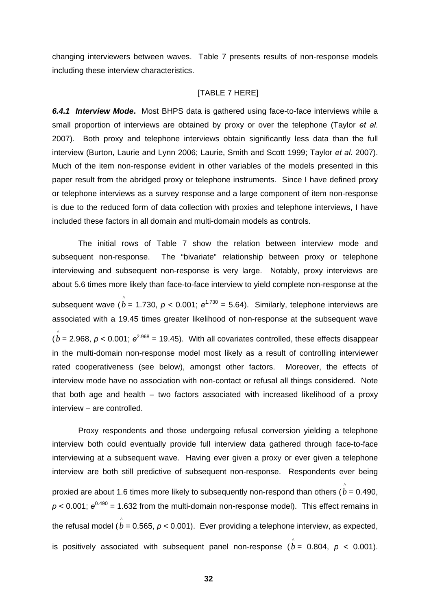changing interviewers between waves. Table 7 presents results of non-response models including these interview characteristics.

#### [TABLE 7 HERE]

*6.4.1 Interview Mode***.** Most BHPS data is gathered using face-to-face interviews while a small proportion of interviews are obtained by proxy or over the telephone (Taylor *et al*. 2007). Both proxy and telephone interviews obtain significantly less data than the full interview (Burton, Laurie and Lynn 2006; Laurie, Smith and Scott 1999; Taylor *et al*. 2007). Much of the item non-response evident in other variables of the models presented in this paper result from the abridged proxy or telephone instruments. Since I have defined proxy or telephone interviews as a survey response and a large component of item non-response is due to the reduced form of data collection with proxies and telephone interviews, I have included these factors in all domain and multi-domain models as controls.

The initial rows of Table 7 show the relation between interview mode and subsequent non-response. The "bivariate" relationship between proxy or telephone interviewing and subsequent non-response is very large. Notably, proxy interviews are about 5.6 times more likely than face-to-face interview to yield complete non-response at the subsequent wave ( $\stackrel{\wedge}{b}$  = 1.730,  $p$  < 0.001;  $e^{1.730}$  = 5.64). Similarly, telephone interviews are associated with a 19.45 times greater likelihood of non-response at the subsequent wave  $\hat{b}$  = 2.968,  $p$  < 0.001;  $e^{2.968}$  = 19.45). With all covariates controlled, these effects disappear in the multi-domain non-response model most likely as a result of controlling interviewer rated cooperativeness (see below), amongst other factors. Moreover, the effects of interview mode have no association with non-contact or refusal all things considered. Note that both age and health – two factors associated with increased likelihood of a proxy interview – are controlled.

Proxy respondents and those undergoing refusal conversion yielding a telephone interview both could eventually provide full interview data gathered through face-to-face interviewing at a subsequent wave. Having ever given a proxy or ever given a telephone interview are both still predictive of subsequent non-response. Respondents ever being proxied are about 1.6 times more likely to subsequently non-respond than others (  $\stackrel{\wedge}{b}$  = 0.490,  $p < 0.001$ ;  $e^{0.490}$  = 1.632 from the multi-domain non-response model). This effect remains in the refusal model ( $\stackrel{\wedge}{b}$  = 0.565, *p* < 0.001). Ever providing a telephone interview, as expected, is positively associated with subsequent panel non-response ( $\stackrel{\wedge}{b}$  = 0.804,  $\stackrel{\sim}{p}$  < 0.001).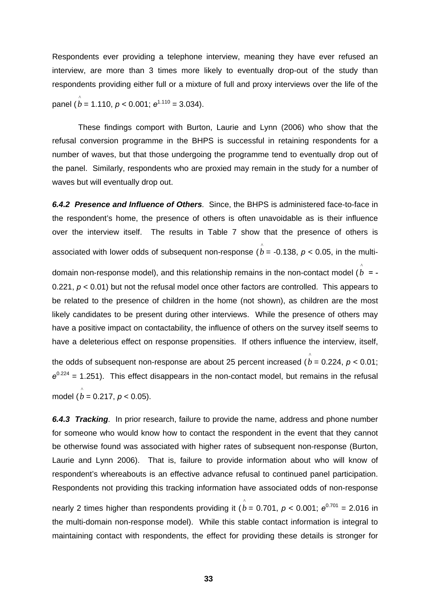Respondents ever providing a telephone interview, meaning they have ever refused an interview, are more than 3 times more likely to eventually drop-out of the study than respondents providing either full or a mixture of full and proxy interviews over the life of the

panel  $(\stackrel{\wedge}{b} = 1.110, p < 0.001; e^{1.110} = 3.034).$ 

These findings comport with Burton, Laurie and Lynn (2006) who show that the refusal conversion programme in the BHPS is successful in retaining respondents for a number of waves, but that those undergoing the programme tend to eventually drop out of the panel. Similarly, respondents who are proxied may remain in the study for a number of waves but will eventually drop out.

*6.4.2 Presence and Influence of Others.* Since, the BHPS is administered face-to-face in the respondent's home, the presence of others is often unavoidable as is their influence over the interview itself. The results in Table 7 show that the presence of others is associated with lower odds of subsequent non-response ( $\overset{\wedge}{b}$  = -0.138, *p <* 0.05, in the multi-

domain non-response model), and this relationship remains in the non-contact model  $(\stackrel{\wedge}{b}$  = -0.221,  $p < 0.01$ ) but not the refusal model once other factors are controlled. This appears to be related to the presence of children in the home (not shown), as children are the most likely candidates to be present during other interviews. While the presence of others may have a positive impact on contactability, the influence of others on the survey itself seems to have a deleterious effect on response propensities. If others influence the interview, itself,

the odds of subsequent non-response are about 25 percent increased ( $\overset{\circ}{b}$  = 0.224, *p* < 0.01;  $e^{0.224}$  = 1.251). This effect disappears in the non-contact model, but remains in the refusal  $\angle$  model ( $\hat{b}$  = 0.217, *p* < 0.05).

*6.4.3 Tracking.* In prior research, failure to provide the name, address and phone number for someone who would know how to contact the respondent in the event that they cannot be otherwise found was associated with higher rates of subsequent non-response (Burton, Laurie and Lynn 2006). That is, failure to provide information about who will know of respondent's whereabouts is an effective advance refusal to continued panel participation. Respondents not providing this tracking information have associated odds of non-response

nearly 2 times higher than respondents providing it ( $\stackrel{\wedge}{b}$  = 0.701, *p* < 0.001;  $e^{0.701}$  = 2.016 in the multi-domain non-response model). While this stable contact information is integral to maintaining contact with respondents, the effect for providing these details is stronger for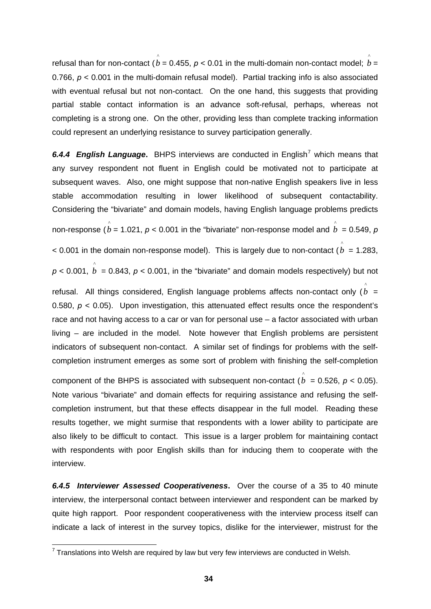<span id="page-36-0"></span>refusal than for non-contact (  $\stackrel{\wedge}{b}=$  0.455, *p* < 0.01 in the multi-domain non-contact model;  $\stackrel{\wedge}{b}=$ 0.766,  $p < 0.001$  in the multi-domain refusal model). Partial tracking info is also associated with eventual refusal but not non-contact. On the one hand, this suggests that providing partial stable contact information is an advance soft-refusal, perhaps, whereas not completing is a strong one. On the other, providing less than complete tracking information could represent an underlying resistance to survey participation generally. ^

6.4.4 English Language. BHPS interviews are conducted in English<sup>[7](#page-36-0)</sup> which means that any survey respondent not fluent in English could be motivated not to participate at subsequent waves. Also, one might suppose that non-native English speakers live in less stable accommodation resulting in lower likelihood of subsequent contactability. Considering the "bivariate" and domain models, having English language problems predicts non-response ( $\stackrel{\circ}{b}$  = 1.021, *p* < 0.001 in the "bivariate" non-response model and  $\stackrel{\circ}{b}$  = 0.549, *p*  $<$  0.001 in the domain non-response model). This is largely due to non-contact ( $\stackrel{\wedge}{b}$  = 1.283,  $p < 0.001$ ,  $\stackrel{\wedge}{b} = 0.843$ ,  $p < 0.001$ , in the "bivariate" and domain models respectively) but not refusal. All things considered, English language problems affects non-contact only  $(\stackrel{\wedge}{b}=$ 0.580,  $p < 0.05$ ). Upon investigation, this attenuated effect results once the respondent's race and not having access to a car or van for personal use – a factor associated with urban living – are included in the model. Note however that English problems are persistent indicators of subsequent non-contact. A similar set of findings for problems with the selfcompletion instrument emerges as some sort of problem with finishing the self-completion

component of the BHPS is associated with subsequent non-contact ( $\stackrel{\wedge}{b}$  = 0.526,  $p$  < 0.05). Note various "bivariate" and domain effects for requiring assistance and refusing the selfcompletion instrument, but that these effects disappear in the full model. Reading these results together, we might surmise that respondents with a lower ability to participate are also likely to be difficult to contact. This issue is a larger problem for maintaining contact with respondents with poor English skills than for inducing them to cooperate with the interview.

*6.4.5 Interviewer Assessed Cooperativeness***.** Over the course of a 35 to 40 minute interview, the interpersonal contact between interviewer and respondent can be marked by quite high rapport. Poor respondent cooperativeness with the interview process itself can indicate a lack of interest in the survey topics, dislike for the interviewer, mistrust for the

 7 Translations into Welsh are required by law but very few interviews are conducted in Welsh.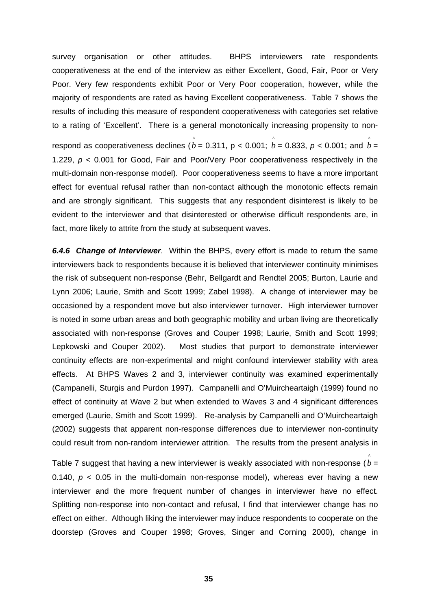survey organisation or other attitudes. BHPS interviewers rate respondents cooperativeness at the end of the interview as either Excellent, Good, Fair, Poor or Very Poor. Very few respondents exhibit Poor or Very Poor cooperation, however, while the majority of respondents are rated as having Excellent cooperativeness. Table 7 shows the results of including this measure of respondent cooperativeness with categories set relative to a rating of 'Excellent'. There is a general monotonically increasing propensity to nonrespond as cooperativeness declines (  $\stackrel{\circ}{b}$  = 0.311, p < 0.001;  $\stackrel{\circ}{b}$  = 0.833, *p* < 0.001; and  $\stackrel{\circ}{b}$  = 1.229, *p* < 0.001 for Good, Fair and Poor/Very Poor cooperativeness respectively in the multi-domain non-response model). Poor cooperativeness seems to have a more important effect for eventual refusal rather than non-contact although the monotonic effects remain and are strongly significant. This suggests that any respondent disinterest is likely to be evident to the interviewer and that disinterested or otherwise difficult respondents are, in fact, more likely to attrite from the study at subsequent waves.

*6.4.6 Change of Interviewer*. Within the BHPS, every effort is made to return the same interviewers back to respondents because it is believed that interviewer continuity minimises the risk of subsequent non-response (Behr, Bellgardt and Rendtel 2005; Burton, Laurie and Lynn 2006; Laurie, Smith and Scott 1999; Zabel 1998). A change of interviewer may be occasioned by a respondent move but also interviewer turnover. High interviewer turnover is noted in some urban areas and both geographic mobility and urban living are theoretically associated with non-response (Groves and Couper 1998; Laurie, Smith and Scott 1999; Lepkowski and Couper 2002). Most studies that purport to demonstrate interviewer continuity effects are non-experimental and might confound interviewer stability with area effects. At BHPS Waves 2 and 3, interviewer continuity was examined experimentally (Campanelli, Sturgis and Purdon 1997). Campanelli and O'Muircheartaigh (1999) found no effect of continuity at Wave 2 but when extended to Waves 3 and 4 significant differences emerged (Laurie, Smith and Scott 1999). Re-analysis by Campanelli and O'Muircheartaigh (2002) suggests that apparent non-response differences due to interviewer non-continuity could result from non-random interviewer attrition. The results from the present analysis in

Table 7 suggest that having a new interviewer is weakly associated with non-response ( $\overset{\circ}{b}$  = 0.140,  $p < 0.05$  in the multi-domain non-response model), whereas ever having a new interviewer and the more frequent number of changes in interviewer have no effect. Splitting non-response into non-contact and refusal, I find that interviewer change has no effect on either. Although liking the interviewer may induce respondents to cooperate on the doorstep (Groves and Couper 1998; Groves, Singer and Corning 2000), change in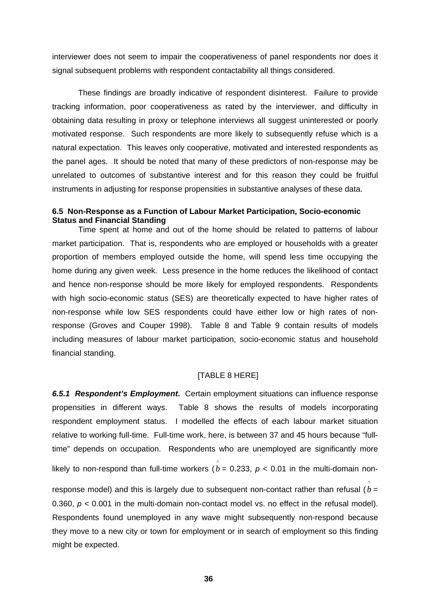interviewer does not seem to impair the cooperativeness of panel respondents nor does it signal subsequent problems with respondent contactability all things considered.

These findings are broadly indicative of respondent disinterest. Failure to provide tracking information, poor cooperativeness as rated by the interviewer, and difficulty in obtaining data resulting in proxy or telephone interviews all suggest uninterested or poorly motivated response. Such respondents are more likely to subsequently refuse which is a natural expectation. This leaves only cooperative, motivated and interested respondents as the panel ages. It should be noted that many of these predictors of non-response may be unrelated to outcomes of substantive interest and for this reason they could be fruitful instruments in adjusting for response propensities in substantive analyses of these data.

### **6.5 Non-Response as a Function of Labour Market Participation, Socio-economic Status and Financial Standing**

Time spent at home and out of the home should be related to patterns of labour market participation. That is, respondents who are employed or households with a greater proportion of members employed outside the home, will spend less time occupying the home during any given week. Less presence in the home reduces the likelihood of contact and hence non-response should be more likely for employed respondents. Respondents with high socio-economic status (SES) are theoretically expected to have higher rates of non-response while low SES respondents could have either low or high rates of nonresponse (Groves and Couper 1998). Table 8 and Table 9 contain results of models including measures of labour market participation, socio-economic status and household financial standing.

## [TABLE 8 HERE]

*6.5.1 Respondent's Employment***.** Certain employment situations can influence response propensities in different ways. Table 8 shows the results of models incorporating respondent employment status. I modelled the effects of each labour market situation relative to working full-time. Full-time work, here, is between 37 and 45 hours because "fulltime" depends on occupation. Respondents who are unemployed are significantly more likely to non-respond than full-time workers ( $b = 0.233$ ,  $p < 0.01$  in the multi-domain non-^

response model) and this is largely due to subsequent non-contact rather than refusal  $(b =$ 0.360,  $p < 0.001$  in the multi-domain non-contact model vs. no effect in the refusal model). Respondents found unemployed in any wave might subsequently non-respond because they move to a new city or town for employment or in search of employment so this finding might be expected.

^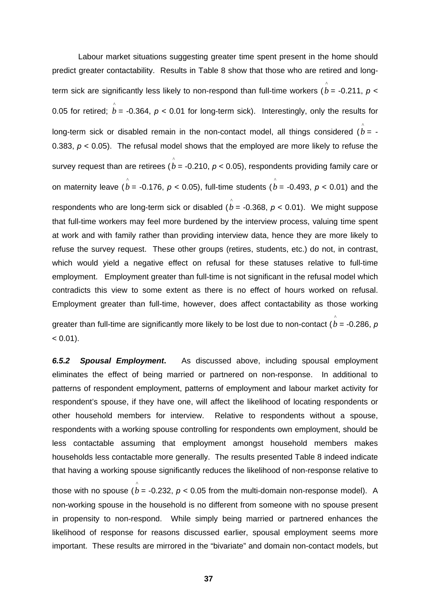Labour market situations suggesting greater time spent present in the home should predict greater contactability. Results in Table 8 show that those who are retired and longterm sick are significantly less likely to non-respond than full-time workers ( $\stackrel{\wedge}{b}$  = -0.211, *p* < 0.05 for retired;  $\stackrel{\wedge}{b}$  = -0.364,  $p$  < 0.01 for long-term sick). Interestingly, only the results for long-term sick or disabled remain in the non-contact model, all things considered  $(\stackrel{\wedge}{b}=$  -0.383, *p* < 0.05). The refusal model shows that the employed are more likely to refuse the survey request than are retirees ( $\stackrel{\wedge}{b}$  = -0.210, *p* < 0.05), respondents providing family care or on maternity leave  $(\stackrel{\wedge}{b} =$  -0.176,  $p <$  0.05), full-time students  $(\stackrel{\wedge}{b} =$  -0.493,  $p <$  0.01) and the respondents who are long-term sick or disabled ( $b = -0.368$ ,  $p < 0.01$ ). We might suppose that full-time workers may feel more burdened by the interview process, valuing time spent at work and with family rather than providing interview data, hence they are more likely to refuse the survey request. These other groups (retires, students, etc.) do not, in contrast, which would yield a negative effect on refusal for these statuses relative to full-time employment. Employment greater than full-time is not significant in the refusal model which contradicts this view to some extent as there is no effect of hours worked on refusal. Employment greater than full-time, however, does affect contactability as those working greater than full-time are significantly more likely to be lost due to non-contact (  $\stackrel{\wedge}{b}$  = -0.286, *p* ^

 $< 0.01$ ).

*6.5.2 Spousal Employment***.** As discussed above, including spousal employment eliminates the effect of being married or partnered on non-response. In additional to patterns of respondent employment, patterns of employment and labour market activity for respondent's spouse, if they have one, will affect the likelihood of locating respondents or other household members for interview. Relative to respondents without a spouse, respondents with a working spouse controlling for respondents own employment, should be less contactable assuming that employment amongst household members makes households less contactable more generally. The results presented Table 8 indeed indicate that having a working spouse significantly reduces the likelihood of non-response relative to

those with no spouse ( $\rho^{\wedge}$  = -0.232,  $\rho$  < 0.05 from the multi-domain non-response model). A non-working spouse in the household is no different from someone with no spouse present in propensity to non-respond. While simply being married or partnered enhances the likelihood of response for reasons discussed earlier, spousal employment seems more important. These results are mirrored in the "bivariate" and domain non-contact models, but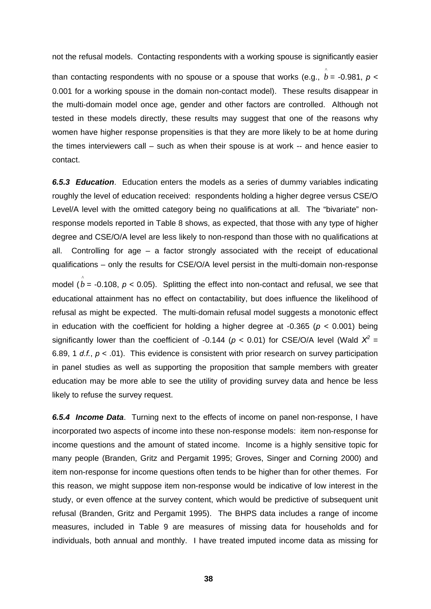not the refusal models. Contacting respondents with a working spouse is significantly easier

than contacting respondents with no spouse or a spouse that works (e.g.,  $\stackrel{\wedge}{b}$  = -0.981, *p* < 0.001 for a working spouse in the domain non-contact model). These results disappear in the multi-domain model once age, gender and other factors are controlled. Although not tested in these models directly, these results may suggest that one of the reasons why women have higher response propensities is that they are more likely to be at home during the times interviewers call – such as when their spouse is at work -- and hence easier to contact.

*6.5.3 Education*. Education enters the models as a series of dummy variables indicating roughly the level of education received: respondents holding a higher degree versus CSE/O Level/A level with the omitted category being no qualifications at all. The "bivariate" nonresponse models reported in Table 8 shows, as expected, that those with any type of higher degree and CSE/O/A level are less likely to non-respond than those with no qualifications at all. Controlling for age  $-$  a factor strongly associated with the receipt of educational qualifications – only the results for CSE/O/A level persist in the multi-domain non-response

model ( $\stackrel{\frown}{b}$  = -0.108,  $p$  < 0.05). Splitting the effect into non-contact and refusal, we see that educational attainment has no effect on contactability, but does influence the likelihood of refusal as might be expected. The multi-domain refusal model suggests a monotonic effect in education with the coefficient for holding a higher degree at  $-0.365$  ( $p < 0.001$ ) being significantly lower than the coefficient of -0.144 ( $p < 0.01$ ) for CSE/O/A level (Wald  $X^2 =$ 6.89, 1 *d.f.*, *p* < .01). This evidence is consistent with prior research on survey participation in panel studies as well as supporting the proposition that sample members with greater education may be more able to see the utility of providing survey data and hence be less likely to refuse the survey request.

*6.5.4 Income Data*. Turning next to the effects of income on panel non-response, I have incorporated two aspects of income into these non-response models: item non-response for income questions and the amount of stated income. Income is a highly sensitive topic for many people (Branden, Gritz and Pergamit 1995; Groves, Singer and Corning 2000) and item non-response for income questions often tends to be higher than for other themes. For this reason, we might suppose item non-response would be indicative of low interest in the study, or even offence at the survey content, which would be predictive of subsequent unit refusal (Branden, Gritz and Pergamit 1995). The BHPS data includes a range of income measures, included in Table 9 are measures of missing data for households and for individuals, both annual and monthly. I have treated imputed income data as missing for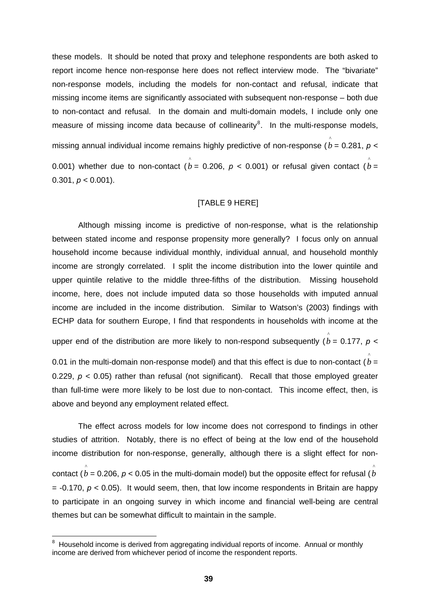<span id="page-41-0"></span>these models. It should be noted that proxy and telephone respondents are both asked to report income hence non-response here does not reflect interview mode. The "bivariate" non-response models, including the models for non-contact and refusal, indicate that missing income items are significantly associated with subsequent non-response – both due to non-contact and refusal. In the domain and multi-domain models, I include only one measure of missing income data because of collinearity $8$ . In the multi-response models, missing annual individual income remains highly predictive of non-response (  $\stackrel{\wedge}{b}$  = 0.281, *p* < 0.001) whether due to non-contact ( $\stackrel{\wedge}{b}$  = 0.206,  $\emph{p}$  < 0.001) or refusal given contact ( $\stackrel{\wedge}{b}$  = 0.301,  $p < 0.001$ ).

#### [TABLE 9 HERE]

Although missing income is predictive of non-response, what is the relationship between stated income and response propensity more generally? I focus only on annual household income because individual monthly, individual annual, and household monthly income are strongly correlated. I split the income distribution into the lower quintile and upper quintile relative to the middle three-fifths of the distribution. Missing household income, here, does not include imputed data so those households with imputed annual income are included in the income distribution. Similar to Watson's (2003) findings with ECHP data for southern Europe, I find that respondents in households with income at the

upper end of the distribution are more likely to non-respond subsequently  $(\stackrel{\wedge}{b}=0.177,\ p<0)$ 

^

0.01 in the multi-domain non-response model) and that this effect is due to non-contact  $(b = 0, 0)$ 0.229, *p* < 0.05) rather than refusal (not significant). Recall that those employed greater than full-time were more likely to be lost due to non-contact. This income effect, then, is above and beyond any employment related effect.

The effect across models for low income does not correspond to findings in other studies of attrition. Notably, there is no effect of being at the low end of the household income distribution for non-response, generally, although there is a slight effect for noncontact (  $\overset{\circ}{b}$  = 0.206, *p* < 0.05 in the multi-domain model) but the opposite effect for refusal (  $\overset{\circ}{b}$  $= -0.170$ ,  $p < 0.05$ ). It would seem, then, that low income respondents in Britain are happy to participate in an ongoing survey in which income and financial well-being are central themes but can be somewhat difficult to maintain in the sample. ^

entity and the mattem and the metal metal and the metal metal and the monthly and thousehold income is derived from aggregating individual reports of income. Annual or monthly and the Household income is derived from aggre income are derived from whichever period of income the respondent reports.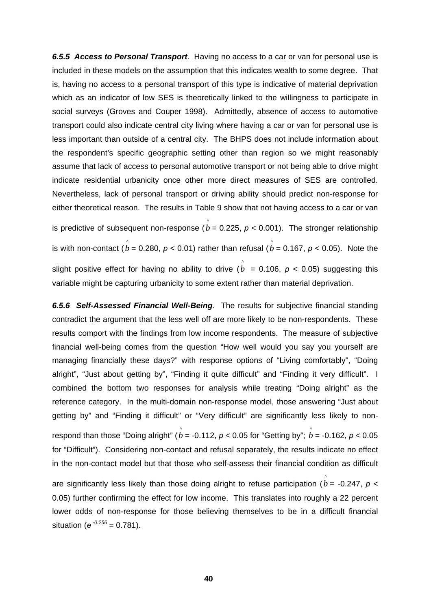*6.5.5 Access to Personal Transport*. Having no access to a car or van for personal use is included in these models on the assumption that this indicates wealth to some degree. That is, having no access to a personal transport of this type is indicative of material deprivation which as an indicator of low SES is theoretically linked to the willingness to participate in social surveys (Groves and Couper 1998). Admittedly, absence of access to automotive transport could also indicate central city living where having a car or van for personal use is less important than outside of a central city. The BHPS does not include information about the respondent's specific geographic setting other than region so we might reasonably assume that lack of access to personal automotive transport or not being able to drive might indicate residential urbanicity once other more direct measures of SES are controlled. Nevertheless, lack of personal transport or driving ability should predict non-response for either theoretical reason. The results in Table 9 show that not having access to a car or van is predictive of subsequent non-response ( $\stackrel{\wedge}{b}=$  0.225, *p* < 0.001). The stronger relationship is with non-contact (  $\stackrel{\wedge}{b}$  = 0.280, *p* < 0.01) rather than refusal (  $\stackrel{\wedge}{b}$  = 0.167, *p* < 0.05). Note the slight positive effect for having no ability to drive ( $\stackrel{\frown}{b}$  = 0.106,  $p$  < 0.05) suggesting this variable might be capturing urbanicity to some extent rather than material deprivation.

*6.5.6 Self-Assessed Financial Well-Being*. The results for subjective financial standing contradict the argument that the less well off are more likely to be non-respondents. These results comport with the findings from low income respondents. The measure of subjective financial well-being comes from the question "How well would you say you yourself are managing financially these days?" with response options of "Living comfortably", "Doing alright", "Just about getting by", "Finding it quite difficult" and "Finding it very difficult". I combined the bottom two responses for analysis while treating "Doing alright" as the reference category. In the multi-domain non-response model, those answering "Just about getting by" and "Finding it difficult" or "Very difficult" are significantly less likely to non-

 $\hat{p}$  respond than those "Doing alright" (  $\hat{b}$  = -0.112, *p* < 0.05 for "Getting by";  $\hat{b}$  = -0.162, *p* < 0.05 for "Difficult"). Considering non-contact and refusal separately, the results indicate no effect in the non-contact model but that those who self-assess their financial condition as difficult

are significantly less likely than those doing alright to refuse participation  $(\stackrel{\wedge}{b} =$  -0.247,  $p <$ 0.05) further confirming the effect for low income. This translates into roughly a 22 percent lower odds of non-response for those believing themselves to be in a difficult financial situation ( $e^{-0.256}$  = 0.781).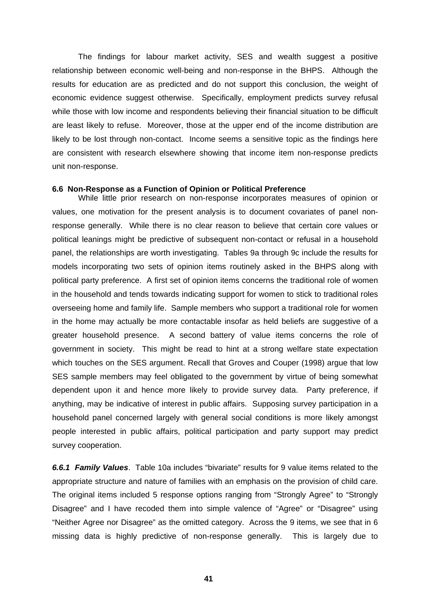The findings for labour market activity, SES and wealth suggest a positive relationship between economic well-being and non-response in the BHPS. Although the results for education are as predicted and do not support this conclusion, the weight of economic evidence suggest otherwise. Specifically, employment predicts survey refusal while those with low income and respondents believing their financial situation to be difficult are least likely to refuse. Moreover, those at the upper end of the income distribution are likely to be lost through non-contact. Income seems a sensitive topic as the findings here are consistent with research elsewhere showing that income item non-response predicts unit non-response.

#### **6.6 Non-Response as a Function of Opinion or Political Preference**

While little prior research on non-response incorporates measures of opinion or values, one motivation for the present analysis is to document covariates of panel nonresponse generally. While there is no clear reason to believe that certain core values or political leanings might be predictive of subsequent non-contact or refusal in a household panel, the relationships are worth investigating. Tables 9a through 9c include the results for models incorporating two sets of opinion items routinely asked in the BHPS along with political party preference. A first set of opinion items concerns the traditional role of women in the household and tends towards indicating support for women to stick to traditional roles overseeing home and family life. Sample members who support a traditional role for women in the home may actually be more contactable insofar as held beliefs are suggestive of a greater household presence. A second battery of value items concerns the role of government in society. This might be read to hint at a strong welfare state expectation which touches on the SES argument. Recall that Groves and Couper (1998) argue that low SES sample members may feel obligated to the government by virtue of being somewhat dependent upon it and hence more likely to provide survey data. Party preference, if anything, may be indicative of interest in public affairs. Supposing survey participation in a household panel concerned largely with general social conditions is more likely amongst people interested in public affairs, political participation and party support may predict survey cooperation.

*6.6.1 Family Values*. Table 10a includes "bivariate" results for 9 value items related to the appropriate structure and nature of families with an emphasis on the provision of child care. The original items included 5 response options ranging from "Strongly Agree" to "Strongly Disagree" and I have recoded them into simple valence of "Agree" or "Disagree" using "Neither Agree nor Disagree" as the omitted category. Across the 9 items, we see that in 6 missing data is highly predictive of non-response generally. This is largely due to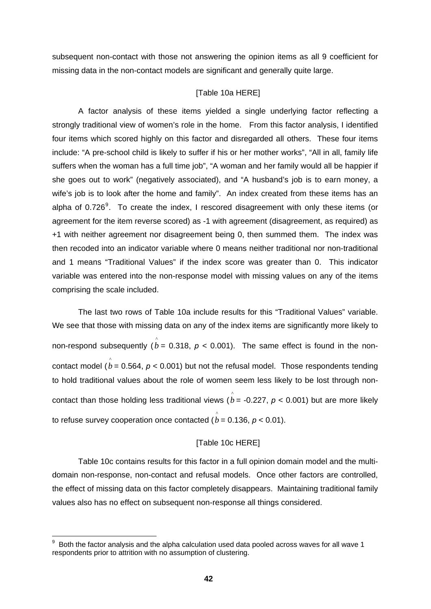<span id="page-44-0"></span>subsequent non-contact with those not answering the opinion items as all 9 coefficient for missing data in the non-contact models are significant and generally quite large.

### [Table 10a HERE]

A factor analysis of these items yielded a single underlying factor reflecting a strongly traditional view of women's role in the home. From this factor analysis, I identified four items which scored highly on this factor and disregarded all others. These four items include: "A pre-school child is likely to suffer if his or her mother works", "All in all, family life suffers when the woman has a full time job", "A woman and her family would all be happier if she goes out to work" (negatively associated), and "A husband's job is to earn money, a wife's job is to look after the home and family". An index created from these items has an alpha of 0.726<sup>[9](#page-44-0)</sup>. To create the index, I rescored disagreement with only these items (or agreement for the item reverse scored) as -1 with agreement (disagreement, as required) as +1 with neither agreement nor disagreement being 0, then summed them. The index was then recoded into an indicator variable where 0 means neither traditional nor non-traditional and 1 means "Traditional Values" if the index score was greater than 0. This indicator variable was entered into the non-response model with missing values on any of the items comprising the scale included.

The last two rows of Table 10a include results for this "Traditional Values" variable. We see that those with missing data on any of the index items are significantly more likely to non-respond subsequently ( $\rho = 0.318$ ,  $\rho < 0.001$ ). The same effect is found in the noncontact model  $(\stackrel{\circ}{b}=0.564,\, p< 0.001)$  but not the refusal model. Those respondents tending to hold traditional values about the role of women seem less likely to be lost through noncontact than those holding less traditional views ( $\rho$  = -0.227,  $\rho$  < 0.001) but are more likely to refuse survey cooperation once contacted (  $\stackrel{\wedge}{b}$  = 0.136, *p* < 0.01).

## [Table 10c HERE]

Table 10c contains results for this factor in a full opinion domain model and the multidomain non-response, non-contact and refusal models. Once other factors are controlled, the effect of missing data on this factor completely disappears. Maintaining traditional family values also has no effect on subsequent non-response all things considered.

 $\overline{a}$ 

 $9\,$  Both the factor analysis and the alpha calculation used data pooled across waves for all wave 1 respondents prior to attrition with no assumption of clustering.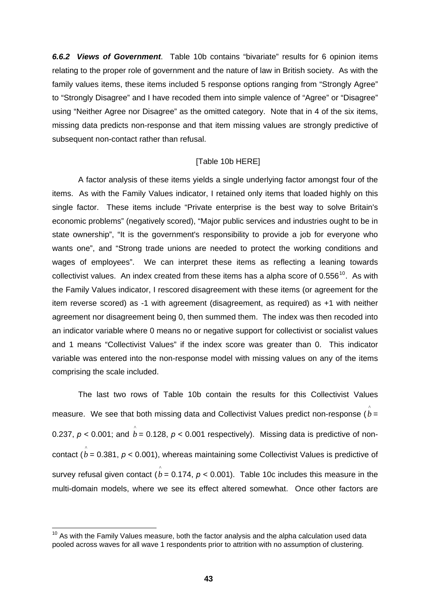<span id="page-45-0"></span>*6.6.2 Views of Government*. Table 10b contains "bivariate" results for 6 opinion items relating to the proper role of government and the nature of law in British society. As with the family values items, these items included 5 response options ranging from "Strongly Agree" to "Strongly Disagree" and I have recoded them into simple valence of "Agree" or "Disagree" using "Neither Agree nor Disagree" as the omitted category. Note that in 4 of the six items, missing data predicts non-response and that item missing values are strongly predictive of subsequent non-contact rather than refusal.

#### [Table 10b HERE]

A factor analysis of these items yields a single underlying factor amongst four of the items. As with the Family Values indicator, I retained only items that loaded highly on this single factor. These items include "Private enterprise is the best way to solve Britain's economic problems" (negatively scored), "Major public services and industries ought to be in state ownership", "It is the government's responsibility to provide a job for everyone who wants one", and "Strong trade unions are needed to protect the working conditions and wages of employees". We can interpret these items as reflecting a leaning towards collectivist values. An index created from these items has a alpha score of  $0.556^{10}$  $0.556^{10}$  $0.556^{10}$ . As with the Family Values indicator, I rescored disagreement with these items (or agreement for the item reverse scored) as -1 with agreement (disagreement, as required) as +1 with neither agreement nor disagreement being 0, then summed them. The index was then recoded into an indicator variable where 0 means no or negative support for collectivist or socialist values and 1 means "Collectivist Values" if the index score was greater than 0. This indicator variable was entered into the non-response model with missing values on any of the items comprising the scale included.

The last two rows of Table 10b contain the results for this Collectivist Values measure. We see that both missing data and Collectivist Values predict non-response ( $\overset{\circ}{b}$  = 0.237,  $p <$  0.001; and  $\stackrel{\circ}{b}$  = 0.128,  $p <$  0.001 respectively). Missing data is predictive of noncontact ( $\overset{\circ}{b}$  = 0.381, *p* < 0.001), whereas maintaining some Collectivist Values is predictive of survey refusal given contact ( $\overset{\circ}{b}$  = 0.174, *p* < 0.001). Table 10c includes this measure in the multi-domain models, where we see its effect altered somewhat. Once other factors are

 $\overline{a}$ 

 $10$  As with the Family Values measure, both the factor analysis and the alpha calculation used data pooled across waves for all wave 1 respondents prior to attrition with no assumption of clustering.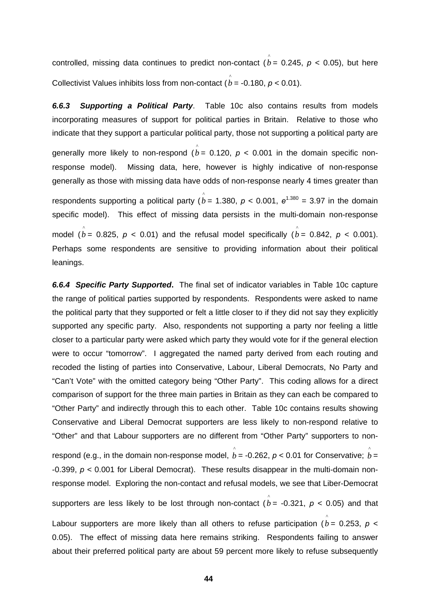controlled, missing data continues to predict non-contact ( $\stackrel{\wedge}{b}$  = 0.245, *p* < 0.05), but here Collectivist Values inhibits loss from non-contact ( $\hat{b}$  = -0.180, *p* < 0.01).

*6.6.3 Supporting a Political Party*. Table 10c also contains results from models incorporating measures of support for political parties in Britain. Relative to those who indicate that they support a particular political party, those not supporting a political party are generally more likely to non-respond ( $\stackrel{\wedge}{b}$  = 0.120,  $p$  < 0.001 in the domain specific nonresponse model). Missing data, here, however is highly indicative of non-response generally as those with missing data have odds of non-response nearly 4 times greater than respondents supporting a political party ( $\hat{b}$  = 1.380,  $p$  < 0.001,  $e^{1.380}$  = 3.97 in the domain specific model). This effect of missing data persists in the multi-domain non-response model ( $\hat{b}$  = 0.825,  $p$  < 0.01) and the refusal model specifically ( $\hat{b}$  = 0.842,  $p$  < 0.001). Perhaps some respondents are sensitive to providing information about their political leanings.

*6.6.4 Specific Party Supported***.** The final set of indicator variables in Table 10c capture the range of political parties supported by respondents. Respondents were asked to name the political party that they supported or felt a little closer to if they did not say they explicitly supported any specific party. Also, respondents not supporting a party nor feeling a little closer to a particular party were asked which party they would vote for if the general election were to occur "tomorrow". I aggregated the named party derived from each routing and recoded the listing of parties into Conservative, Labour, Liberal Democrats, No Party and "Can't Vote" with the omitted category being "Other Party". This coding allows for a direct comparison of support for the three main parties in Britain as they can each be compared to "Other Party" and indirectly through this to each other. Table 10c contains results showing Conservative and Liberal Democrat supporters are less likely to non-respond relative to "Other" and that Labour supporters are no different from "Other Party" supporters to nonrespond (e.g., in the domain non-response model,  $\stackrel{\circ}{b}$  = -0.262, *p* < 0.01 for Conservative;  $\stackrel{\circ}{b}$  = -0.399, *p* < 0.001 for Liberal Democrat). These results disappear in the multi-domain nonresponse model. Exploring the non-contact and refusal models, we see that Liber-Democrat supporters are less likely to be lost through non-contact  $(\stackrel{\circ}{b} =$  -0.321,  $p$  < 0.05) and that Labour supporters are more likely than all others to refuse participation  $(\stackrel{\wedge}{b}=0.253,~p<0.253)$ 0.05). The effect of missing data here remains striking. Respondents failing to answer about their preferred political party are about 59 percent more likely to refuse subsequently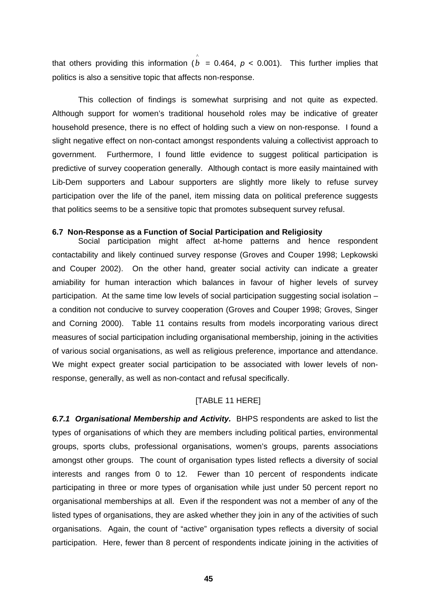that others providing this information  $(\stackrel{\circ}{b}=0.464,\ p< 0.001).$  This further implies that politics is also a sensitive topic that affects non-response.

This collection of findings is somewhat surprising and not quite as expected. Although support for women's traditional household roles may be indicative of greater household presence, there is no effect of holding such a view on non-response. I found a slight negative effect on non-contact amongst respondents valuing a collectivist approach to government. Furthermore, I found little evidence to suggest political participation is predictive of survey cooperation generally. Although contact is more easily maintained with Lib-Dem supporters and Labour supporters are slightly more likely to refuse survey participation over the life of the panel, item missing data on political preference suggests that politics seems to be a sensitive topic that promotes subsequent survey refusal.

#### **6.7 Non-Response as a Function of Social Participation and Religiosity**

Social participation might affect at-home patterns and hence respondent contactability and likely continued survey response (Groves and Couper 1998; Lepkowski and Couper 2002). On the other hand, greater social activity can indicate a greater amiability for human interaction which balances in favour of higher levels of survey participation. At the same time low levels of social participation suggesting social isolation – a condition not conducive to survey cooperation (Groves and Couper 1998; Groves, Singer and Corning 2000). Table 11 contains results from models incorporating various direct measures of social participation including organisational membership, joining in the activities of various social organisations, as well as religious preference, importance and attendance. We might expect greater social participation to be associated with lower levels of nonresponse, generally, as well as non-contact and refusal specifically.

## [TABLE 11 HERE]

*6.7.1 Organisational Membership and Activity.* BHPS respondents are asked to list the types of organisations of which they are members including political parties, environmental groups, sports clubs, professional organisations, women's groups, parents associations amongst other groups. The count of organisation types listed reflects a diversity of social interests and ranges from 0 to 12. Fewer than 10 percent of respondents indicate participating in three or more types of organisation while just under 50 percent report no organisational memberships at all. Even if the respondent was not a member of any of the listed types of organisations, they are asked whether they join in any of the activities of such organisations. Again, the count of "active" organisation types reflects a diversity of social participation. Here, fewer than 8 percent of respondents indicate joining in the activities of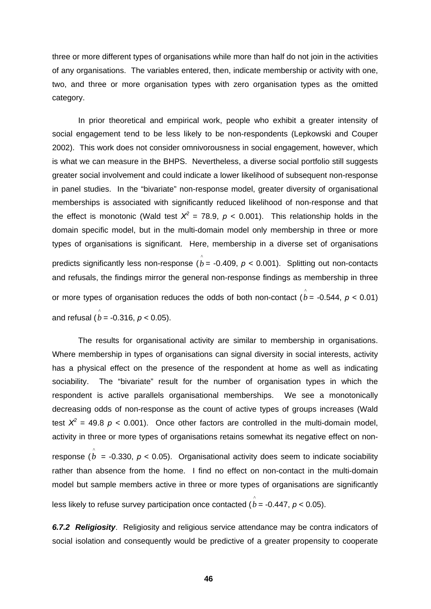three or more different types of organisations while more than half do not join in the activities of any organisations. The variables entered, then, indicate membership or activity with one, two, and three or more organisation types with zero organisation types as the omitted category.

In prior theoretical and empirical work, people who exhibit a greater intensity of social engagement tend to be less likely to be non-respondents (Lepkowski and Couper 2002). This work does not consider omnivorousness in social engagement, however, which is what we can measure in the BHPS. Nevertheless, a diverse social portfolio still suggests greater social involvement and could indicate a lower likelihood of subsequent non-response in panel studies. In the "bivariate" non-response model, greater diversity of organisational memberships is associated with significantly reduced likelihood of non-response and that the effect is monotonic (Wald test  $X^2 = 78.9$ ,  $p < 0.001$ ). This relationship holds in the domain specific model, but in the multi-domain model only membership in three or more types of organisations is significant. Here, membership in a diverse set of organisations predicts significantly less non-response ( $\rho$  = -0.409,  $p$  < 0.001). Splitting out non-contacts and refusals, the findings mirror the general non-response findings as membership in three or more types of organisation reduces the odds of both non-contact  $(\stackrel{\wedge}{b} = -0.544, p < 0.01)$ and refusal ( $\hat{b}$  = -0.316, *p* < 0.05).

The results for organisational activity are similar to membership in organisations. Where membership in types of organisations can signal diversity in social interests, activity has a physical effect on the presence of the respondent at home as well as indicating sociability. The "bivariate" result for the number of organisation types in which the respondent is active parallels organisational memberships. We see a monotonically decreasing odds of non-response as the count of active types of groups increases (Wald test  $X^2 = 49.8$   $p < 0.001$ ). Once other factors are controlled in the multi-domain model, activity in three or more types of organisations retains somewhat its negative effect on nonresponse ( $\stackrel{\wedge}{b}$  = -0.330,  $p$  < 0.05). Organisational activity does seem to indicate sociability rather than absence from the home. I find no effect on non-contact in the multi-domain model but sample members active in three or more types of organisations are significantly less likely to refuse survey participation once contacted ( $\stackrel{\wedge}{b}$  = -0.447, *p* < 0.05).

*6.7.2 Religiosity*. Religiosity and religious service attendance may be contra indicators of social isolation and consequently would be predictive of a greater propensity to cooperate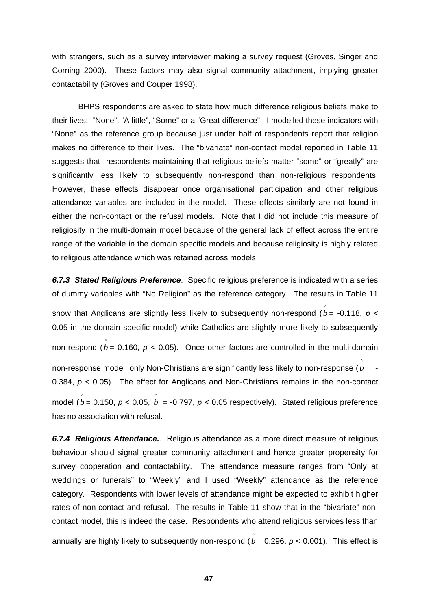with strangers, such as a survey interviewer making a survey request (Groves, Singer and Corning 2000). These factors may also signal community attachment, implying greater contactability (Groves and Couper 1998).

BHPS respondents are asked to state how much difference religious beliefs make to their lives: "None", "A little", "Some" or a "Great difference". I modelled these indicators with "None" as the reference group because just under half of respondents report that religion makes no difference to their lives. The "bivariate" non-contact model reported in Table 11 suggests that respondents maintaining that religious beliefs matter "some" or "greatly" are significantly less likely to subsequently non-respond than non-religious respondents. However, these effects disappear once organisational participation and other religious attendance variables are included in the model. These effects similarly are not found in either the non-contact or the refusal models. Note that I did not include this measure of religiosity in the multi-domain model because of the general lack of effect across the entire range of the variable in the domain specific models and because religiosity is highly related to religious attendance which was retained across models.

*6.7.3 Stated Religious Preference*. Specific religious preference is indicated with a series of dummy variables with "No Religion" as the reference category. The results in Table 11 show that Anglicans are slightly less likely to subsequently non-respond ( $\stackrel{\wedge}{b}$ = -0.118,  $p$  < 0.05 in the domain specific model) while Catholics are slightly more likely to subsequently non-respond ( $\hat{b}$  = 0.160,  $p$  < 0.05). Once other factors are controlled in the multi-domain non-response model, only Non-Christians are significantly less likely to non-response ( $\stackrel{\wedge}{b}$  = -0.384, *p* < 0.05). The effect for Anglicans and Non-Christians remains in the non-contact model ( $\overset{\circ}{b}$  = 0.150,  $p$  < 0.05,  $\overset{\circ}{b}$  = -0.797,  $p$  < 0.05 respectively). Stated religious preference has no association with refusal.

*6.7.4 Religious Attendance.*. Religious attendance as a more direct measure of religious behaviour should signal greater community attachment and hence greater propensity for survey cooperation and contactability. The attendance measure ranges from "Only at weddings or funerals" to "Weekly" and I used "Weekly" attendance as the reference category. Respondents with lower levels of attendance might be expected to exhibit higher rates of non-contact and refusal. The results in Table 11 show that in the "bivariate" noncontact model, this is indeed the case. Respondents who attend religious services less than annually are highly likely to subsequently non-respond  $(\stackrel{\circ}{b}=0.296,\, p< 0.001).$  This effect is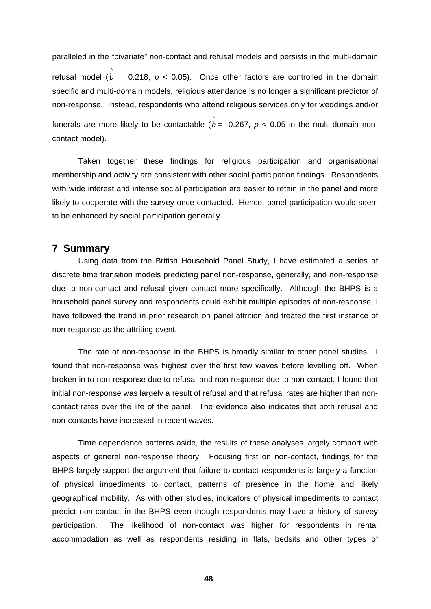paralleled in the "bivariate" non-contact and refusal models and persists in the multi-domain refusal model  $(\stackrel{\frown}{b} = 0.218, p < 0.05)$ . Once other factors are controlled in the domain specific and multi-domain models, religious attendance is no longer a significant predictor of non-response. Instead, respondents who attend religious services only for weddings and/or funerals are more likely to be contactable ( $\stackrel{\frown}{b}$  = -0.267,  $p$  < 0.05 in the multi-domain noncontact model).

Taken together these findings for religious participation and organisational membership and activity are consistent with other social participation findings. Respondents with wide interest and intense social participation are easier to retain in the panel and more likely to cooperate with the survey once contacted. Hence, panel participation would seem to be enhanced by social participation generally.

## **7 Summary**

Using data from the British Household Panel Study, I have estimated a series of discrete time transition models predicting panel non-response, generally, and non-response due to non-contact and refusal given contact more specifically. Although the BHPS is a household panel survey and respondents could exhibit multiple episodes of non-response, I have followed the trend in prior research on panel attrition and treated the first instance of non-response as the attriting event.

The rate of non-response in the BHPS is broadly similar to other panel studies. I found that non-response was highest over the first few waves before levelling off. When broken in to non-response due to refusal and non-response due to non-contact, I found that initial non-response was largely a result of refusal and that refusal rates are higher than noncontact rates over the life of the panel. The evidence also indicates that both refusal and non-contacts have increased in recent waves.

Time dependence patterns aside, the results of these analyses largely comport with aspects of general non-response theory. Focusing first on non-contact, findings for the BHPS largely support the argument that failure to contact respondents is largely a function of physical impediments to contact, patterns of presence in the home and likely geographical mobility. As with other studies, indicators of physical impediments to contact predict non-contact in the BHPS even though respondents may have a history of survey participation. The likelihood of non-contact was higher for respondents in rental accommodation as well as respondents residing in flats, bedsits and other types of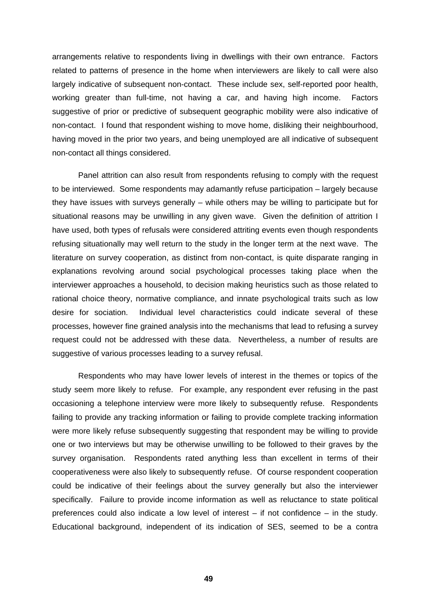arrangements relative to respondents living in dwellings with their own entrance. Factors related to patterns of presence in the home when interviewers are likely to call were also largely indicative of subsequent non-contact. These include sex, self-reported poor health, working greater than full-time, not having a car, and having high income. Factors suggestive of prior or predictive of subsequent geographic mobility were also indicative of non-contact. I found that respondent wishing to move home, disliking their neighbourhood, having moved in the prior two years, and being unemployed are all indicative of subsequent non-contact all things considered.

Panel attrition can also result from respondents refusing to comply with the request to be interviewed. Some respondents may adamantly refuse participation – largely because they have issues with surveys generally – while others may be willing to participate but for situational reasons may be unwilling in any given wave. Given the definition of attrition I have used, both types of refusals were considered attriting events even though respondents refusing situationally may well return to the study in the longer term at the next wave. The literature on survey cooperation, as distinct from non-contact, is quite disparate ranging in explanations revolving around social psychological processes taking place when the interviewer approaches a household, to decision making heuristics such as those related to rational choice theory, normative compliance, and innate psychological traits such as low desire for sociation. Individual level characteristics could indicate several of these processes, however fine grained analysis into the mechanisms that lead to refusing a survey request could not be addressed with these data. Nevertheless, a number of results are suggestive of various processes leading to a survey refusal.

Respondents who may have lower levels of interest in the themes or topics of the study seem more likely to refuse. For example, any respondent ever refusing in the past occasioning a telephone interview were more likely to subsequently refuse. Respondents failing to provide any tracking information or failing to provide complete tracking information were more likely refuse subsequently suggesting that respondent may be willing to provide one or two interviews but may be otherwise unwilling to be followed to their graves by the survey organisation. Respondents rated anything less than excellent in terms of their cooperativeness were also likely to subsequently refuse. Of course respondent cooperation could be indicative of their feelings about the survey generally but also the interviewer specifically. Failure to provide income information as well as reluctance to state political preferences could also indicate a low level of interest – if not confidence – in the study. Educational background, independent of its indication of SES, seemed to be a contra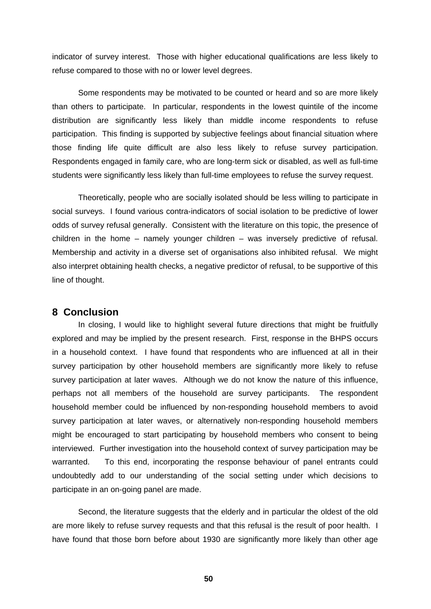indicator of survey interest. Those with higher educational qualifications are less likely to refuse compared to those with no or lower level degrees.

Some respondents may be motivated to be counted or heard and so are more likely than others to participate. In particular, respondents in the lowest quintile of the income distribution are significantly less likely than middle income respondents to refuse participation. This finding is supported by subjective feelings about financial situation where those finding life quite difficult are also less likely to refuse survey participation. Respondents engaged in family care, who are long-term sick or disabled, as well as full-time students were significantly less likely than full-time employees to refuse the survey request.

Theoretically, people who are socially isolated should be less willing to participate in social surveys. I found various contra-indicators of social isolation to be predictive of lower odds of survey refusal generally. Consistent with the literature on this topic, the presence of children in the home – namely younger children – was inversely predictive of refusal. Membership and activity in a diverse set of organisations also inhibited refusal. We might also interpret obtaining health checks, a negative predictor of refusal, to be supportive of this line of thought.

## **8 Conclusion**

In closing, I would like to highlight several future directions that might be fruitfully explored and may be implied by the present research. First, response in the BHPS occurs in a household context. I have found that respondents who are influenced at all in their survey participation by other household members are significantly more likely to refuse survey participation at later waves. Although we do not know the nature of this influence, perhaps not all members of the household are survey participants. The respondent household member could be influenced by non-responding household members to avoid survey participation at later waves, or alternatively non-responding household members might be encouraged to start participating by household members who consent to being interviewed. Further investigation into the household context of survey participation may be warranted. To this end, incorporating the response behaviour of panel entrants could undoubtedly add to our understanding of the social setting under which decisions to participate in an on-going panel are made.

Second, the literature suggests that the elderly and in particular the oldest of the old are more likely to refuse survey requests and that this refusal is the result of poor health. I have found that those born before about 1930 are significantly more likely than other age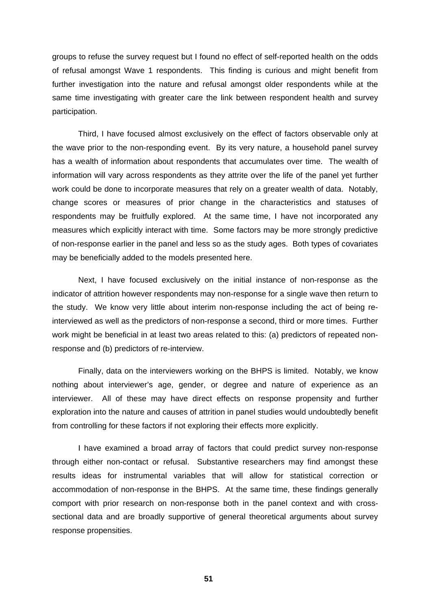groups to refuse the survey request but I found no effect of self-reported health on the odds of refusal amongst Wave 1 respondents. This finding is curious and might benefit from further investigation into the nature and refusal amongst older respondents while at the same time investigating with greater care the link between respondent health and survey participation.

Third, I have focused almost exclusively on the effect of factors observable only at the wave prior to the non-responding event. By its very nature, a household panel survey has a wealth of information about respondents that accumulates over time. The wealth of information will vary across respondents as they attrite over the life of the panel yet further work could be done to incorporate measures that rely on a greater wealth of data. Notably, change scores or measures of prior change in the characteristics and statuses of respondents may be fruitfully explored. At the same time, I have not incorporated any measures which explicitly interact with time. Some factors may be more strongly predictive of non-response earlier in the panel and less so as the study ages. Both types of covariates may be beneficially added to the models presented here.

Next, I have focused exclusively on the initial instance of non-response as the indicator of attrition however respondents may non-response for a single wave then return to the study. We know very little about interim non-response including the act of being reinterviewed as well as the predictors of non-response a second, third or more times. Further work might be beneficial in at least two areas related to this: (a) predictors of repeated nonresponse and (b) predictors of re-interview.

Finally, data on the interviewers working on the BHPS is limited. Notably, we know nothing about interviewer's age, gender, or degree and nature of experience as an interviewer. All of these may have direct effects on response propensity and further exploration into the nature and causes of attrition in panel studies would undoubtedly benefit from controlling for these factors if not exploring their effects more explicitly.

I have examined a broad array of factors that could predict survey non-response through either non-contact or refusal. Substantive researchers may find amongst these results ideas for instrumental variables that will allow for statistical correction or accommodation of non-response in the BHPS. At the same time, these findings generally comport with prior research on non-response both in the panel context and with crosssectional data and are broadly supportive of general theoretical arguments about survey response propensities.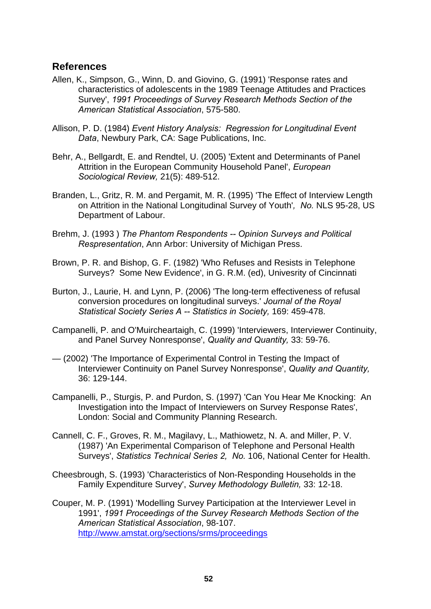## **References**

- Allen, K., Simpson, G., Winn, D. and Giovino, G. (1991) 'Response rates and characteristics of adolescents in the 1989 Teenage Attitudes and Practices Survey', *1991 Proceedings of Survey Research Methods Section of the American Statistical Association*, 575-580.
- Allison, P. D. (1984) *Event History Analysis: Regression for Longitudinal Event Data*, Newbury Park, CA: Sage Publications, Inc.
- Behr, A., Bellgardt, E. and Rendtel, U. (2005) 'Extent and Determinants of Panel Attrition in the European Community Household Panel', *European Sociological Review,* 21(5): 489-512.
- Branden, L., Gritz, R. M. and Pergamit, M. R. (1995) 'The Effect of Interview Length on Attrition in the National Longitudinal Survey of Youth'*, No.* NLS 95-28, US Department of Labour.
- Brehm, J. (1993 ) *The Phantom Respondents -- Opinion Surveys and Political Respresentation*, Ann Arbor: University of Michigan Press.
- Brown, P. R. and Bishop, G. F. (1982) 'Who Refuses and Resists in Telephone Surveys? Some New Evidence', in G. R.M. (ed), Univesrity of Cincinnati
- Burton, J., Laurie, H. and Lynn, P. (2006) 'The long-term effectiveness of refusal conversion procedures on longitudinal surveys.' *Journal of the Royal Statistical Society Series A -- Statistics in Society,* 169: 459-478.
- Campanelli, P. and O'Muircheartaigh, C. (1999) 'Interviewers, Interviewer Continuity, and Panel Survey Nonresponse', *Quality and Quantity,* 33: 59-76.
- (2002) 'The Importance of Experimental Control in Testing the Impact of Interviewer Continuity on Panel Survey Nonresponse', *Quality and Quantity,* 36: 129-144.
- Campanelli, P., Sturgis, P. and Purdon, S. (1997) 'Can You Hear Me Knocking: An Investigation into the Impact of Interviewers on Survey Response Rates', London: Social and Community Planning Research.
- Cannell, C. F., Groves, R. M., Magilavy, L., Mathiowetz, N. A. and Miller, P. V. (1987) 'An Experimental Comparison of Telephone and Personal Health Surveys', *Statistics Technical Series 2, No.* 106, National Center for Health.
- Cheesbrough, S. (1993) 'Characteristics of Non-Responding Households in the Family Expenditure Survey', *Survey Methodology Bulletin,* 33: 12-18.
- Couper, M. P. (1991) 'Modelling Survey Participation at the Interviewer Level in 1991', *1991 Proceedings of the Survey Research Methods Section of the American Statistical Association*, 98-107. <http://www.amstat.org/sections/srms/proceedings>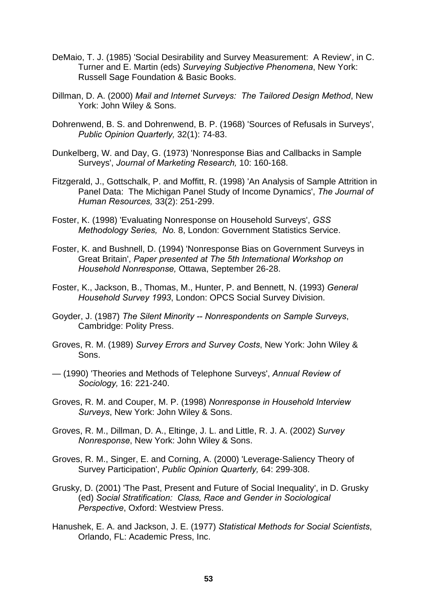- DeMaio, T. J. (1985) 'Social Desirability and Survey Measurement: A Review', in C. Turner and E. Martin (eds) *Surveying Subjective Phenomena*, New York: Russell Sage Foundation & Basic Books.
- Dillman, D. A. (2000) *Mail and Internet Surveys: The Tailored Design Method*, New York: John Wiley & Sons.
- Dohrenwend, B. S. and Dohrenwend, B. P. (1968) 'Sources of Refusals in Surveys', *Public Opinion Quarterly,* 32(1): 74-83.
- Dunkelberg, W. and Day, G. (1973) 'Nonresponse Bias and Callbacks in Sample Surveys', *Journal of Marketing Research,* 10: 160-168.
- Fitzgerald, J., Gottschalk, P. and Moffitt, R. (1998) 'An Analysis of Sample Attrition in Panel Data: The Michigan Panel Study of Income Dynamics', *The Journal of Human Resources,* 33(2): 251-299.
- Foster, K. (1998) 'Evaluating Nonresponse on Household Surveys', *GSS Methodology Series, No.* 8, London: Government Statistics Service.
- Foster, K. and Bushnell, D. (1994) 'Nonresponse Bias on Government Surveys in Great Britain', *Paper presented at The 5th International Workshop on Household Nonresponse,* Ottawa, September 26-28.
- Foster, K., Jackson, B., Thomas, M., Hunter, P. and Bennett, N. (1993) *General Household Survey 1993*, London: OPCS Social Survey Division.
- Goyder, J. (1987) *The Silent Minority -- Nonrespondents on Sample Surveys*, Cambridge: Polity Press.
- Groves, R. M. (1989) *Survey Errors and Survey Costs*, New York: John Wiley & Sons.
- (1990) 'Theories and Methods of Telephone Surveys', *Annual Review of Sociology,* 16: 221-240.
- Groves, R. M. and Couper, M. P. (1998) *Nonresponse in Household Interview Surveys*, New York: John Wiley & Sons.
- Groves, R. M., Dillman, D. A., Eltinge, J. L. and Little, R. J. A. (2002) *Survey Nonresponse*, New York: John Wiley & Sons.
- Groves, R. M., Singer, E. and Corning, A. (2000) 'Leverage-Saliency Theory of Survey Participation', *Public Opinion Quarterly,* 64: 299-308.
- Grusky, D. (2001) 'The Past, Present and Future of Social Inequality', in D. Grusky (ed) *Social Stratification: Class, Race and Gender in Sociological Perspective*, Oxford: Westview Press.
- Hanushek, E. A. and Jackson, J. E. (1977) *Statistical Methods for Social Scientists*, Orlando, FL: Academic Press, Inc.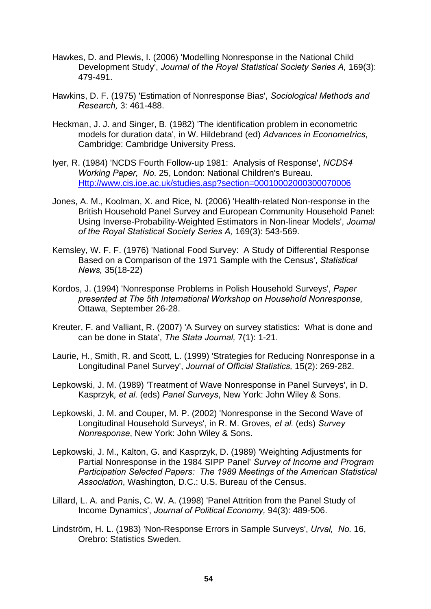- Hawkes, D. and Plewis, I. (2006) 'Modelling Nonresponse in the National Child Development Study', *Journal of the Royal Statistical Society Series A,* 169(3): 479-491.
- Hawkins, D. F. (1975) 'Estimation of Nonresponse Bias', *Sociological Methods and Research,* 3: 461-488.
- Heckman, J. J. and Singer, B. (1982) 'The identification problem in econometric models for duration data', in W. Hildebrand (ed) *Advances in Econometrics*, Cambridge: Cambridge University Press.
- Iyer, R. (1984) 'NCDS Fourth Follow-up 1981: Analysis of Response', *NCDS4 Working Paper, No.* 25, London: National Children's Bureau. [Http://www.cis.ioe.ac.uk/studies.asp?section=00010002000300070006](http://www.cis.ioe.ac.uk/studies.asp?section=00010002000300070006)
- Jones, A. M., Koolman, X. and Rice, N. (2006) 'Health-related Non-response in the British Household Panel Survey and European Community Household Panel: Using Inverse-Probability-Weighted Estimators in Non-linear Models', *Journal of the Royal Statistical Society Series A,* 169(3): 543-569.
- Kemsley, W. F. F. (1976) 'National Food Survey: A Study of Differential Response Based on a Comparison of the 1971 Sample with the Census', *Statistical News,* 35(18-22)
- Kordos, J. (1994) 'Nonresponse Problems in Polish Household Surveys', *Paper presented at The 5th International Workshop on Household Nonresponse,* Ottawa, September 26-28.
- Kreuter, F. and Valliant, R. (2007) 'A Survey on survey statistics: What is done and can be done in Stata', *The Stata Journal,* 7(1): 1-21.
- Laurie, H., Smith, R. and Scott, L. (1999) 'Strategies for Reducing Nonresponse in a Longitudinal Panel Survey', *Journal of Official Statistics,* 15(2): 269-282.
- Lepkowski, J. M. (1989) 'Treatment of Wave Nonresponse in Panel Surveys', in D. Kasprzyk*, et al.* (eds) *Panel Surveys*, New York: John Wiley & Sons.
- Lepkowski, J. M. and Couper, M. P. (2002) 'Nonresponse in the Second Wave of Longitudinal Household Surveys', in R. M. Groves*, et al.* (eds) *Survey Nonresponse*, New York: John Wiley & Sons.
- Lepkowski, J. M., Kalton, G. and Kasprzyk, D. (1989) 'Weighting Adjustments for Partial Nonresponse in the 1984 SIPP Panel' *Survey of Income and Program Participation Selected Papers: The 1989 Meetings of the American Statistical Association*, Washington, D.C.: U.S. Bureau of the Census.
- Lillard, L. A. and Panis, C. W. A. (1998) 'Panel Attrition from the Panel Study of Income Dynamics', *Journal of Political Economy,* 94(3): 489-506.
- Lindström, H. L. (1983) 'Non-Response Errors in Sample Surveys', *Urval, No.* 16, Orebro: Statistics Sweden.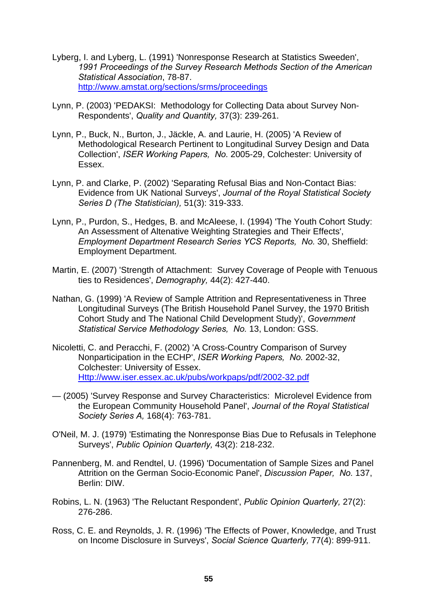- Lyberg, I. and Lyberg, L. (1991) 'Nonresponse Research at Statistics Sweeden', *1991 Proceedings of the Survey Research Methods Section of the American Statistical Association*, 78-87. <http://www.amstat.org/sections/srms/proceedings>
- Lynn, P. (2003) 'PEDAKSI: Methodology for Collecting Data about Survey Non-Respondents', *Quality and Quantity,* 37(3): 239-261.
- Lynn, P., Buck, N., Burton, J., Jäckle, A. and Laurie, H. (2005) 'A Review of Methodological Research Pertinent to Longitudinal Survey Design and Data Collection', *ISER Working Papers, No.* 2005-29, Colchester: University of Essex.
- Lynn, P. and Clarke, P. (2002) 'Separating Refusal Bias and Non-Contact Bias: Evidence from UK National Surveys', *Journal of the Royal Statistical Society Series D (The Statistician),* 51(3): 319-333.
- Lynn, P., Purdon, S., Hedges, B. and McAleese, I. (1994) 'The Youth Cohort Study: An Assessment of Altenative Weighting Strategies and Their Effects', *Employment Department Research Series YCS Reports, No.* 30, Sheffield: Employment Department.
- Martin, E. (2007) 'Strength of Attachment: Survey Coverage of People with Tenuous ties to Residences', *Demography,* 44(2): 427-440.
- Nathan, G. (1999) 'A Review of Sample Attrition and Representativeness in Three Longitudinal Surveys (The British Household Panel Survey, the 1970 British Cohort Study and The National Child Development Study)', *Government Statistical Service Methodology Series, No.* 13, London: GSS.
- Nicoletti, C. and Peracchi, F. (2002) 'A Cross-Country Comparison of Survey Nonparticipation in the ECHP', *ISER Working Papers, No.* 2002-32, Colchester: University of Essex. [Http://www.iser.essex.ac.uk/pubs/workpaps/pdf/2002-32.pdf](http://www.iser.essex.ac.uk/pubs/workpaps/pdf/2002-32.pdf)
- (2005) 'Survey Response and Survey Characteristics: Microlevel Evidence from the European Community Household Panel', *Journal of the Royal Statistical Society Series A,* 168(4): 763-781.
- O'Neil, M. J. (1979) 'Estimating the Nonresponse Bias Due to Refusals in Telephone Surveys', *Public Opinion Quarterly,* 43(2): 218-232.
- Pannenberg, M. and Rendtel, U. (1996) 'Documentation of Sample Sizes and Panel Attrition on the German Socio-Economic Panel', *Discussion Paper, No.* 137, Berlin: DIW.
- Robins, L. N. (1963) 'The Reluctant Respondent', *Public Opinion Quarterly,* 27(2): 276-286.
- Ross, C. E. and Reynolds, J. R. (1996) 'The Effects of Power, Knowledge, and Trust on Income Disclosure in Surveys', *Social Science Quarterly,* 77(4): 899-911.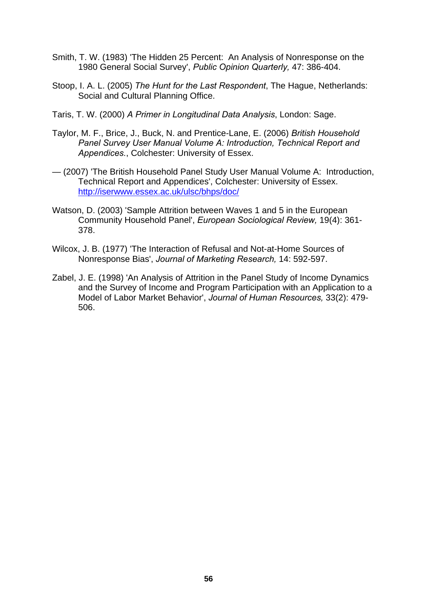- Smith, T. W. (1983) 'The Hidden 25 Percent: An Analysis of Nonresponse on the 1980 General Social Survey', *Public Opinion Quarterly,* 47: 386-404.
- Stoop, I. A. L. (2005) *The Hunt for the Last Respondent*, The Hague, Netherlands: Social and Cultural Planning Office.
- Taris, T. W. (2000) *A Primer in Longitudinal Data Analysis*, London: Sage.
- Taylor, M. F., Brice, J., Buck, N. and Prentice-Lane, E. (2006) *British Household Panel Survey User Manual Volume A: Introduction, Technical Report and Appendices.*, Colchester: University of Essex.
- (2007) 'The British Household Panel Study User Manual Volume A: Introduction, Technical Report and Appendices', Colchester: University of Essex. <http://iserwww.essex.ac.uk/ulsc/bhps/doc/>
- Watson, D. (2003) 'Sample Attrition between Waves 1 and 5 in the European Community Household Panel', *European Sociological Review,* 19(4): 361- 378.
- Wilcox, J. B. (1977) 'The Interaction of Refusal and Not-at-Home Sources of Nonresponse Bias', *Journal of Marketing Research,* 14: 592-597.
- Zabel, J. E. (1998) 'An Analysis of Attrition in the Panel Study of Income Dynamics and the Survey of Income and Program Participation with an Application to a Model of Labor Market Behavior', *Journal of Human Resources,* 33(2): 479- 506.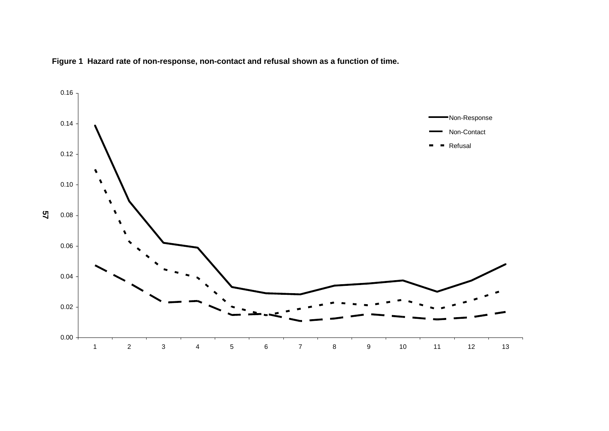

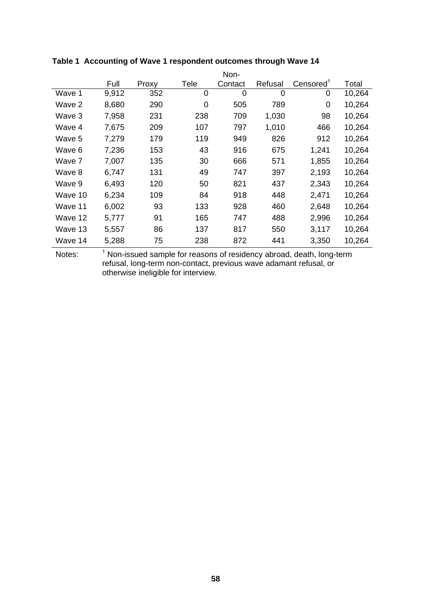|         |       |       |             | Non-           |         |                      |        |
|---------|-------|-------|-------------|----------------|---------|----------------------|--------|
|         | Full  | Proxy | Tele        | Contact        | Refusal | $Censored^{\dagger}$ | Total  |
| Wave 1  | 9,912 | 352   | $\mathbf 0$ | $\overline{0}$ | 0       | 0                    | 10,264 |
| Wave 2  | 8,680 | 290   | 0           | 505            | 789     | 0                    | 10,264 |
| Wave 3  | 7,958 | 231   | 238         | 709            | 1,030   | 98                   | 10,264 |
| Wave 4  | 7,675 | 209   | 107         | 797            | 1,010   | 466                  | 10,264 |
| Wave 5  | 7,279 | 179   | 119         | 949            | 826     | 912                  | 10,264 |
| Wave 6  | 7,236 | 153   | 43          | 916            | 675     | 1,241                | 10,264 |
| Wave 7  | 7,007 | 135   | 30          | 666            | 571     | 1,855                | 10,264 |
| Wave 8  | 6,747 | 131   | 49          | 747            | 397     | 2,193                | 10,264 |
| Wave 9  | 6,493 | 120   | 50          | 821            | 437     | 2,343                | 10,264 |
| Wave 10 | 6,234 | 109   | 84          | 918            | 448     | 2,471                | 10,264 |
| Wave 11 | 6,002 | 93    | 133         | 928            | 460     | 2,648                | 10,264 |
| Wave 12 | 5,777 | 91    | 165         | 747            | 488     | 2,996                | 10,264 |
| Wave 13 | 5,557 | 86    | 137         | 817            | 550     | 3,117                | 10,264 |
| Wave 14 | 5,288 | 75    | 238         | 872            | 441     | 3,350                | 10,264 |
|         |       |       |             |                |         |                      |        |

## **Table 1 Accounting of Wave 1 respondent outcomes through Wave 14**

Notes:  $<sup>†</sup>$  Non-issued sample for reasons of residency abroad, death, long-term</sup> refusal, long-term non-contact, previous wave adamant refusal, or otherwise ineligible for interview.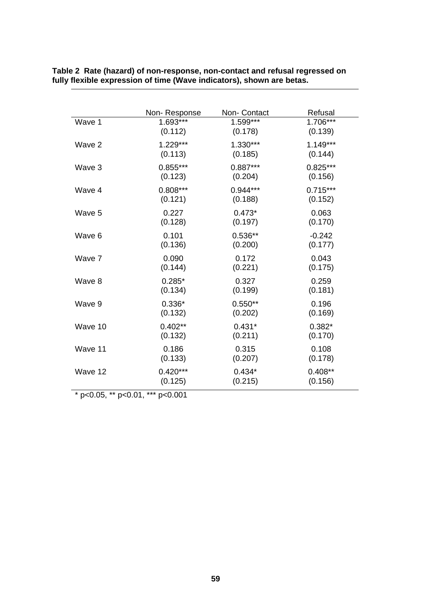|         | Non-Response | Non- Contact | Refusal    |
|---------|--------------|--------------|------------|
| Wave 1  | 1.693***     | $1.599***$   | $1.706***$ |
|         | (0.112)      | (0.178)      | (0.139)    |
| Wave 2  | $1.229***$   | 1.330***     | $1.149***$ |
|         | (0.113)      | (0.185)      | (0.144)    |
| Wave 3  | $0.855***$   | $0.887***$   | $0.825***$ |
|         | (0.123)      | (0.204)      | (0.156)    |
| Wave 4  | $0.808***$   | $0.944***$   | $0.715***$ |
|         | (0.121)      | (0.188)      | (0.152)    |
| Wave 5  | 0.227        | $0.473*$     | 0.063      |
|         | (0.128)      | (0.197)      | (0.170)    |
| Wave 6  | 0.101        | $0.536**$    | $-0.242$   |
|         | (0.136)      | (0.200)      | (0.177)    |
| Wave 7  | 0.090        | 0.172        | 0.043      |
|         | (0.144)      | (0.221)      | (0.175)    |
| Wave 8  | $0.285*$     | 0.327        | 0.259      |
|         | (0.134)      | (0.199)      | (0.181)    |
| Wave 9  | $0.336*$     | $0.550**$    | 0.196      |
|         | (0.132)      | (0.202)      | (0.169)    |
| Wave 10 | $0.402**$    | $0.431*$     | $0.382*$   |
|         | (0.132)      | (0.211)      | (0.170)    |
| Wave 11 | 0.186        | 0.315        | 0.108      |
|         | (0.133)      | (0.207)      | (0.178)    |
| Wave 12 | $0.420***$   | $0.434*$     | $0.408**$  |
|         | (0.125)      | (0.215)      | (0.156)    |

**Table 2 Rate (hazard) of non-response, non-contact and refusal regressed on fully flexible expression of time (Wave indicators), shown are betas.** 

 $*$  p<0.05,  $*$  p<0.01,  $**$  p<0.001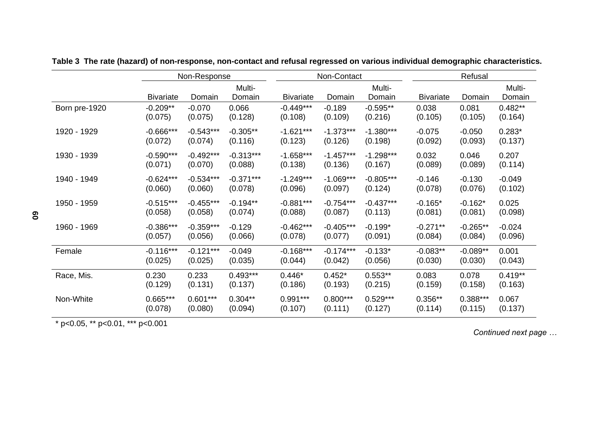|               |                  | Non-Response |             |                  | Non-Contact |             | Refusal          |            |           |
|---------------|------------------|--------------|-------------|------------------|-------------|-------------|------------------|------------|-----------|
|               |                  |              | Multi-      |                  |             | Multi-      |                  |            | Multi-    |
|               | <b>Bivariate</b> | Domain       | Domain      | <b>Bivariate</b> | Domain      | Domain      | <b>Bivariate</b> | Domain     | Domain    |
| Born pre-1920 | $-0.209**$       | $-0.070$     | 0.066       | $-0.449***$      | $-0.189$    | $-0.595**$  | 0.038            | 0.081      | $0.482**$ |
|               | (0.075)          | (0.075)      | (0.128)     | (0.108)          | (0.109)     | (0.216)     | (0.105)          | (0.105)    | (0.164)   |
| 1920 - 1929   | $-0.666***$      | $-0.543***$  | $-0.305**$  | $-1.621***$      | $-1.373***$ | $-1.380***$ | $-0.075$         | $-0.050$   | $0.283*$  |
|               | (0.072)          | (0.074)      | (0.116)     | (0.123)          | (0.126)     | (0.198)     | (0.092)          | (0.093)    | (0.137)   |
| 1930 - 1939   | $-0.590***$      | $-0.492***$  | $-0.313***$ | $-1.658***$      | $-1.457***$ | $-1.298***$ | 0.032            | 0.046      | 0.207     |
|               | (0.071)          | (0.070)      | (0.088)     | (0.138)          | (0.136)     | (0.167)     | (0.089)          | (0.089)    | (0.114)   |
|               |                  |              |             |                  |             |             |                  |            |           |
| 1940 - 1949   | $-0.624***$      | $-0.534***$  | $-0.371***$ | $-1.249***$      | $-1.069***$ | $-0.805***$ | $-0.146$         | $-0.130$   | $-0.049$  |
|               | (0.060)          | (0.060)      | (0.078)     | (0.096)          | (0.097)     | (0.124)     | (0.078)          | (0.076)    | (0.102)   |
| 1950 - 1959   | $-0.515***$      | $-0.455***$  | $-0.194**$  | $-0.881***$      | $-0.754***$ | $-0.437***$ | $-0.165*$        | $-0.162*$  | 0.025     |
|               | (0.058)          | (0.058)      | (0.074)     | (0.088)          | (0.087)     | (0.113)     | (0.081)          | (0.081)    | (0.098)   |
| 1960 - 1969   | $-0.386***$      | $-0.359***$  | $-0.129$    | $-0.462***$      | $-0.405***$ | $-0.199*$   | $-0.271**$       | $-0.265**$ | $-0.024$  |
|               | (0.057)          | (0.056)      | (0.066)     | (0.078)          | (0.077)     | (0.091)     | (0.084)          | (0.084)    | (0.096)   |
| Female        | $-0.116***$      | $-0.121***$  | $-0.049$    | $-0.168***$      | $-0.174***$ | $-0.133*$   | $-0.083**$       | $-0.089**$ | 0.001     |
|               | (0.025)          | (0.025)      | (0.035)     | (0.044)          | (0.042)     | (0.056)     | (0.030)          | (0.030)    | (0.043)   |
| Race, Mis.    | 0.230            | 0.233        | $0.493***$  | $0.446*$         | $0.452*$    | $0.553**$   | 0.083            | 0.078      | $0.419**$ |
|               | (0.129)          | (0.131)      | (0.137)     | (0.186)          | (0.193)     | (0.215)     | (0.159)          | (0.158)    | (0.163)   |
|               |                  |              |             |                  |             |             |                  |            |           |
| Non-White     | $0.665***$       | $0.601***$   | $0.304**$   | $0.991***$       | $0.800***$  | $0.529***$  | $0.356**$        | $0.388***$ | 0.067     |
|               | (0.078)          | (0.080)      | (0.094)     | (0.107)          | (0.111)     | (0.127)     | (0.114)          | (0.115)    | (0.137)   |

**Table 3 The rate (hazard) of non-response, non-contact and refusal regressed on various individual demographic characteristics.** 

\* p<0.05, \*\* p<0.01, \*\*\* p<0.001

*Continued next page …*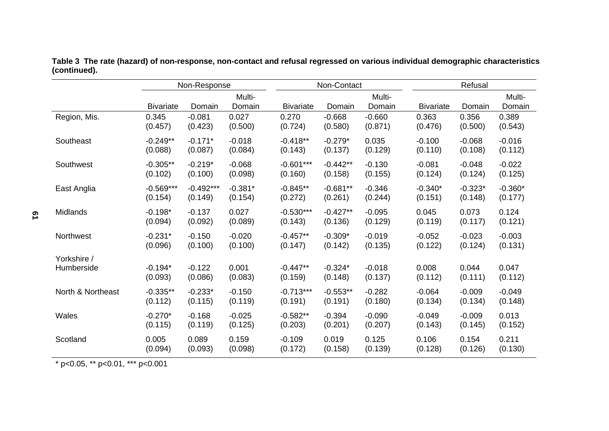|                   |                  | Non-Response |                  |                  | Non-Contact |                  | Refusal          |           |                  |
|-------------------|------------------|--------------|------------------|------------------|-------------|------------------|------------------|-----------|------------------|
|                   | <b>Bivariate</b> | Domain       | Multi-<br>Domain | <b>Bivariate</b> | Domain      | Multi-<br>Domain | <b>Bivariate</b> | Domain    | Multi-<br>Domain |
| Region, Mis.      | 0.345            | $-0.081$     | 0.027            | 0.270            | $-0.668$    | $-0.660$         | 0.363            | 0.356     | 0.389            |
|                   | (0.457)          | (0.423)      | (0.500)          | (0.724)          | (0.580)     | (0.871)          | (0.476)          | (0.500)   | (0.543)          |
| Southeast         | $-0.249**$       | $-0.171*$    | $-0.018$         | $-0.418**$       | $-0.279*$   | 0.035            | $-0.100$         | $-0.068$  | $-0.016$         |
|                   | (0.088)          | (0.087)      | (0.084)          | (0.143)          | (0.137)     | (0.129)          | (0.110)          | (0.108)   | (0.112)          |
| Southwest         | $-0.305**$       | $-0.219*$    | $-0.068$         | $-0.601***$      | $-0.442**$  | $-0.130$         | $-0.081$         | $-0.048$  | $-0.022$         |
|                   | (0.102)          | (0.100)      | (0.098)          | (0.160)          | (0.158)     | (0.155)          | (0.124)          | (0.124)   | (0.125)          |
| East Anglia       | $-0.569***$      | $-0.492***$  | $-0.381*$        | $-0.845**$       | $-0.681**$  | $-0.346$         | $-0.340*$        | $-0.323*$ | $-0.360*$        |
|                   | (0.154)          | (0.149)      | (0.154)          | (0.272)          | (0.261)     | (0.244)          | (0.151)          | (0.148)   | (0.177)          |
| <b>Midlands</b>   | $-0.198*$        | $-0.137$     | 0.027            | $-0.530***$      | $-0.427**$  | $-0.095$         | 0.045            | 0.073     | 0.124            |
|                   | (0.094)          | (0.092)      | (0.089)          | (0.143)          | (0.136)     | (0.129)          | (0.119)          | (0.117)   | (0.121)          |
| Northwest         | $-0.231*$        | $-0.150$     | $-0.020$         | $-0.457**$       | $-0.309*$   | $-0.019$         | $-0.052$         | $-0.023$  | $-0.003$         |
|                   | (0.096)          | (0.100)      | (0.100)          | (0.147)          | (0.142)     | (0.135)          | (0.122)          | (0.124)   | (0.131)          |
| Yorkshire /       | $-0.194*$        | $-0.122$     | 0.001            | $-0.447**$       | $-0.324*$   | $-0.018$         | 0.008            | 0.044     | 0.047            |
| Humberside        | (0.093)          | (0.086)      | (0.083)          | (0.159)          | (0.148)     | (0.137)          | (0.112)          | (0.111)   | (0.112)          |
| North & Northeast | $-0.335**$       | $-0.233*$    | $-0.150$         | $-0.713***$      | $-0.553**$  | $-0.282$         | $-0.064$         | $-0.009$  | $-0.049$         |
|                   | (0.112)          | (0.115)      | (0.119)          | (0.191)          | (0.191)     | (0.180)          | (0.134)          | (0.134)   | (0.148)          |
| Wales             | $-0.270*$        | $-0.168$     | $-0.025$         | $-0.582**$       | $-0.394$    | $-0.090$         | $-0.049$         | $-0.009$  | 0.013            |
|                   | (0.115)          | (0.119)      | (0.125)          | (0.203)          | (0.201)     | (0.207)          | (0.143)          | (0.145)   | (0.152)          |
| Scotland          | 0.005            | 0.089        | 0.159            | $-0.109$         | 0.019       | 0.125            | 0.106            | 0.154     | 0.211            |
|                   | (0.094)          | (0.093)      | (0.098)          | (0.172)          | (0.158)     | (0.139)          | (0.128)          | (0.126)   | (0.130)          |

**Table 3 The rate (hazard) of non-response, non-contact and refusal regressed on various individual demographic characteristics (continued).** 

\* p<0.05, \*\* p<0.01, \*\*\* p<0.001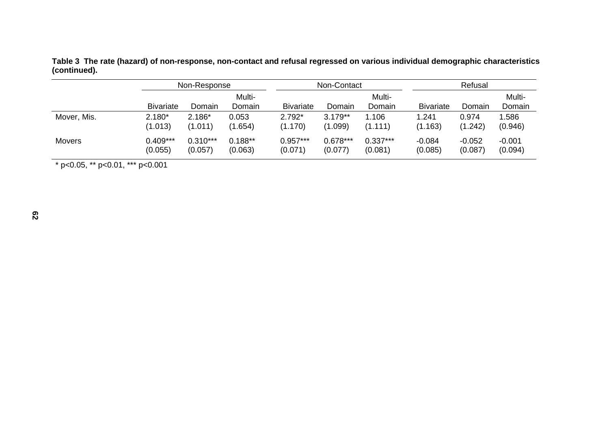|              | Table 3  The rate (hazard) of non-response, non-contact and refusal regressed on various individual demographic characteristics |  |  |  |
|--------------|---------------------------------------------------------------------------------------------------------------------------------|--|--|--|
| (continued). |                                                                                                                                 |  |  |  |

|             | Non-Response     |            |                  |                  | Non-Contact |                  | Refusal          |          |                  |
|-------------|------------------|------------|------------------|------------------|-------------|------------------|------------------|----------|------------------|
|             | <b>Bivariate</b> | Domain     | Multi-<br>Domain | <b>Bivariate</b> | Domain      | Multi-<br>Domain | <b>Bivariate</b> | Domain   | Multi-<br>Domain |
| Mover, Mis. | $2.180*$         | $2.186*$   | 0.053            | $2.792*$         | $3.179**$   | 1.106            | 1.241            | 0.974    | 1.586            |
|             | (1.013)          | (1.011)    | (1.654)          | (1.170)          | (1.099)     | (1.111)          | (1.163)          | (1.242)  | (0.946)          |
| Movers      | $0.409***$       | $0.310***$ | $0.188**$        | $0.957***$       | $0.678***$  | $0.337***$       | $-0.084$         | $-0.052$ | $-0.001$         |
|             | (0.055)          | (0.057)    | (0.063)          | (0.071)          | (0.077)     | (0.081)          | (0.085)          | (0.087)  | (0.094)          |

\* p<0.05, \*\* p<0.01, \*\*\* p<0.001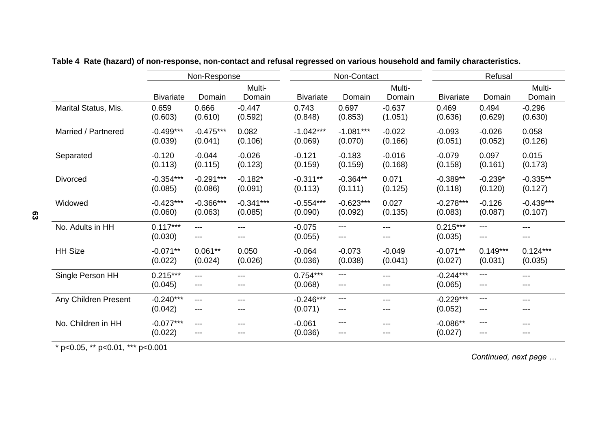|                      |                        | Non-Response |                  |                       | Non-Contact  |                  | Refusal                |              |                  |  |
|----------------------|------------------------|--------------|------------------|-----------------------|--------------|------------------|------------------------|--------------|------------------|--|
|                      | <b>Bivariate</b>       | Domain       | Multi-<br>Domain | <b>Bivariate</b>      | Domain       | Multi-<br>Domain | <b>Bivariate</b>       | Domain       | Multi-<br>Domain |  |
| Marital Status, Mis. | 0.659                  | 0.666        | $-0.447$         | 0.743                 | 0.697        | $-0.637$         | 0.469                  | 0.494        | $-0.296$         |  |
|                      | (0.603)                | (0.610)      | (0.592)          | (0.848)               | (0.853)      | (1.051)          | (0.636)                | (0.629)      | (0.630)          |  |
| Married / Partnered  | $-0.499***$            | $-0.475***$  | 0.082            | $-1.042***$           | $-1.081***$  | $-0.022$         | $-0.093$               | $-0.026$     | 0.058            |  |
|                      | (0.039)                | (0.041)      | (0.106)          | (0.069)               | (0.070)      | (0.166)          | (0.051)                | (0.052)      | (0.126)          |  |
| Separated            | $-0.120$               | $-0.044$     | $-0.026$         | $-0.121$              | $-0.183$     | $-0.016$         | $-0.079$               | 0.097        | 0.015            |  |
|                      | (0.113)                | (0.115)      | (0.123)          | (0.159)               | (0.159)      | (0.168)          | (0.158)                | (0.161)      | (0.173)          |  |
| <b>Divorced</b>      | $-0.354***$            | $-0.291***$  | $-0.182*$        | $-0.311**$            | $-0.364**$   | 0.071            | $-0.389**$             | $-0.239*$    | $-0.335**$       |  |
|                      | (0.085)                | (0.086)      | (0.091)          | (0.113)               | (0.111)      | (0.125)          | (0.118)                | (0.120)      | (0.127)          |  |
| Widowed              | $-0.423***$            | $-0.366***$  | $-0.341***$      | $-0.554***$           | $-0.623***$  | 0.027            | $-0.278***$            | $-0.126$     | $-0.439***$      |  |
|                      | (0.060)                | (0.063)      | (0.085)          | (0.090)               | (0.092)      | (0.135)          | (0.083)                | (0.087)      | (0.107)          |  |
| No. Adults in HH     | $0.117***$             | ---          | ---              | $-0.075$              | ---          | $---$            | $0.215***$             | $---$        | ---              |  |
|                      | (0.030)                | ---          | ---              | (0.055)               | ---          | ---              | (0.035)                | ---          | ---              |  |
| <b>HH Size</b>       | $-0.071**$             | $0.061**$    | 0.050            | $-0.064$              | $-0.073$     | $-0.049$         | $-0.071**$             | $0.149***$   | $0.124***$       |  |
|                      | (0.022)                | (0.024)      | (0.026)          | (0.036)               | (0.038)      | (0.041)          | (0.027)                | (0.031)      | (0.035)          |  |
| Single Person HH     | $0.215***$<br>(0.045)  | ---<br>---   | ---              | $0.754***$<br>(0.068) | $---$<br>--- | ---              | $-0.244***$<br>(0.065) | $---$<br>--- | ---              |  |
| Any Children Present | $-0.240***$            | $---$        | ---              | $-0.246***$           | ---          | $---$            | $-0.229***$            | ---          | ---              |  |
|                      | (0.042)                | ---          | ---              | (0.071)               | ---          | $---$            | (0.052)                | $---$        | ---              |  |
| No. Children in HH   | $-0.077***$<br>(0.022) | ---<br>---   |                  | $-0.061$<br>(0.036)   | ---<br>---   | ---              | $-0.086**$<br>(0.027)  | ---<br>---   |                  |  |

**Table 4 Rate (hazard) of non-response, non-contact and refusal regressed on various household and family characteristics.** 

 $\rightarrow$  p<0.05, \*\* p<0.01, \*\*\* p<0.001

*Continued, next page …*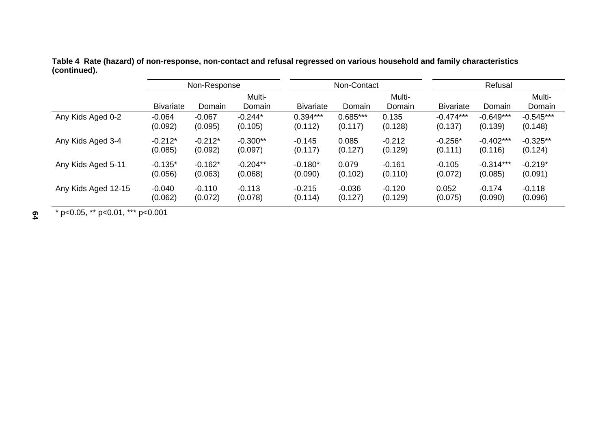**Table 4 Rate (hazard) of non-response, non-contact and refusal regressed on various household and family characteristics (continued).** 

|                     | Non-Response     |           |                  |                  | Non-Contact |                  | Refusal          |             |                  |  |
|---------------------|------------------|-----------|------------------|------------------|-------------|------------------|------------------|-------------|------------------|--|
|                     | <b>Bivariate</b> | Domain    | Multi-<br>Domain | <b>Bivariate</b> | Domain      | Multi-<br>Domain | <b>Bivariate</b> | Domain      | Multi-<br>Domain |  |
| Any Kids Aged 0-2   | $-0.064$         | $-0.067$  | $-0.244*$        | $0.394***$       | $0.685***$  | 0.135            | $-0.474***$      | $-0.649***$ | $-0.545***$      |  |
|                     | (0.092)          | (0.095)   | (0.105)          | (0.112)          | (0.117)     | (0.128)          | (0.137)          | (0.139)     | (0.148)          |  |
| Any Kids Aged 3-4   | $-0.212*$        | $-0.212*$ | $-0.300**$       | $-0.145$         | 0.085       | $-0.212$         | $-0.256*$        | $-0.402***$ | $-0.325**$       |  |
|                     | (0.085)          | (0.092)   | (0.097)          | (0.117)          | (0.127)     | (0.129)          | (0.111)          | (0.116)     | (0.124)          |  |
| Any Kids Aged 5-11  | $-0.135*$        | $-0.162*$ | $-0.204**$       | $-0.180*$        | 0.079       | $-0.161$         | $-0.105$         | $-0.314***$ | $-0.219*$        |  |
|                     | (0.056)          | (0.063)   | (0.068)          | (0.090)          | (0.102)     | (0.110)          | (0.072)          | (0.085)     | (0.091)          |  |
| Any Kids Aged 12-15 | $-0.040$         | $-0.110$  | $-0.113$         | $-0.215$         | $-0.036$    | $-0.120$         | 0.052            | $-0.174$    | $-0.118$         |  |
|                     | (0.062)          | (0.072)   | (0.078)          | (0.114)          | (0.127)     | (0.129)          | (0.075)          | (0.090)     | (0.096)          |  |

\* p<0.05, \*\* p<0.01, \*\*\* p<0.001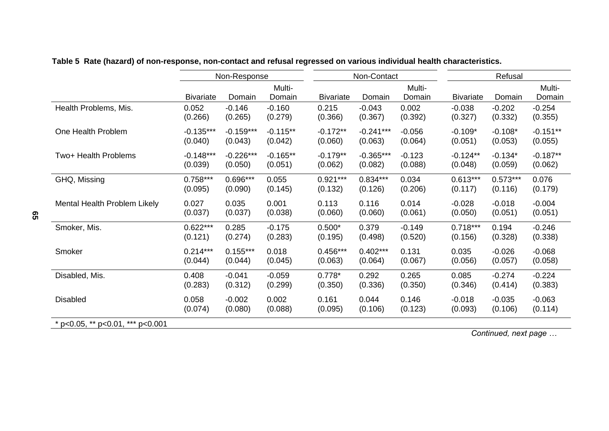|                                  |                  | Non-Response |            |                  | Non-Contact |          | Refusal          |            |            |
|----------------------------------|------------------|--------------|------------|------------------|-------------|----------|------------------|------------|------------|
|                                  |                  |              | Multi-     |                  |             | Multi-   |                  |            | Multi-     |
|                                  | <b>Bivariate</b> | Domain       | Domain     | <b>Bivariate</b> | Domain      | Domain   | <b>Bivariate</b> | Domain     | Domain     |
| Health Problems, Mis.            | 0.052            | $-0.146$     | $-0.160$   | 0.215            | $-0.043$    | 0.002    | $-0.038$         | $-0.202$   | $-0.254$   |
|                                  | (0.266)          | (0.265)      | (0.279)    | (0.366)          | (0.367)     | (0.392)  | (0.327)          | (0.332)    | (0.355)    |
| One Health Problem               | $-0.135***$      | $-0.159***$  | $-0.115**$ | $-0.172**$       | $-0.241***$ | $-0.056$ | $-0.109*$        | $-0.108*$  | $-0.151**$ |
|                                  | (0.040)          | (0.043)      | (0.042)    | (0.060)          | (0.063)     | (0.064)  | (0.051)          | (0.053)    | (0.055)    |
| Two+ Health Problems             | $-0.148***$      | $-0.226***$  | $-0.165**$ | $-0.179**$       | $-0.365***$ | $-0.123$ | $-0.124**$       | $-0.134*$  | $-0.187**$ |
|                                  | (0.039)          | (0.050)      | (0.051)    | (0.062)          | (0.082)     | (0.088)  | (0.048)          | (0.059)    | (0.062)    |
| GHQ, Missing                     | $0.758***$       | $0.696***$   | 0.055      | $0.921***$       | $0.834***$  | 0.034    | $0.613***$       | $0.573***$ | 0.076      |
|                                  | (0.095)          | (0.090)      | (0.145)    | (0.132)          | (0.126)     | (0.206)  | (0.117)          | (0.116)    | (0.179)    |
| Mental Health Problem Likely     | 0.027            | 0.035        | 0.001      | 0.113            | 0.116       | 0.014    | $-0.028$         | $-0.018$   | $-0.004$   |
|                                  | (0.037)          | (0.037)      | (0.038)    | (0.060)          | (0.060)     | (0.061)  | (0.050)          | (0.051)    | (0.051)    |
| Smoker, Mis.                     | $0.622***$       | 0.285        | $-0.175$   | $0.500*$         | 0.379       | $-0.149$ | $0.718***$       | 0.194      | $-0.246$   |
|                                  | (0.121)          | (0.274)      | (0.283)    | (0.195)          | (0.498)     | (0.520)  | (0.156)          | (0.328)    | (0.338)    |
| Smoker                           | $0.214***$       | $0.155***$   | 0.018      | $0.456***$       | $0.402***$  | 0.131    | 0.035            | $-0.026$   | $-0.068$   |
|                                  | (0.044)          | (0.044)      | (0.045)    | (0.063)          | (0.064)     | (0.067)  | (0.056)          | (0.057)    | (0.058)    |
| Disabled, Mis.                   | 0.408            | $-0.041$     | $-0.059$   | $0.778*$         | 0.292       | 0.265    | 0.085            | $-0.274$   | $-0.224$   |
|                                  | (0.283)          | (0.312)      | (0.299)    | (0.350)          | (0.336)     | (0.350)  | (0.346)          | (0.414)    | (0.383)    |
| <b>Disabled</b>                  | 0.058            | $-0.002$     | 0.002      | 0.161            | 0.044       | 0.146    | $-0.018$         | $-0.035$   | $-0.063$   |
|                                  | (0.074)          | (0.080)      | (0.088)    | (0.095)          | (0.106)     | (0.123)  | (0.093)          | (0.106)    | (0.114)    |
| * p<0.05, ** p<0.01, *** p<0.001 |                  |              |            |                  |             |          |                  |            |            |

# **Table 5 Rate (hazard) of non-response, non-contact and refusal regressed on various individual health characteristics.**

*Continued, next page …*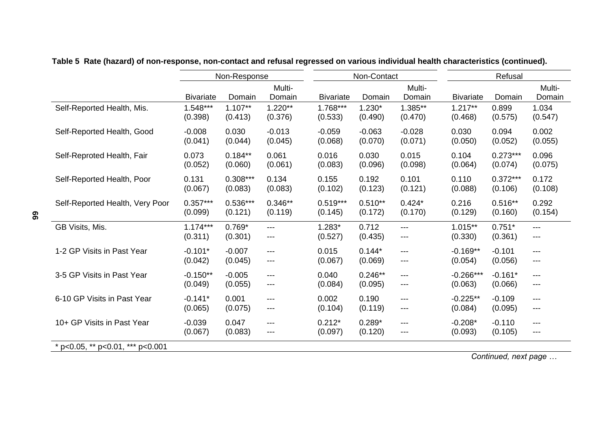|                                  |                  | Non-Response |                  |                  | Non-Contact |                        | Refusal          |            |                  |
|----------------------------------|------------------|--------------|------------------|------------------|-------------|------------------------|------------------|------------|------------------|
|                                  | <b>Bivariate</b> | Domain       | Multi-<br>Domain | <b>Bivariate</b> | Domain      | Multi-<br>Domain       | <b>Bivariate</b> | Domain     | Multi-<br>Domain |
| Self-Reported Health, Mis.       | $1.548***$       | $1.107**$    | $1.220**$        | $1.768***$       | $1.230*$    | 1.385**                | $1.217**$        | 0.899      | 1.034            |
|                                  | (0.398)          | (0.413)      | (0.376)          | (0.533)          | (0.490)     | (0.470)                | (0.468)          | (0.575)    | (0.547)          |
| Self-Reported Health, Good       | $-0.008$         | 0.030        | $-0.013$         | $-0.059$         | $-0.063$    | $-0.028$               | 0.030            | 0.094      | 0.002            |
|                                  | (0.041)          | (0.044)      | (0.045)          | (0.068)          | (0.070)     | (0.071)                | (0.050)          | (0.052)    | (0.055)          |
| Self-Reproted Health, Fair       | 0.073            | $0.184**$    | 0.061            | 0.016            | 0.030       | 0.015                  | 0.104            | $0.273***$ | 0.096            |
|                                  | (0.052)          | (0.060)      | (0.061)          | (0.083)          | (0.096)     | (0.098)                | (0.064)          | (0.074)    | (0.075)          |
| Self-Reported Health, Poor       | 0.131            | $0.308***$   | 0.134            | 0.155            | 0.192       | 0.101                  | 0.110            | $0.372***$ | 0.172            |
|                                  | (0.067)          | (0.083)      | (0.083)          | (0.102)          | (0.123)     | (0.121)                | (0.088)          | (0.106)    | (0.108)          |
| Self-Reported Health, Very Poor  | $0.357***$       | $0.536***$   | $0.346**$        | $0.519***$       | $0.510**$   | $0.424*$               | 0.216            | $0.516**$  | 0.292            |
|                                  | (0.099)          | (0.121)      | (0.119)          | (0.145)          | (0.172)     | (0.170)                | (0.129)          | (0.160)    | (0.154)          |
| GB Visits, Mis.                  | $1.174***$       | $0.769*$     | $---$            | $1.283*$         | 0.712       | $---$                  | $1.015**$        | $0.751*$   | ---              |
|                                  | (0.311)          | (0.301)      | $---$            | (0.527)          | (0.435)     | $\qquad \qquad \cdots$ | (0.330)          | (0.361)    | $---$            |
| 1-2 GP Visits in Past Year       | $-0.101*$        | $-0.007$     | $---$            | 0.015            | $0.144*$    | $---$                  | $-0.169**$       | $-0.101$   | $---$            |
|                                  | (0.042)          | (0.045)      | $---$            | (0.067)          | (0.069)     | $---$                  | (0.054)          | (0.056)    | $---$            |
| 3-5 GP Visits in Past Year       | $-0.150**$       | $-0.005$     | $---$            | 0.040            | $0.246**$   | $---$                  | $-0.266***$      | $-0.161*$  | $---$            |
|                                  | (0.049)          | (0.055)      | $---$            | (0.084)          | (0.095)     | ---                    | (0.063)          | (0.066)    | ---              |
| 6-10 GP Visits in Past Year      | $-0.141*$        | 0.001        | $---$            | 0.002            | 0.190       | $---$                  | $-0.225**$       | $-0.109$   | $---$            |
|                                  | (0.065)          | (0.075)      | $---$            | (0.104)          | (0.119)     | ---                    | (0.084)          | (0.095)    | ---              |
| 10+ GP Visits in Past Year       | $-0.039$         | 0.047        | $---$            | $0.212*$         | $0.289*$    | $---$                  | $-0.208*$        | $-0.110$   | $---$            |
|                                  | (0.067)          | (0.083)      | $---$            | (0.097)          | (0.120)     | $---$                  | (0.093)          | (0.105)    | $---$            |
| * p<0.05, ** p<0.01, *** p<0.001 |                  |              |                  |                  |             |                        |                  |            |                  |

**Table 5 Rate (hazard) of non-response, non-contact and refusal regressed on various individual health characteristics (continued).** 

*Continued, next page …*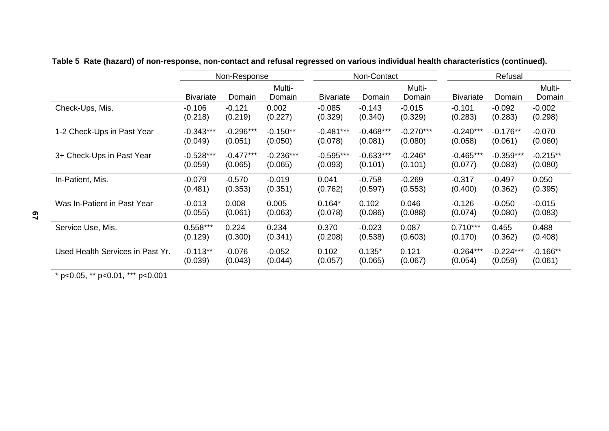|                                  |                  | Non-Response |             |                  | Non-Contact |             | Refusal          |             |            |
|----------------------------------|------------------|--------------|-------------|------------------|-------------|-------------|------------------|-------------|------------|
|                                  |                  |              | Multi-      |                  |             | Multi-      |                  |             | Multi-     |
|                                  | <b>Bivariate</b> | Domain       | Domain      | <b>Bivariate</b> | Domain      | Domain      | <b>Bivariate</b> | Domain      | Domain     |
| Check-Ups, Mis.                  | $-0.106$         | $-0.121$     | 0.002       | $-0.085$         | $-0.143$    | $-0.015$    | $-0.101$         | $-0.092$    | $-0.002$   |
|                                  | (0.218)          | (0.219)      | (0.227)     | (0.329)          | (0.340)     | (0.329)     | (0.283)          | (0.283)     | (0.298)    |
| 1-2 Check-Ups in Past Year       | $-0.343***$      | $-0.296***$  | $-0.150**$  | $-0.481***$      | $-0.468***$ | $-0.270***$ | $-0.240***$      | $-0.176**$  | $-0.070$   |
|                                  | (0.049)          | (0.051)      | (0.050)     | (0.078)          | (0.081)     | (0.080)     | (0.058)          | (0.061)     | (0.060)    |
| 3+ Check-Ups in Past Year        | $-0.528***$      | $-0.477***$  | $-0.236***$ | $-0.595***$      | $-0.633***$ | $-0.246*$   | $-0.465***$      | $-0.359***$ | $-0.215**$ |
|                                  | (0.059)          | (0.065)      | (0.065)     | (0.093)          | (0.101)     | (0.101)     | (0.077)          | (0.083)     | (0.080)    |
| In-Patient, Mis.                 | $-0.079$         | $-0.570$     | $-0.019$    | 0.041            | $-0.758$    | $-0.269$    | $-0.317$         | $-0.497$    | 0.050      |
|                                  | (0.481)          | (0.353)      | (0.351)     | (0.762)          | (0.597)     | (0.553)     | (0.400)          | (0.362)     | (0.395)    |
| Was In-Patient in Past Year      | $-0.013$         | 0.008        | 0.005       | $0.164*$         | 0.102       | 0.046       | $-0.126$         | $-0.050$    | $-0.015$   |
|                                  | (0.055)          | (0.061)      | (0.063)     | (0.078)          | (0.086)     | (0.088)     | (0.074)          | (0.080)     | (0.083)    |
| Service Use, Mis.                | $0.558***$       | 0.224        | 0.234       | 0.370            | $-0.023$    | 0.087       | $0.710***$       | 0.455       | 0.488      |
|                                  | (0.129)          | (0.300)      | (0.341)     | (0.208)          | (0.538)     | (0.603)     | (0.170)          | (0.362)     | (0.408)    |
| Used Health Services in Past Yr. | $-0.113**$       | $-0.076$     | $-0.052$    | 0.102            | $0.135*$    | 0.121       | $-0.264***$      | $-0.224***$ | $-0.166**$ |
|                                  | (0.039)          | (0.043)      | (0.044)     | (0.057)          | (0.065)     | (0.067)     | (0.054)          | (0.059)     | (0.061)    |

**Table 5 Rate (hazard) of non-response, non-contact and refusal regressed on various individual health characteristics (continued).** 

\* p<0.05, \*\* p<0.01, \*\*\* p<0.001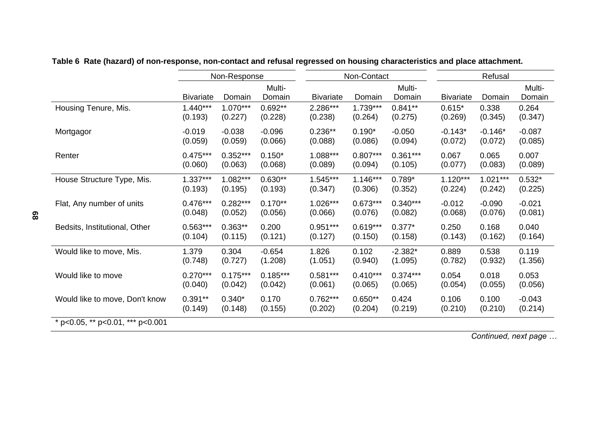|                                  | Non-Response     |            |                  |                  | Non-Contact |                  | Refusal          |            |                  |
|----------------------------------|------------------|------------|------------------|------------------|-------------|------------------|------------------|------------|------------------|
|                                  | <b>Bivariate</b> | Domain     | Multi-<br>Domain | <b>Bivariate</b> | Domain      | Multi-<br>Domain | <b>Bivariate</b> | Domain     | Multi-<br>Domain |
| Housing Tenure, Mis.             | $1.440***$       | $1.070***$ | $0.692**$        | 2.286***         | 1.739***    | $0.841**$        | $0.615*$         | 0.338      | 0.264            |
|                                  | (0.193)          | (0.227)    | (0.228)          | (0.238)          | (0.264)     | (0.275)          | (0.269)          | (0.345)    | (0.347)          |
| Mortgagor                        | $-0.019$         | $-0.038$   | $-0.096$         | $0.236**$        | $0.190*$    | $-0.050$         | $-0.143*$        | $-0.146*$  | $-0.087$         |
|                                  | (0.059)          | (0.059)    | (0.066)          | (0.088)          | (0.086)     | (0.094)          | (0.072)          | (0.072)    | (0.085)          |
| Renter                           | $0.475***$       | $0.352***$ | $0.150*$         | 1.088***         | $0.807***$  | $0.361***$       | 0.067            | 0.065      | 0.007            |
|                                  | (0.060)          | (0.063)    | (0.068)          | (0.089)          | (0.094)     | (0.105)          | (0.077)          | (0.083)    | (0.089)          |
| House Structure Type, Mis.       | $1.337***$       | $1.082***$ | $0.630**$        | $1.545***$       | $1.146***$  | $0.789*$         | $1.120***$       | $1.021***$ | $0.532*$         |
|                                  | (0.193)          | (0.195)    | (0.193)          | (0.347)          | (0.306)     | (0.352)          | (0.224)          | (0.242)    | (0.225)          |
| Flat, Any number of units        | $0.476***$       | $0.282***$ | $0.170**$        | $1.026***$       | $0.673***$  | $0.340***$       | $-0.012$         | $-0.090$   | $-0.021$         |
|                                  | (0.048)          | (0.052)    | (0.056)          | (0.066)          | (0.076)     | (0.082)          | (0.068)          | (0.076)    | (0.081)          |
| Bedsits, Institutional, Other    | $0.563***$       | $0.363**$  | 0.200            | $0.951***$       | $0.619***$  | $0.377*$         | 0.250            | 0.168      | 0.040            |
|                                  | (0.104)          | (0.115)    | (0.121)          | (0.127)          | (0.150)     | (0.158)          | (0.143)          | (0.162)    | (0.164)          |
| Would like to move, Mis.         | 1.379            | 0.304      | $-0.654$         | 1.826            | 0.102       | $-2.382*$        | 0.889            | 0.538      | 0.119            |
|                                  | (0.748)          | (0.727)    | (1.208)          | (1.051)          | (0.940)     | (1.095)          | (0.782)          | (0.932)    | (1.356)          |
| Would like to move               | $0.270***$       | $0.175***$ | $0.185***$       | $0.581***$       | $0.410***$  | $0.374***$       | 0.054            | 0.018      | 0.053            |
|                                  | (0.040)          | (0.042)    | (0.042)          | (0.061)          | (0.065)     | (0.065)          | (0.054)          | (0.055)    | (0.056)          |
| Would like to move, Don't know   | $0.391**$        | $0.340*$   | 0.170            | $0.762***$       | $0.650**$   | 0.424            | 0.106            | 0.100      | $-0.043$         |
|                                  | (0.149)          | (0.148)    | (0.155)          | (0.202)          | (0.204)     | (0.219)          | (0.210)          | (0.210)    | (0.214)          |
| * p<0.05, ** p<0.01, *** p<0.001 |                  |            |                  |                  |             |                  |                  |            |                  |

# **Table 6 Rate (hazard) of non-response, non-contact and refusal regressed on housing characteristics and place attachment.**

*Continued, next page …*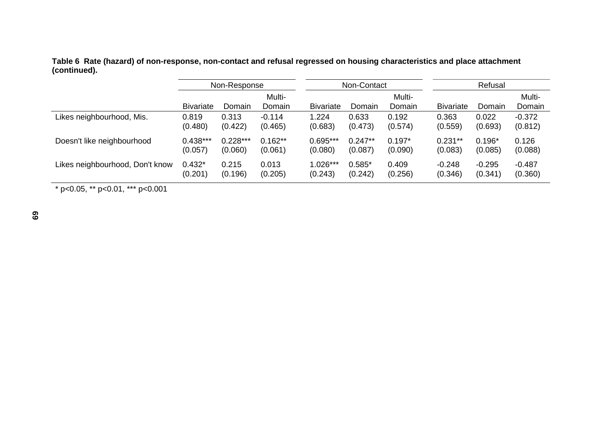**Table 6 Rate (hazard) of non-response, non-contact and refusal regressed on housing characteristics and place attachment (continued).** 

|                                 | Non-Response     |            |                  | Non-Contact      |           |                  | Refusal          |          |                  |
|---------------------------------|------------------|------------|------------------|------------------|-----------|------------------|------------------|----------|------------------|
|                                 | <b>Bivariate</b> | Domain     | Multi-<br>Domain | <b>Bivariate</b> | Domain    | Multi-<br>Domain | <b>Bivariate</b> | Domain   | Multi-<br>Domain |
| Likes neighbourhood, Mis.       | 0.819            | 0.313      | $-0.114$         | 1.224            | 0.633     | 0.192            | 0.363            | 0.022    | $-0.372$         |
|                                 | (0.480)          | (0.422)    | (0.465)          | (0.683)          | (0.473)   | (0.574)          | (0.559)          | (0.693)  | (0.812)          |
| Doesn't like neighbourhood      | $0.438***$       | $0.228***$ | $0.162**$        | 0.695***         | $0.247**$ | $0.197*$         | $0.231**$        | $0.196*$ | 0.126            |
|                                 | (0.057)          | (0.060)    | (0.061)          | (0.080)          | (0.087)   | (0.090)          | (0.083)          | (0.085)  | (0.088)          |
| Likes neighbourhood, Don't know | $0.432*$         | 0.215      | 0.013            | 1.026***         | $0.585*$  | 0.409            | $-0.248$         | $-0.295$ | $-0.487$         |
|                                 | (0.201)          | (0.196)    | (0.205)          | (0.243)          | (0.242)   | (0.256)          | (0.346)          | (0.341)  | (0.360)          |

 $*$  p<0.05,  $*$  p<0.01,  $*$  p <0.001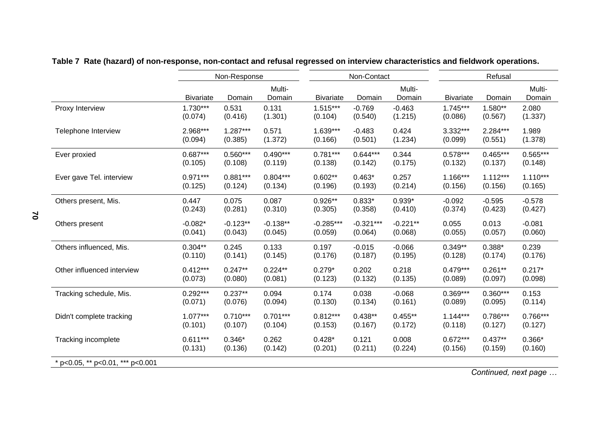|                                  |                  | Non-Response |                  | Non-Contact<br>Refusal |             |                  |                  |            |                  |  |
|----------------------------------|------------------|--------------|------------------|------------------------|-------------|------------------|------------------|------------|------------------|--|
|                                  | <b>Bivariate</b> | Domain       | Multi-<br>Domain | <b>Bivariate</b>       | Domain      | Multi-<br>Domain | <b>Bivariate</b> | Domain     | Multi-<br>Domain |  |
| Proxy Interview                  | $1.730***$       | 0.531        | 0.131            | $1.515***$             | $-0.769$    | $-0.463$         | $1.745***$       | 1.580**    | 2.080            |  |
|                                  | (0.074)          | (0.416)      | (1.301)          | (0.104)                | (0.540)     | (1.215)          | (0.086)          | (0.567)    | (1.337)          |  |
| Telephone Interview              | 2.968***         | $1.287***$   | 0.571            | $1.639***$             | $-0.483$    | 0.424            | 3.332***         | 2.284***   | 1.989            |  |
|                                  | (0.094)          | (0.385)      | (1.372)          | (0.166)                | (0.501)     | (1.234)          | (0.099)          | (0.551)    | (1.378)          |  |
| Ever proxied                     | $0.687***$       | $0.560***$   | $0.490***$       | $0.781***$             | $0.644***$  | 0.344            | $0.578***$       | $0.465***$ | $0.565***$       |  |
|                                  | (0.105)          | (0.108)      | (0.119)          | (0.138)                | (0.142)     | (0.175)          | (0.132)          | (0.137)    | (0.148)          |  |
| Ever gave Tel. interview         | $0.971***$       | $0.881***$   | $0.804***$       | $0.602**$              | $0.463*$    | 0.257            | $1.166***$       | $1.112***$ | $1.110***$       |  |
|                                  | (0.125)          | (0.124)      | (0.134)          | (0.196)                | (0.193)     | (0.214)          | (0.156)          | (0.156)    | (0.165)          |  |
| Others present, Mis.             | 0.447            | 0.075        | 0.087            | $0.926**$              | $0.833*$    | $0.939*$         | $-0.092$         | $-0.595$   | $-0.578$         |  |
|                                  | (0.243)          | (0.281)      | (0.310)          | (0.305)                | (0.358)     | (0.410)          | (0.374)          | (0.423)    | (0.427)          |  |
| Others present                   | $-0.082*$        | $-0.123**$   | $-0.138**$       | $-0.285***$            | $-0.321***$ | $-0.221**$       | 0.055            | 0.013      | $-0.081$         |  |
|                                  | (0.041)          | (0.043)      | (0.045)          | (0.059)                | (0.064)     | (0.068)          | (0.055)          | (0.057)    | (0.060)          |  |
| Others influenced, Mis.          | $0.304**$        | 0.245        | 0.133            | 0.197                  | $-0.015$    | $-0.066$         | $0.349**$        | $0.388*$   | 0.239            |  |
|                                  | (0.110)          | (0.141)      | (0.145)          | (0.176)                | (0.187)     | (0.195)          | (0.128)          | (0.174)    | (0.176)          |  |
| Other influenced interview       | $0.412***$       | $0.247**$    | $0.224**$        | $0.279*$               | 0.202       | 0.218            | $0.479***$       | $0.261**$  | $0.217*$         |  |
|                                  | (0.073)          | (0.080)      | (0.081)          | (0.123)                | (0.132)     | (0.135)          | (0.089)          | (0.097)    | (0.098)          |  |
| Tracking schedule, Mis.          | $0.292***$       | $0.237**$    | 0.094            | 0.174                  | 0.038       | $-0.068$         | $0.369***$       | $0.360***$ | 0.153            |  |
|                                  | (0.071)          | (0.076)      | (0.094)          | (0.130)                | (0.134)     | (0.161)          | (0.089)          | (0.095)    | (0.114)          |  |
| Didn't complete tracking         | $1.077***$       | $0.710***$   | $0.701***$       | $0.812***$             | $0.438**$   | $0.455**$        | $1.144***$       | 0.786***   | $0.766***$       |  |
|                                  | (0.101)          | (0.107)      | (0.104)          | (0.153)                | (0.167)     | (0.172)          | (0.118)          | (0.127)    | (0.127)          |  |
| Tracking incomplete              | $0.611***$       | $0.346*$     | 0.262            | $0.428*$               | 0.121       | 0.008            | $0.672***$       | $0.437**$  | $0.366*$         |  |
|                                  | (0.131)          | (0.136)      | (0.142)          | (0.201)                | (0.211)     | (0.224)          | (0.156)          | (0.159)    | (0.160)          |  |
| * p<0.05, ** p<0.01, *** p<0.001 |                  |              |                  |                        |             |                  |                  |            |                  |  |

# **Table 7 Rate (hazard) of non-response, non-contact and refusal regressed on interview characteristics and fieldwork operations.**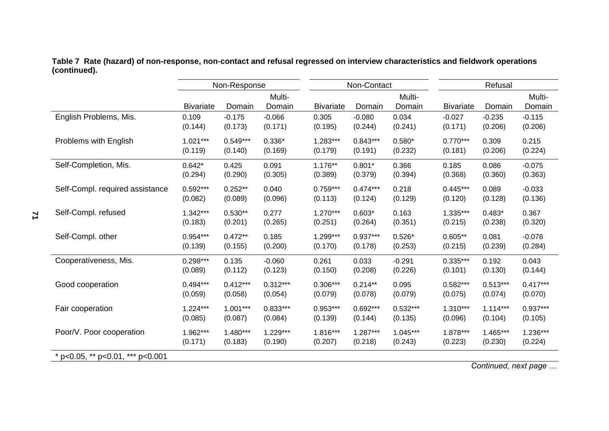**Table 7 Rate (hazard) of non-response, non-contact and refusal regressed on interview characteristics and fieldwork operations (continued).** 

|                                  | Non-Response     |            |                  |                  | Non-Contact |                  | Refusal          |            |                  |
|----------------------------------|------------------|------------|------------------|------------------|-------------|------------------|------------------|------------|------------------|
|                                  | <b>Bivariate</b> | Domain     | Multi-<br>Domain | <b>Bivariate</b> | Domain      | Multi-<br>Domain | <b>Bivariate</b> | Domain     | Multi-<br>Domain |
| English Problems, Mis.           | 0.109            | $-0.175$   | $-0.066$         | 0.305            | $-0.080$    | 0.034            | $-0.027$         | $-0.235$   | $-0.115$         |
|                                  | (0.144)          | (0.173)    | (0.171)          | (0.195)          | (0.244)     | (0.241)          | (0.171)          | (0.206)    | (0.206)          |
| Problems with English            | $1.021***$       | $0.549***$ | $0.336*$         | $1.283***$       | $0.843***$  | $0.580*$         | $0.770***$       | 0.309      | 0.215            |
|                                  | (0.119)          | (0.140)    | (0.169)          | (0.179)          | (0.191)     | (0.232)          | (0.181)          | (0.206)    | (0.224)          |
| Self-Completion, Mis.            | $0.642*$         | 0.425      | 0.091            | 1.176**          | $0.801*$    | 0.366            | 0.185            | 0.086      | $-0.075$         |
|                                  | (0.294)          | (0.290)    | (0.305)          | (0.389)          | (0.379)     | (0.394)          | (0.368)          | (0.360)    | (0.363)          |
| Self-Compl. required assistance  | $0.592***$       | $0.252**$  | 0.040            | $0.759***$       | $0.474***$  | 0.218            | $0.445***$       | 0.089      | $-0.033$         |
|                                  | (0.082)          | (0.089)    | (0.096)          | (0.113)          | (0.124)     | (0.129)          | (0.120)          | (0.128)    | (0.136)          |
| Self-Compl. refused              | $1.342***$       | $0.530**$  | 0.277            | $1.270***$       | $0.603*$    | 0.163            | 1.335***         | $0.483*$   | 0.367            |
|                                  | (0.183)          | (0.201)    | (0.265)          | (0.251)          | (0.264)     | (0.351)          | (0.215)          | (0.238)    | (0.320)          |
| Self-Compl. other                | $0.954***$       | $0.472**$  | 0.185            | 1.299***         | $0.937***$  | $0.526*$         | $0.605**$        | 0.081      | $-0.078$         |
|                                  | (0.139)          | (0.155)    | (0.200)          | (0.170)          | (0.178)     | (0.253)          | (0.215)          | (0.239)    | (0.284)          |
| Cooperativeness, Mis.            | $0.298***$       | 0.135      | $-0.060$         | 0.261            | 0.033       | $-0.291$         | $0.335***$       | 0.192      | 0.043            |
|                                  | (0.089)          | (0.112)    | (0.123)          | (0.150)          | (0.208)     | (0.226)          | (0.101)          | (0.130)    | (0.144)          |
| Good cooperation                 | $0.494***$       | $0.412***$ | $0.312***$       | $0.306***$       | $0.214**$   | 0.095            | $0.582***$       | $0.513***$ | $0.417***$       |
|                                  | (0.059)          | (0.058)    | (0.054)          | (0.079)          | (0.078)     | (0.079)          | (0.075)          | (0.074)    | (0.070)          |
| Fair cooperation                 | $1.224***$       | $1.001***$ | $0.833***$       | $0.953***$       | $0.692***$  | $0.532***$       | $1.310***$       | $1.114***$ | $0.937***$       |
|                                  | (0.085)          | (0.087)    | (0.084)          | (0.139)          | (0.144)     | (0.135)          | (0.096)          | (0.104)    | (0.105)          |
| Poor/V. Poor cooperation         | 1.962***         | 1.480***   | $1.229***$       | 1.816***         | $1.287***$  | $1.045***$       | 1.878***         | 1.465***   | $1.236***$       |
|                                  | (0.171)          | (0.183)    | (0.190)          | (0.207)          | (0.218)     | (0.243)          | (0.223)          | (0.230)    | (0.224)          |
| * p<0.05, ** p<0.01, *** p<0.001 |                  |            |                  |                  |             |                  |                  |            |                  |

*Continued, next page …* 

**71**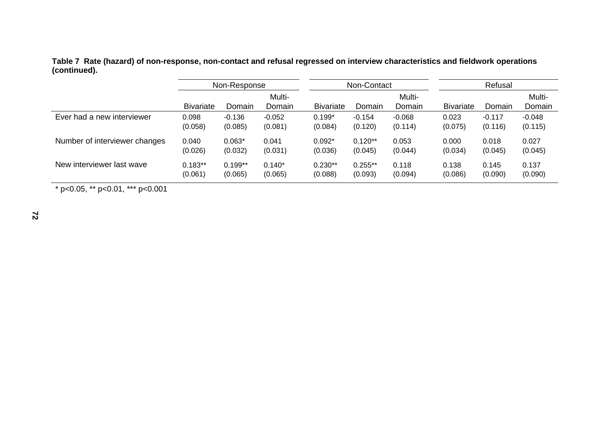**Table 7 Rate (hazard) of non-response, non-contact and refusal regressed on interview characteristics and fieldwork operations (continued).** 

|                               | Non-Response     |           | Non-Contact      |                  |           | Refusal          |                  |          |                  |
|-------------------------------|------------------|-----------|------------------|------------------|-----------|------------------|------------------|----------|------------------|
|                               | <b>Bivariate</b> | Domain    | Multi-<br>Domain | <b>Bivariate</b> | Domain    | Multi-<br>Domain | <b>Bivariate</b> | Domain   | Multi-<br>Domain |
| Ever had a new interviewer    | 0.098            | $-0.136$  | $-0.052$         | $0.199*$         | $-0.154$  | $-0.068$         | 0.023            | $-0.117$ | $-0.048$         |
|                               | (0.058)          | (0.085)   | (0.081)          | (0.084)          | (0.120)   | (0.114)          | (0.075)          | (0.116)  | (0.115)          |
| Number of interviewer changes | 0.040            | $0.063*$  | 0.041            | $0.092*$         | $0.120**$ | 0.053            | 0.000            | 0.018    | 0.027            |
|                               | (0.026)          | (0.032)   | (0.031)          | (0.036)          | (0.045)   | (0.044)          | (0.034)          | (0.045)  | (0.045)          |
| New interviewer last wave     | $0.183**$        | $0.199**$ | $0.140*$         | $0.230**$        | $0.255**$ | 0.118            | 0.138            | 0.145    | 0.137            |
|                               | (0.061)          | (0.065)   | (0.065)          | (0.088)          | (0.093)   | (0.094)          | (0.086)          | (0.090)  | (0.090)          |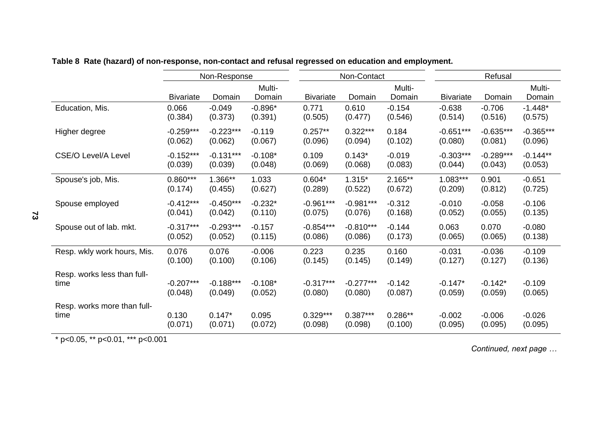|                             |                  | Non-Response |                  |                  | Non-Contact |                  | Refusal          |             |                  |
|-----------------------------|------------------|--------------|------------------|------------------|-------------|------------------|------------------|-------------|------------------|
|                             | <b>Bivariate</b> | Domain       | Multi-<br>Domain | <b>Bivariate</b> | Domain      | Multi-<br>Domain | <b>Bivariate</b> | Domain      | Multi-<br>Domain |
| Education, Mis.             | 0.066            | $-0.049$     | $-0.896*$        | 0.771            | 0.610       | $-0.154$         | $-0.638$         | $-0.706$    | $-1.448*$        |
|                             | (0.384)          | (0.373)      | (0.391)          | (0.505)          | (0.477)     | (0.546)          | (0.514)          | (0.516)     | (0.575)          |
| Higher degree               | $-0.259***$      | $-0.223***$  | $-0.119$         | $0.257**$        | $0.322***$  | 0.184            | $-0.651***$      | $-0.635***$ | $-0.365***$      |
|                             | (0.062)          | (0.062)      | (0.067)          | (0.096)          | (0.094)     | (0.102)          | (0.080)          | (0.081)     | (0.096)          |
| <b>CSE/O Level/A Level</b>  | $-0.152***$      | $-0.131***$  | $-0.108*$        | 0.109            | $0.143*$    | $-0.019$         | $-0.303***$      | $-0.289***$ | $-0.144**$       |
|                             | (0.039)          | (0.039)      | (0.048)          | (0.069)          | (0.068)     | (0.083)          | (0.044)          | (0.043)     | (0.053)          |
| Spouse's job, Mis.          | $0.860***$       | 1.366**      | 1.033            | $0.604*$         | $1.315*$    | 2.165**          | $1.083***$       | 0.901       | $-0.651$         |
|                             | (0.174)          | (0.455)      | (0.627)          | (0.289)          | (0.522)     | (0.672)          | (0.209)          | (0.812)     | (0.725)          |
| Spouse employed             | $-0.412***$      | $-0.450***$  | $-0.232*$        | $-0.961***$      | $-0.981***$ | $-0.312$         | $-0.010$         | $-0.058$    | $-0.106$         |
|                             | (0.041)          | (0.042)      | (0.110)          | (0.075)          | (0.076)     | (0.168)          | (0.052)          | (0.055)     | (0.135)          |
| Spouse out of lab. mkt.     | $-0.317***$      | $-0.293***$  | $-0.157$         | $-0.854***$      | $-0.810***$ | $-0.144$         | 0.063            | 0.070       | $-0.080$         |
|                             | (0.052)          | (0.052)      | (0.115)          | (0.086)          | (0.086)     | (0.173)          | (0.065)          | (0.065)     | (0.138)          |
| Resp. wkly work hours, Mis. | 0.076            | 0.076        | $-0.006$         | 0.223            | 0.235       | 0.160            | $-0.031$         | $-0.036$    | $-0.109$         |
|                             | (0.100)          | (0.100)      | (0.106)          | (0.145)          | (0.145)     | (0.149)          | (0.127)          | (0.127)     | (0.136)          |
| Resp. works less than full- | $-0.207***$      | $-0.188***$  | $-0.108*$        | $-0.317***$      | $-0.277***$ | $-0.142$         | $-0.147*$        | $-0.142*$   | $-0.109$         |
| time                        | (0.048)          | (0.049)      | (0.052)          | (0.080)          | (0.080)     | (0.087)          | (0.059)          | (0.059)     | (0.065)          |
| Resp. works more than full- | 0.130            | $0.147*$     | 0.095            | $0.329***$       | $0.387***$  | $0.286**$        | $-0.002$         | $-0.006$    | $-0.026$         |
| time                        | (0.071)          | (0.071)      | (0.072)          | (0.098)          | (0.098)     | (0.100)          | (0.095)          | (0.095)     | (0.095)          |

# **Table 8 Rate (hazard) of non-response, non-contact and refusal regressed on education and employment.**

\* p<0.05, \*\* p<0.01, \*\*\* p<0.001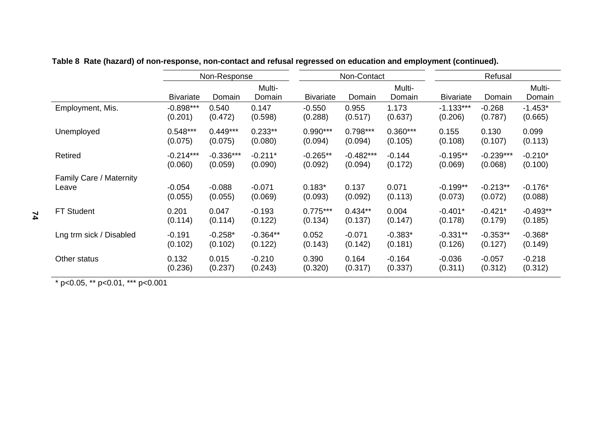|                         | Non-Response     |             |                  |                  | Non-Contact |                  | Refusal          |             |                  |
|-------------------------|------------------|-------------|------------------|------------------|-------------|------------------|------------------|-------------|------------------|
|                         | <b>Bivariate</b> | Domain      | Multi-<br>Domain | <b>Bivariate</b> | Domain      | Multi-<br>Domain | <b>Bivariate</b> | Domain      | Multi-<br>Domain |
| Employment, Mis.        | $-0.898***$      | 0.540       | 0.147            | $-0.550$         | 0.955       | 1.173            | $-1.133***$      | $-0.268$    | $-1.453*$        |
|                         | (0.201)          | (0.472)     | (0.598)          | (0.288)          | (0.517)     | (0.637)          | (0.206)          | (0.787)     | (0.665)          |
| Unemployed              | $0.548***$       | $0.449***$  | $0.233**$        | $0.990***$       | $0.798***$  | $0.360***$       | 0.155            | 0.130       | 0.099            |
|                         | (0.075)          | (0.075)     | (0.080)          | (0.094)          | (0.094)     | (0.105)          | (0.108)          | (0.107)     | (0.113)          |
| Retired                 | $-0.214***$      | $-0.336***$ | $-0.211*$        | $-0.265**$       | $-0.482***$ | $-0.144$         | $-0.195**$       | $-0.239***$ | $-0.210*$        |
|                         | (0.060)          | (0.059)     | (0.090)          | (0.092)          | (0.094)     | (0.172)          | (0.069)          | (0.068)     | (0.100)          |
| Family Care / Maternity | $-0.054$         | $-0.088$    | $-0.071$         | $0.183*$         | 0.137       | 0.071            | $-0.199**$       | $-0.213**$  | $-0.176*$        |
| Leave                   | (0.055)          | (0.055)     | (0.069)          | (0.093)          | (0.092)     | (0.113)          | (0.073)          | (0.072)     | (0.088)          |
| <b>FT Student</b>       | 0.201            | 0.047       | $-0.193$         | $0.775***$       | $0.434**$   | 0.004            | $-0.401*$        | $-0.421*$   | $-0.493**$       |
|                         | (0.114)          | (0.114)     | (0.122)          | (0.134)          | (0.137)     | (0.147)          | (0.178)          | (0.179)     | (0.185)          |
| Lng trm sick / Disabled | $-0.191$         | $-0.258*$   | $-0.364**$       | 0.052            | $-0.071$    | $-0.383*$        | $-0.331**$       | $-0.353**$  | $-0.368*$        |
|                         | (0.102)          | (0.102)     | (0.122)          | (0.143)          | (0.142)     | (0.181)          | (0.126)          | (0.127)     | (0.149)          |
| Other status            | 0.132            | 0.015       | $-0.210$         | 0.390            | 0.164       | $-0.164$         | $-0.036$         | $-0.057$    | $-0.218$         |
|                         | (0.236)          | (0.237)     | (0.243)          | (0.320)          | (0.317)     | (0.337)          | (0.311)          | (0.312)     | (0.312)          |

**Table 8 Rate (hazard) of non-response, non-contact and refusal regressed on education and employment (continued).**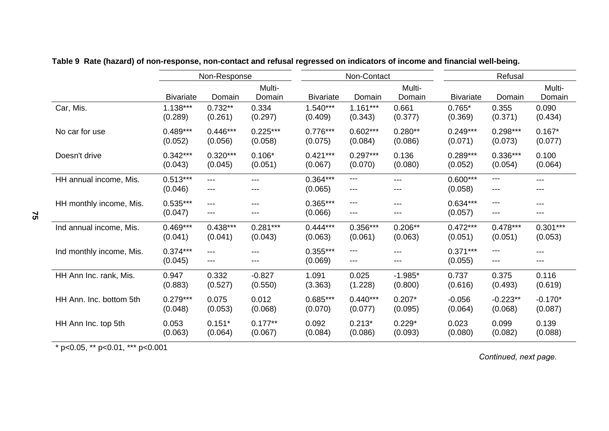|                          |                       | Non-Response |                  |                       | Non-Contact  |                  | Refusal               |            |                  |
|--------------------------|-----------------------|--------------|------------------|-----------------------|--------------|------------------|-----------------------|------------|------------------|
|                          | <b>Bivariate</b>      | Domain       | Multi-<br>Domain | <b>Bivariate</b>      | Domain       | Multi-<br>Domain | <b>Bivariate</b>      | Domain     | Multi-<br>Domain |
| Car, Mis.                | $1.138***$            | $0.732**$    | 0.334            | $1.540***$            | $1.161***$   | 0.661            | $0.765*$              | 0.355      | 0.090            |
|                          | (0.289)               | (0.261)      | (0.297)          | (0.409)               | (0.343)      | (0.377)          | (0.369)               | (0.371)    | (0.434)          |
| No car for use           | $0.489***$            | $0.446***$   | $0.225***$       | $0.776***$            | $0.602***$   | $0.280**$        | $0.249***$            | $0.298***$ | $0.167*$         |
|                          | (0.052)               | (0.056)      | (0.058)          | (0.075)               | (0.084)      | (0.086)          | (0.071)               | (0.073)    | (0.077)          |
| Doesn't drive            | $0.342***$            | $0.320***$   | $0.106*$         | $0.421***$            | $0.297***$   | 0.136            | $0.289***$            | $0.336***$ | 0.100            |
|                          | (0.043)               | (0.045)      | (0.051)          | (0.067)               | (0.070)      | (0.080)          | (0.052)               | (0.054)    | (0.064)          |
| HH annual income, Mis.   | $0.513***$<br>(0.046) | $---$<br>--- | ---              | $0.364***$<br>(0.065) | ---<br>$---$ | $---$<br>---     | $0.600***$<br>(0.058) | ---<br>--- | ---<br>---       |
| HH monthly income, Mis.  | $0.535***$<br>(0.047) | $---$<br>--- | ---              | $0.365***$<br>(0.066) | ---<br>---   | ---<br>---       | $0.634***$<br>(0.057) | ---<br>--- | $---$<br>---     |
| Ind annual income, Mis.  | $0.469***$            | $0.438***$   | $0.281***$       | $0.444***$            | $0.356***$   | $0.206**$        | $0.472***$            | $0.478***$ | $0.301***$       |
|                          | (0.041)               | (0.041)      | (0.043)          | (0.063)               | (0.061)      | (0.063)          | (0.051)               | (0.051)    | (0.053)          |
| Ind monthly income, Mis. | $0.374***$<br>(0.045) | ---<br>---   |                  | $0.355***$<br>(0.069) | ---<br>---   | ---<br>---       | $0.371***$<br>(0.055) | ---<br>--- | ---<br>---       |
| HH Ann Inc. rank, Mis.   | 0.947                 | 0.332        | $-0.827$         | 1.091                 | 0.025        | $-1.985*$        | 0.737                 | 0.375      | 0.116            |
|                          | (0.883)               | (0.527)      | (0.550)          | (3.363)               | (1.228)      | (0.800)          | (0.616)               | (0.493)    | (0.619)          |
| HH Ann. Inc. bottom 5th  | $0.279***$            | 0.075        | 0.012            | $0.685***$            | $0.440***$   | $0.207*$         | $-0.056$              | $-0.223**$ | $-0.170*$        |
|                          | (0.048)               | (0.053)      | (0.068)          | (0.070)               | (0.077)      | (0.095)          | (0.064)               | (0.068)    | (0.087)          |
| HH Ann Inc. top 5th      | 0.053                 | $0.151*$     | $0.177**$        | 0.092                 | $0.213*$     | $0.229*$         | 0.023                 | 0.099      | 0.139            |
|                          | (0.063)               | (0.064)      | (0.067)          | (0.084)               | (0.086)      | (0.093)          | (0.080)               | (0.082)    | (0.088)          |

**Table 9 Rate (hazard) of non-response, non-contact and refusal regressed on indicators of income and financial well-being.** 

\* p<0.05, \*\* p<0.01, \*\*\* p<0.001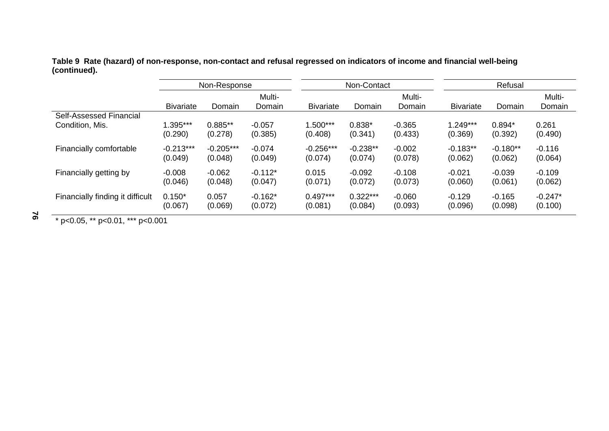**Table 9 Rate (hazard) of non-response, non-contact and refusal regressed on indicators of income and financial well-being (continued).** 

|                                  | Non-Response     |             |                  |                  | Non-Contact |                  | Refusal          |            |                  |  |
|----------------------------------|------------------|-------------|------------------|------------------|-------------|------------------|------------------|------------|------------------|--|
|                                  | <b>Bivariate</b> | Domain      | Multi-<br>Domain | <b>Bivariate</b> | Domain      | Multi-<br>Domain | <b>Bivariate</b> | Domain     | Multi-<br>Domain |  |
| <b>Self-Assessed Financial</b>   | 1.395***         | $0.885**$   | $-0.057$         | $1.500***$       | $0.838*$    | $-0.365$         | $1.249***$       | $0.894*$   | 0.261            |  |
| Condition, Mis.                  | (0.290)          | (0.278)     | (0.385)          | (0.408)          | (0.341)     | (0.433)          | (0.369)          | (0.392)    | (0.490)          |  |
| Financially comfortable          | $-0.213***$      | $-0.205***$ | $-0.074$         | $-0.256***$      | $-0.238**$  | $-0.002$         | $-0.183**$       | $-0.180**$ | $-0.116$         |  |
|                                  | (0.049)          | (0.048)     | (0.049)          | (0.074)          | (0.074)     | (0.078)          | (0.062)          | (0.062)    | (0.064)          |  |
| Financially getting by           | $-0.008$         | $-0.062$    | $-0.112*$        | 0.015            | $-0.092$    | $-0.108$         | $-0.021$         | $-0.039$   | $-0.109$         |  |
|                                  | (0.046)          | (0.048)     | (0.047)          | (0.071)          | (0.072)     | (0.073)          | (0.060)          | (0.061)    | (0.062)          |  |
| Financially finding it difficult | $0.150*$         | 0.057       | $-0.162*$        | $0.497***$       | $0.322***$  | $-0.060$         | $-0.129$         | $-0.165$   | $-0.247*$        |  |
|                                  | (0.067)          | (0.069)     | (0.072)          | (0.081)          | (0.084)     | (0.093)          | (0.096)          | (0.098)    | (0.100)          |  |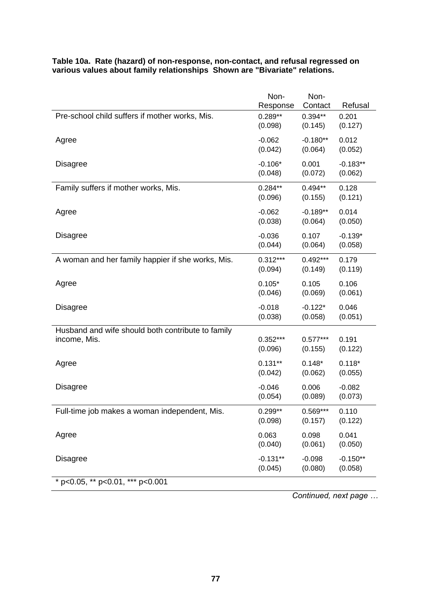|                                                   | Non-<br>Response | Non-<br>Contact | Refusal    |
|---------------------------------------------------|------------------|-----------------|------------|
| Pre-school child suffers if mother works, Mis.    | $0.289**$        | $0.394**$       | 0.201      |
|                                                   | (0.098)          | (0.145)         | (0.127)    |
| Agree                                             | $-0.062$         | $-0.180**$      | 0.012      |
|                                                   | (0.042)          | (0.064)         | (0.052)    |
| <b>Disagree</b>                                   | $-0.106*$        | 0.001           | $-0.183**$ |
|                                                   | (0.048)          | (0.072)         | (0.062)    |
| Family suffers if mother works, Mis.              | $0.284**$        | $0.494**$       | 0.128      |
|                                                   | (0.096)          | (0.155)         | (0.121)    |
| Agree                                             | $-0.062$         | $-0.189**$      | 0.014      |
|                                                   | (0.038)          | (0.064)         | (0.050)    |
| <b>Disagree</b>                                   | $-0.036$         | 0.107           | $-0.139*$  |
|                                                   | (0.044)          | (0.064)         | (0.058)    |
| A woman and her family happier if she works, Mis. | $0.312***$       | $0.492***$      | 0.179      |
|                                                   | (0.094)          | (0.149)         | (0.119)    |
| Agree                                             | $0.105*$         | 0.105           | 0.106      |
|                                                   | (0.046)          | (0.069)         | (0.061)    |
| <b>Disagree</b>                                   | $-0.018$         | $-0.122*$       | 0.046      |
|                                                   | (0.038)          | (0.058)         | (0.051)    |
| Husband and wife should both contribute to family | $0.352***$       | $0.577***$      | 0.191      |
| income, Mis.                                      | (0.096)          | (0.155)         | (0.122)    |
| Agree                                             | $0.131**$        | $0.148*$        | $0.118*$   |
|                                                   | (0.042)          | (0.062)         | (0.055)    |
| <b>Disagree</b>                                   | $-0.046$         | 0.006           | $-0.082$   |
|                                                   | (0.054)          | (0.089)         | (0.073)    |
| Full-time job makes a woman independent, Mis.     | $0.299**$        | 0.569***        | 0.110      |
|                                                   | (0.098)          | (0.157)         | (0.122)    |
| Agree                                             | 0.063            | 0.098           | 0.041      |
|                                                   | (0.040)          | (0.061)         | (0.050)    |
| <b>Disagree</b>                                   | $-0.131**$       | $-0.098$        | $-0.150**$ |
|                                                   | (0.045)          | (0.080)         | (0.058)    |
| * p<0.05, ** p<0.01, *** p<0.001                  |                  |                 |            |

#### **Table 10a. Rate (hazard) of non-response, non-contact, and refusal regressed on various values about family relationships Shown are "Bivariate" relations.**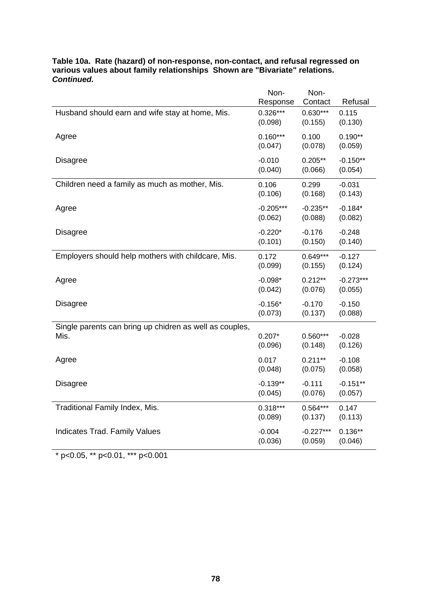|                                                         | Non-<br>Response | Non-<br>Contact | Refusal     |
|---------------------------------------------------------|------------------|-----------------|-------------|
| Husband should earn and wife stay at home, Mis.         | $0.326***$       | $0.630***$      | 0.115       |
|                                                         | (0.098)          | (0.155)         | (0.130)     |
| Agree                                                   | $0.160***$       | 0.100           | $0.190**$   |
|                                                         | (0.047)          | (0.078)         | (0.059)     |
| <b>Disagree</b>                                         | $-0.010$         | $0.205**$       | $-0.150**$  |
|                                                         | (0.040)          | (0.066)         | (0.054)     |
| Children need a family as much as mother, Mis.          | 0.106            | 0.299           | $-0.031$    |
|                                                         | (0.106)          | (0.168)         | (0.143)     |
| Agree                                                   | $-0.205***$      | $-0.235**$      | $-0.184*$   |
|                                                         | (0.062)          | (0.088)         | (0.082)     |
| <b>Disagree</b>                                         | $-0.220*$        | $-0.176$        | $-0.248$    |
|                                                         | (0.101)          | (0.150)         | (0.140)     |
| Employers should help mothers with childcare, Mis.      | 0.172            | $0.649***$      | $-0.127$    |
|                                                         | (0.099)          | (0.155)         | (0.124)     |
| Agree                                                   | $-0.098*$        | $0.212**$       | $-0.273***$ |
|                                                         | (0.042)          | (0.076)         | (0.055)     |
| <b>Disagree</b>                                         | $-0.156*$        | $-0.170$        | $-0.150$    |
|                                                         | (0.073)          | (0.137)         | (0.088)     |
| Single parents can bring up chidren as well as couples, |                  |                 |             |
| Mis.                                                    | $0.207*$         | $0.560***$      | $-0.028$    |
|                                                         | (0.096)          | (0.148)         | (0.126)     |
| Agree                                                   | 0.017            | $0.211***$      | $-0.108$    |
|                                                         | (0.048)          | (0.075)         | (0.058)     |
| <b>Disagree</b>                                         | $-0.139**$       | $-0.111$        | $-0.151**$  |
|                                                         | (0.045)          | (0.076)         | (0.057)     |
| Traditional Family Index, Mis.                          | $0.318***$       | $0.564***$      | 0.147       |
|                                                         | (0.089)          | (0.137)         | (0.113)     |
| <b>Indicates Trad. Family Values</b>                    | $-0.004$         | $-0.227***$     | $0.136**$   |
|                                                         | (0.036)          | (0.059)         | (0.046)     |

# **Table 10a. Rate (hazard) of non-response, non-contact, and refusal regressed on various values about family relationships Shown are "Bivariate" relations.**  *Continued.*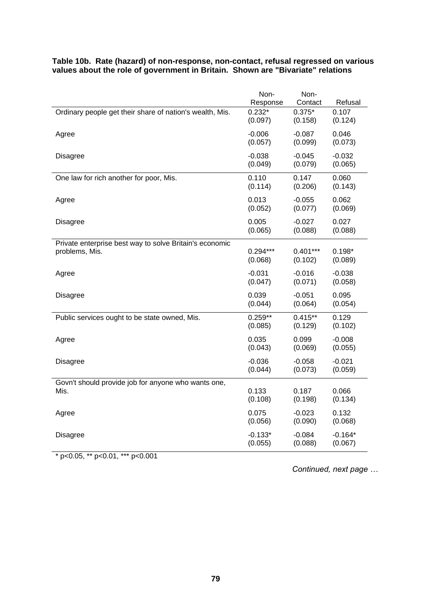| Response<br>Contact<br>Refusal<br>$0.232*$<br>$0.375*$<br>0.107<br>Ordinary people get their share of nation's wealth, Mis.<br>(0.097)<br>(0.158)<br>(0.124)<br>$-0.006$<br>$-0.087$<br>0.046<br>Agree<br>(0.057)<br>(0.099)<br>(0.073)<br>$-0.038$<br>$-0.045$<br>$-0.032$<br><b>Disagree</b><br>(0.049)<br>(0.079)<br>(0.065)<br>0.110<br>0.147<br>0.060<br>One law for rich another for poor, Mis.<br>(0.114)<br>(0.143)<br>(0.206)<br>0.013<br>0.062<br>$-0.055$<br>Agree<br>(0.052)<br>(0.077)<br>(0.069)<br>0.005<br>$-0.027$<br>0.027<br><b>Disagree</b><br>(0.065)<br>(0.088)<br>(0.088)<br>Private enterprise best way to solve Britain's economic<br>$0.294***$<br>$0.401***$<br>$0.198*$<br>problems, Mis.<br>(0.068)<br>(0.102)<br>(0.089)<br>$-0.031$<br>$-0.016$<br>$-0.038$<br>Agree<br>(0.047)<br>(0.071)<br>(0.058)<br>0.039<br>$-0.051$<br>0.095<br><b>Disagree</b><br>(0.044)<br>(0.064)<br>(0.054)<br>$0.259**$<br>$0.415**$<br>0.129<br>Public services ought to be state owned, Mis.<br>(0.085)<br>(0.129)<br>(0.102)<br>0.035<br>0.099<br>$-0.008$<br>Agree<br>(0.043)<br>(0.069)<br>(0.055)<br>$-0.036$<br>$-0.058$<br>$-0.021$<br><b>Disagree</b><br>(0.044)<br>(0.073)<br>(0.059)<br>Govn't should provide job for anyone who wants one,<br>0.133<br>0.066<br>Mis.<br>0.187<br>(0.108)<br>(0.198)<br>(0.134)<br>0.075<br>0.132<br>$-0.023$<br>Agree<br>(0.056)<br>(0.090)<br>(0.068)<br>$-0.133*$<br>$-0.084$<br>$-0.164*$<br><b>Disagree</b><br>(0.055)<br>(0.088)<br>(0.067) | Non- | Non- |  |
|----------------------------------------------------------------------------------------------------------------------------------------------------------------------------------------------------------------------------------------------------------------------------------------------------------------------------------------------------------------------------------------------------------------------------------------------------------------------------------------------------------------------------------------------------------------------------------------------------------------------------------------------------------------------------------------------------------------------------------------------------------------------------------------------------------------------------------------------------------------------------------------------------------------------------------------------------------------------------------------------------------------------------------------------------------------------------------------------------------------------------------------------------------------------------------------------------------------------------------------------------------------------------------------------------------------------------------------------------------------------------------------------------------------------------------------------------------------------------------------------------------|------|------|--|
|                                                                                                                                                                                                                                                                                                                                                                                                                                                                                                                                                                                                                                                                                                                                                                                                                                                                                                                                                                                                                                                                                                                                                                                                                                                                                                                                                                                                                                                                                                          |      |      |  |
|                                                                                                                                                                                                                                                                                                                                                                                                                                                                                                                                                                                                                                                                                                                                                                                                                                                                                                                                                                                                                                                                                                                                                                                                                                                                                                                                                                                                                                                                                                          |      |      |  |
|                                                                                                                                                                                                                                                                                                                                                                                                                                                                                                                                                                                                                                                                                                                                                                                                                                                                                                                                                                                                                                                                                                                                                                                                                                                                                                                                                                                                                                                                                                          |      |      |  |
|                                                                                                                                                                                                                                                                                                                                                                                                                                                                                                                                                                                                                                                                                                                                                                                                                                                                                                                                                                                                                                                                                                                                                                                                                                                                                                                                                                                                                                                                                                          |      |      |  |
|                                                                                                                                                                                                                                                                                                                                                                                                                                                                                                                                                                                                                                                                                                                                                                                                                                                                                                                                                                                                                                                                                                                                                                                                                                                                                                                                                                                                                                                                                                          |      |      |  |
|                                                                                                                                                                                                                                                                                                                                                                                                                                                                                                                                                                                                                                                                                                                                                                                                                                                                                                                                                                                                                                                                                                                                                                                                                                                                                                                                                                                                                                                                                                          |      |      |  |
|                                                                                                                                                                                                                                                                                                                                                                                                                                                                                                                                                                                                                                                                                                                                                                                                                                                                                                                                                                                                                                                                                                                                                                                                                                                                                                                                                                                                                                                                                                          |      |      |  |
|                                                                                                                                                                                                                                                                                                                                                                                                                                                                                                                                                                                                                                                                                                                                                                                                                                                                                                                                                                                                                                                                                                                                                                                                                                                                                                                                                                                                                                                                                                          |      |      |  |
|                                                                                                                                                                                                                                                                                                                                                                                                                                                                                                                                                                                                                                                                                                                                                                                                                                                                                                                                                                                                                                                                                                                                                                                                                                                                                                                                                                                                                                                                                                          |      |      |  |
|                                                                                                                                                                                                                                                                                                                                                                                                                                                                                                                                                                                                                                                                                                                                                                                                                                                                                                                                                                                                                                                                                                                                                                                                                                                                                                                                                                                                                                                                                                          |      |      |  |
|                                                                                                                                                                                                                                                                                                                                                                                                                                                                                                                                                                                                                                                                                                                                                                                                                                                                                                                                                                                                                                                                                                                                                                                                                                                                                                                                                                                                                                                                                                          |      |      |  |
|                                                                                                                                                                                                                                                                                                                                                                                                                                                                                                                                                                                                                                                                                                                                                                                                                                                                                                                                                                                                                                                                                                                                                                                                                                                                                                                                                                                                                                                                                                          |      |      |  |
|                                                                                                                                                                                                                                                                                                                                                                                                                                                                                                                                                                                                                                                                                                                                                                                                                                                                                                                                                                                                                                                                                                                                                                                                                                                                                                                                                                                                                                                                                                          |      |      |  |
|                                                                                                                                                                                                                                                                                                                                                                                                                                                                                                                                                                                                                                                                                                                                                                                                                                                                                                                                                                                                                                                                                                                                                                                                                                                                                                                                                                                                                                                                                                          |      |      |  |
|                                                                                                                                                                                                                                                                                                                                                                                                                                                                                                                                                                                                                                                                                                                                                                                                                                                                                                                                                                                                                                                                                                                                                                                                                                                                                                                                                                                                                                                                                                          |      |      |  |
|                                                                                                                                                                                                                                                                                                                                                                                                                                                                                                                                                                                                                                                                                                                                                                                                                                                                                                                                                                                                                                                                                                                                                                                                                                                                                                                                                                                                                                                                                                          |      |      |  |
|                                                                                                                                                                                                                                                                                                                                                                                                                                                                                                                                                                                                                                                                                                                                                                                                                                                                                                                                                                                                                                                                                                                                                                                                                                                                                                                                                                                                                                                                                                          |      |      |  |
|                                                                                                                                                                                                                                                                                                                                                                                                                                                                                                                                                                                                                                                                                                                                                                                                                                                                                                                                                                                                                                                                                                                                                                                                                                                                                                                                                                                                                                                                                                          |      |      |  |
|                                                                                                                                                                                                                                                                                                                                                                                                                                                                                                                                                                                                                                                                                                                                                                                                                                                                                                                                                                                                                                                                                                                                                                                                                                                                                                                                                                                                                                                                                                          |      |      |  |
|                                                                                                                                                                                                                                                                                                                                                                                                                                                                                                                                                                                                                                                                                                                                                                                                                                                                                                                                                                                                                                                                                                                                                                                                                                                                                                                                                                                                                                                                                                          |      |      |  |
|                                                                                                                                                                                                                                                                                                                                                                                                                                                                                                                                                                                                                                                                                                                                                                                                                                                                                                                                                                                                                                                                                                                                                                                                                                                                                                                                                                                                                                                                                                          |      |      |  |
|                                                                                                                                                                                                                                                                                                                                                                                                                                                                                                                                                                                                                                                                                                                                                                                                                                                                                                                                                                                                                                                                                                                                                                                                                                                                                                                                                                                                                                                                                                          |      |      |  |
|                                                                                                                                                                                                                                                                                                                                                                                                                                                                                                                                                                                                                                                                                                                                                                                                                                                                                                                                                                                                                                                                                                                                                                                                                                                                                                                                                                                                                                                                                                          |      |      |  |
|                                                                                                                                                                                                                                                                                                                                                                                                                                                                                                                                                                                                                                                                                                                                                                                                                                                                                                                                                                                                                                                                                                                                                                                                                                                                                                                                                                                                                                                                                                          |      |      |  |
|                                                                                                                                                                                                                                                                                                                                                                                                                                                                                                                                                                                                                                                                                                                                                                                                                                                                                                                                                                                                                                                                                                                                                                                                                                                                                                                                                                                                                                                                                                          |      |      |  |
|                                                                                                                                                                                                                                                                                                                                                                                                                                                                                                                                                                                                                                                                                                                                                                                                                                                                                                                                                                                                                                                                                                                                                                                                                                                                                                                                                                                                                                                                                                          |      |      |  |
|                                                                                                                                                                                                                                                                                                                                                                                                                                                                                                                                                                                                                                                                                                                                                                                                                                                                                                                                                                                                                                                                                                                                                                                                                                                                                                                                                                                                                                                                                                          |      |      |  |
|                                                                                                                                                                                                                                                                                                                                                                                                                                                                                                                                                                                                                                                                                                                                                                                                                                                                                                                                                                                                                                                                                                                                                                                                                                                                                                                                                                                                                                                                                                          |      |      |  |
|                                                                                                                                                                                                                                                                                                                                                                                                                                                                                                                                                                                                                                                                                                                                                                                                                                                                                                                                                                                                                                                                                                                                                                                                                                                                                                                                                                                                                                                                                                          |      |      |  |
|                                                                                                                                                                                                                                                                                                                                                                                                                                                                                                                                                                                                                                                                                                                                                                                                                                                                                                                                                                                                                                                                                                                                                                                                                                                                                                                                                                                                                                                                                                          |      |      |  |
|                                                                                                                                                                                                                                                                                                                                                                                                                                                                                                                                                                                                                                                                                                                                                                                                                                                                                                                                                                                                                                                                                                                                                                                                                                                                                                                                                                                                                                                                                                          |      |      |  |
|                                                                                                                                                                                                                                                                                                                                                                                                                                                                                                                                                                                                                                                                                                                                                                                                                                                                                                                                                                                                                                                                                                                                                                                                                                                                                                                                                                                                                                                                                                          |      |      |  |
|                                                                                                                                                                                                                                                                                                                                                                                                                                                                                                                                                                                                                                                                                                                                                                                                                                                                                                                                                                                                                                                                                                                                                                                                                                                                                                                                                                                                                                                                                                          |      |      |  |

## **Table 10b. Rate (hazard) of non-response, non-contact, refusal regressed on various values about the role of government in Britain. Shown are "Bivariate" relations**

\* p<0.05, \*\* p<0.01, \*\*\* p<0.001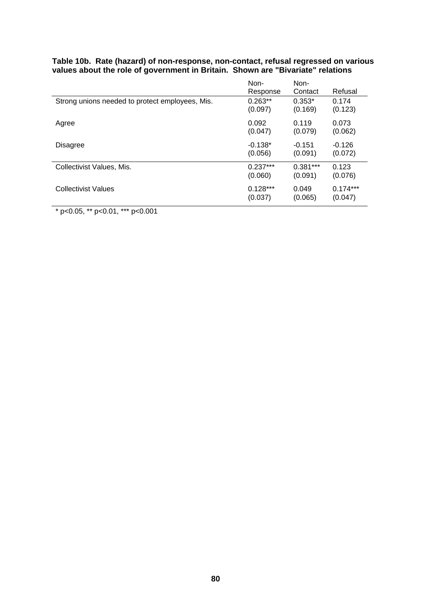| Strong unions needed to protect employees, Mis. | Non-<br>Response<br>$0.263**$ | Non-<br>Contact<br>$0.353*$ | Refusal<br>0.174 |
|-------------------------------------------------|-------------------------------|-----------------------------|------------------|
| Agree                                           | (0.097)                       | (0.169)                     | (0.123)          |
|                                                 | 0.092                         | 0.119                       | 0.073            |
|                                                 | (0.047)                       | (0.079)                     | (0.062)          |
| <b>Disagree</b>                                 | $-0.138*$                     | $-0.151$                    | $-0.126$         |
|                                                 | (0.056)                       | (0.091)                     | (0.072)          |
| Collectivist Values, Mis.                       | $0.237***$                    | $0.381***$                  | 0.123            |
|                                                 | (0.060)                       | (0.091)                     | (0.076)          |
| <b>Collectivist Values</b>                      | $0.128***$                    | 0.049                       | $0.174***$       |
|                                                 | (0.037)                       | (0.065)                     | (0.047)          |

## **Table 10b. Rate (hazard) of non-response, non-contact, refusal regressed on various values about the role of government in Britain. Shown are "Bivariate" relations**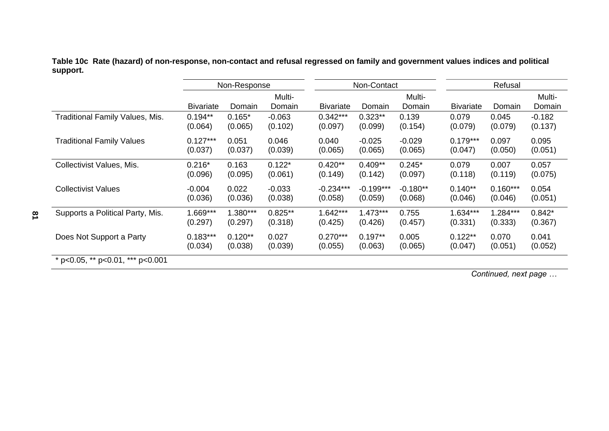**Table 10c Rate (hazard) of non-response, non-contact and refusal regressed on family and government values indices and political support.** 

|                                        | Non-Response     |           |                  |                  | Non-Contact |                  | Refusal          |            |                  |  |
|----------------------------------------|------------------|-----------|------------------|------------------|-------------|------------------|------------------|------------|------------------|--|
|                                        | <b>Bivariate</b> | Domain    | Multi-<br>Domain | <b>Bivariate</b> | Domain      | Multi-<br>Domain | <b>Bivariate</b> | Domain     | Multi-<br>Domain |  |
| <b>Traditional Family Values, Mis.</b> | $0.194**$        | $0.165*$  | $-0.063$         | $0.342***$       | $0.323**$   | 0.139            | 0.079            | 0.045      | $-0.182$         |  |
|                                        | (0.064)          | (0.065)   | (0.102)          | (0.097)          | (0.099)     | (0.154)          | (0.079)          | (0.079)    | (0.137)          |  |
| <b>Traditional Family Values</b>       | $0.127***$       | 0.051     | 0.046            | 0.040            | $-0.025$    | $-0.029$         | $0.179***$       | 0.097      | 0.095            |  |
|                                        | (0.037)          | (0.037)   | (0.039)          | (0.065)          | (0.065)     | (0.065)          | (0.047)          | (0.050)    | (0.051)          |  |
| Collectivist Values, Mis.              | $0.216*$         | 0.163     | $0.122*$         | $0.420**$        | $0.409**$   | $0.245*$         | 0.079            | 0.007      | 0.057            |  |
|                                        | (0.096)          | (0.095)   | (0.061)          | (0.149)          | (0.142)     | (0.097)          | (0.118)          | (0.119)    | (0.075)          |  |
| <b>Collectivist Values</b>             | $-0.004$         | 0.022     | $-0.033$         | $-0.234***$      | $-0.199***$ | $-0.180**$       | $0.140**$        | $0.160***$ | 0.054            |  |
|                                        | (0.036)          | (0.036)   | (0.038)          | (0.058)          | (0.059)     | (0.068)          | (0.046)          | (0.046)    | (0.051)          |  |
| Supports a Political Party, Mis.       | $1.669***$       | 1.380***  | $0.825**$        | $1.642***$       | $1.473***$  | 0.755            | $1.634***$       | $1.284***$ | $0.842*$         |  |
|                                        | (0.297)          | (0.297)   | (0.318)          | (0.425)          | (0.426)     | (0.457)          | (0.331)          | (0.333)    | (0.367)          |  |
| Does Not Support a Party               | $0.183***$       | $0.120**$ | 0.027            | $0.270***$       | $0.197**$   | 0.005            | $0.122**$        | 0.070      | 0.041            |  |
|                                        | (0.034)          | (0.038)   | (0.039)          | (0.055)          | (0.063)     | (0.065)          | (0.047)          | (0.051)    | (0.052)          |  |
| * p<0.05, ** p<0.01, *** p<0.001       |                  |           |                  |                  |             |                  |                  |            |                  |  |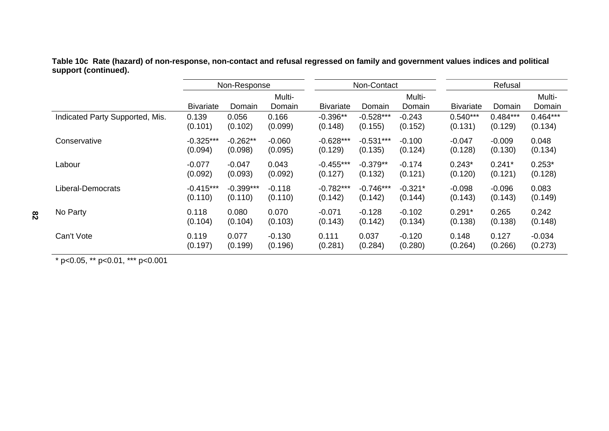**Table 10c Rate (hazard) of non-response, non-contact and refusal regressed on family and government values indices and political support (continued).** 

|                                 | Non-Response     |             |                  | Non-Contact      |             |                  | Refusal          |            |                  |  |
|---------------------------------|------------------|-------------|------------------|------------------|-------------|------------------|------------------|------------|------------------|--|
|                                 | <b>Bivariate</b> | Domain      | Multi-<br>Domain | <b>Bivariate</b> | Domain      | Multi-<br>Domain | <b>Bivariate</b> | Domain     | Multi-<br>Domain |  |
| Indicated Party Supported, Mis. | 0.139            | 0.056       | 0.166            | $-0.396**$       | $-0.528***$ | $-0.243$         | $0.540***$       | $0.484***$ | $0.464***$       |  |
|                                 | (0.101)          | (0.102)     | (0.099)          | (0.148)          | (0.155)     | (0.152)          | (0.131)          | (0.129)    | (0.134)          |  |
| Conservative                    | $-0.325***$      | $-0.262**$  | $-0.060$         | $-0.628***$      | $-0.531***$ | $-0.100$         | $-0.047$         | $-0.009$   | 0.048            |  |
|                                 | (0.094)          | (0.098)     | (0.095)          | (0.129)          | (0.135)     | (0.124)          | (0.128)          | (0.130)    | (0.134)          |  |
| Labour                          | $-0.077$         | $-0.047$    | 0.043            | $-0.455***$      | $-0.379**$  | $-0.174$         | $0.243*$         | $0.241*$   | $0.253*$         |  |
|                                 | (0.092)          | (0.093)     | (0.092)          | (0.127)          | (0.132)     | (0.121)          | (0.120)          | (0.121)    | (0.128)          |  |
| Liberal-Democrats               | $-0.415***$      | $-0.399***$ | $-0.118$         | $-0.782***$      | $-0.746***$ | $-0.321*$        | $-0.098$         | $-0.096$   | 0.083            |  |
|                                 | (0.110)          | (0.110)     | (0.110)          | (0.142)          | (0.142)     | (0.144)          | (0.143)          | (0.143)    | (0.149)          |  |
| No Party                        | 0.118            | 0.080       | 0.070            | $-0.071$         | $-0.128$    | $-0.102$         | $0.291*$         | 0.265      | 0.242            |  |
|                                 | (0.104)          | (0.104)     | (0.103)          | (0.143)          | (0.142)     | (0.134)          | (0.138)          | (0.138)    | (0.148)          |  |
| Can't Vote                      | 0.119            | 0.077       | $-0.130$         | 0.111            | 0.037       | $-0.120$         | 0.148            | 0.127      | $-0.034$         |  |
|                                 | (0.197)          | (0.199)     | (0.196)          | (0.281)          | (0.284)     | (0.280)          | (0.264)          | (0.266)    | (0.273)          |  |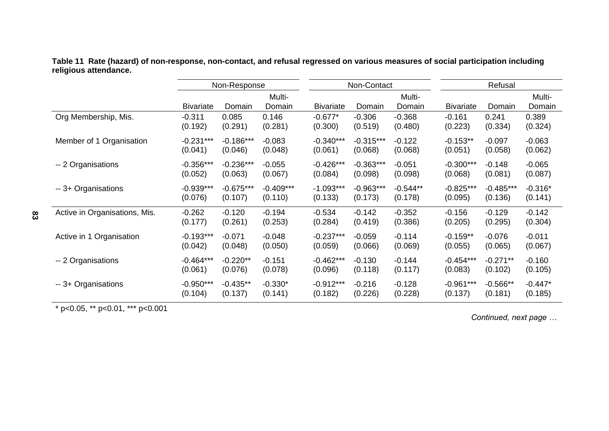**Table 11 Rate (hazard) of non-response, non-contact, and refusal regressed on various measures of social participation including religious attendance.** 

|                               | Non-Response     |             |                  | Non-Contact      |             |                  | Refusal          |             |                  |
|-------------------------------|------------------|-------------|------------------|------------------|-------------|------------------|------------------|-------------|------------------|
|                               | <b>Bivariate</b> | Domain      | Multi-<br>Domain | <b>Bivariate</b> | Domain      | Multi-<br>Domain | <b>Bivariate</b> | Domain      | Multi-<br>Domain |
| Org Membership, Mis.          | $-0.311$         | 0.085       | 0.146            | $-0.677*$        | $-0.306$    | $-0.368$         | $-0.161$         | 0.241       | 0.389            |
|                               | (0.192)          | (0.291)     | (0.281)          | (0.300)          | (0.519)     | (0.480)          | (0.223)          | (0.334)     | (0.324)          |
| Member of 1 Organisation      | $-0.231***$      | $-0.186***$ | $-0.083$         | $-0.340***$      | $-0.315***$ | $-0.122$         | $-0.153**$       | $-0.097$    | $-0.063$         |
|                               | (0.041)          | (0.046)     | (0.048)          | (0.061)          | (0.068)     | (0.068)          | (0.051)          | (0.058)     | (0.062)          |
| -- 2 Organisations            | $-0.356***$      | $-0.236***$ | $-0.055$         | $-0.426***$      | $-0.363***$ | $-0.051$         | $-0.300***$      | $-0.148$    | $-0.065$         |
|                               | (0.052)          | (0.063)     | (0.067)          | (0.084)          | (0.098)     | (0.098)          | (0.068)          | (0.081)     | (0.087)          |
| -- 3+ Organisations           | $-0.939***$      | $-0.675***$ | $-0.409***$      | $-1.093***$      | $-0.963***$ | $-0.544**$       | $-0.825***$      | $-0.485***$ | $-0.316*$        |
|                               | (0.076)          | (0.107)     | (0.110)          | (0.133)          | (0.173)     | (0.178)          | (0.095)          | (0.136)     | (0.141)          |
| Active in Organisations, Mis. | $-0.262$         | $-0.120$    | $-0.194$         | $-0.534$         | $-0.142$    | $-0.352$         | $-0.156$         | $-0.129$    | $-0.142$         |
|                               | (0.177)          | (0.261)     | (0.253)          | (0.284)          | (0.419)     | (0.386)          | (0.205)          | (0.295)     | (0.304)          |
| Active in 1 Organisation      | $-0.193***$      | $-0.071$    | $-0.048$         | $-0.237***$      | $-0.059$    | $-0.114$         | $-0.159**$       | $-0.076$    | $-0.011$         |
|                               | (0.042)          | (0.048)     | (0.050)          | (0.059)          | (0.066)     | (0.069)          | (0.055)          | (0.065)     | (0.067)          |
| -- 2 Organisations            | $-0.464***$      | $-0.220**$  | $-0.151$         | $-0.462***$      | $-0.130$    | $-0.144$         | $-0.454***$      | $-0.271**$  | $-0.160$         |
|                               | (0.061)          | (0.076)     | (0.078)          | (0.096)          | (0.118)     | (0.117)          | (0.083)          | (0.102)     | (0.105)          |
| -- 3+ Organisations           | $-0.950***$      | $-0.435**$  | $-0.330*$        | $-0.912***$      | $-0.216$    | $-0.128$         | $-0.961***$      | $-0.566**$  | $-0.447*$        |
|                               | (0.104)          | (0.137)     | (0.141)          | (0.182)          | (0.226)     | (0.228)          | (0.137)          | (0.181)     | (0.185)          |

 $\star$  p<0.05,  $\star$  p<0.01,  $\star$  + p<0.001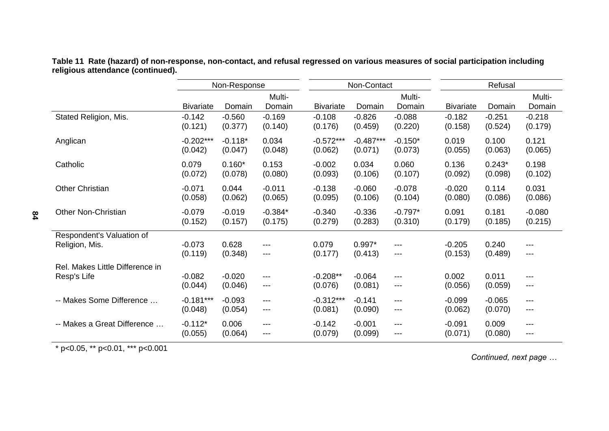|                                 | Non-Response     |           |                  |                  | Non-Contact |                  | Refusal          |          |                  |
|---------------------------------|------------------|-----------|------------------|------------------|-------------|------------------|------------------|----------|------------------|
|                                 | <b>Bivariate</b> | Domain    | Multi-<br>Domain | <b>Bivariate</b> | Domain      | Multi-<br>Domain | <b>Bivariate</b> | Domain   | Multi-<br>Domain |
| Stated Religion, Mis.           | $-0.142$         | $-0.560$  | $-0.169$         | $-0.108$         | $-0.826$    | $-0.088$         | $-0.182$         | $-0.251$ | $-0.218$         |
|                                 | (0.121)          | (0.377)   | (0.140)          | (0.176)          | (0.459)     | (0.220)          | (0.158)          | (0.524)  | (0.179)          |
| Anglican                        | $-0.202***$      | $-0.118*$ | 0.034            | $-0.572***$      | $-0.487***$ | $-0.150*$        | 0.019            | 0.100    | 0.121            |
|                                 | (0.042)          | (0.047)   | (0.048)          | (0.062)          | (0.071)     | (0.073)          | (0.055)          | (0.063)  | (0.065)          |
| Catholic                        | 0.079            | $0.160*$  | 0.153            | $-0.002$         | 0.034       | 0.060            | 0.136            | $0.243*$ | 0.198            |
|                                 | (0.072)          | (0.078)   | (0.080)          | (0.093)          | (0.106)     | (0.107)          | (0.092)          | (0.098)  | (0.102)          |
| <b>Other Christian</b>          | $-0.071$         | 0.044     | $-0.011$         | $-0.138$         | $-0.060$    | $-0.078$         | $-0.020$         | 0.114    | 0.031            |
|                                 | (0.058)          | (0.062)   | (0.065)          | (0.095)          | (0.106)     | (0.104)          | (0.080)          | (0.086)  | (0.086)          |
| <b>Other Non-Christian</b>      | $-0.079$         | $-0.019$  | $-0.384*$        | $-0.340$         | $-0.336$    | $-0.797*$        | 0.091            | 0.181    | $-0.080$         |
|                                 | (0.152)          | (0.157)   | (0.175)          | (0.279)          | (0.283)     | (0.310)          | (0.179)          | (0.185)  | (0.215)          |
| Respondent's Valuation of       | $-0.073$         | 0.628     | ---              | 0.079            | $0.997*$    | ---              | $-0.205$         | 0.240    | ---              |
| Religion, Mis.                  | (0.119)          | (0.348)   | $---$            | (0.177)          | (0.413)     | ---              | (0.153)          | (0.489)  | ---              |
| Rel. Makes Little Difference in | $-0.082$         | $-0.020$  | $---$            | $-0.208**$       | $-0.064$    | ---              | 0.002            | 0.011    | ---              |
| Resp's Life                     | (0.044)          | (0.046)   | ---              | (0.076)          | (0.081)     | ---              | (0.056)          | (0.059)  | ---              |
| -- Makes Some Difference        | $-0.181***$      | $-0.093$  | ---              | $-0.312***$      | $-0.141$    | $---$            | $-0.099$         | $-0.065$ | ---              |
|                                 | (0.048)          | (0.054)   | ---              | (0.081)          | (0.090)     | $---$            | (0.062)          | (0.070)  | ---              |
| -- Makes a Great Difference     | $-0.112*$        | 0.006     | ---              | $-0.142$         | $-0.001$    | $---$            | $-0.091$         | 0.009    | ---              |
|                                 | (0.055)          | (0.064)   | ---              | (0.079)          | (0.099)     | $---$            | (0.071)          | (0.080)  | ---              |

**Table 11 Rate (hazard) of non-response, non-contact, and refusal regressed on various measures of social participation including religious attendance (continued).** 

\* p<0.05, \*\* p<0.01, \*\*\* p<0.001